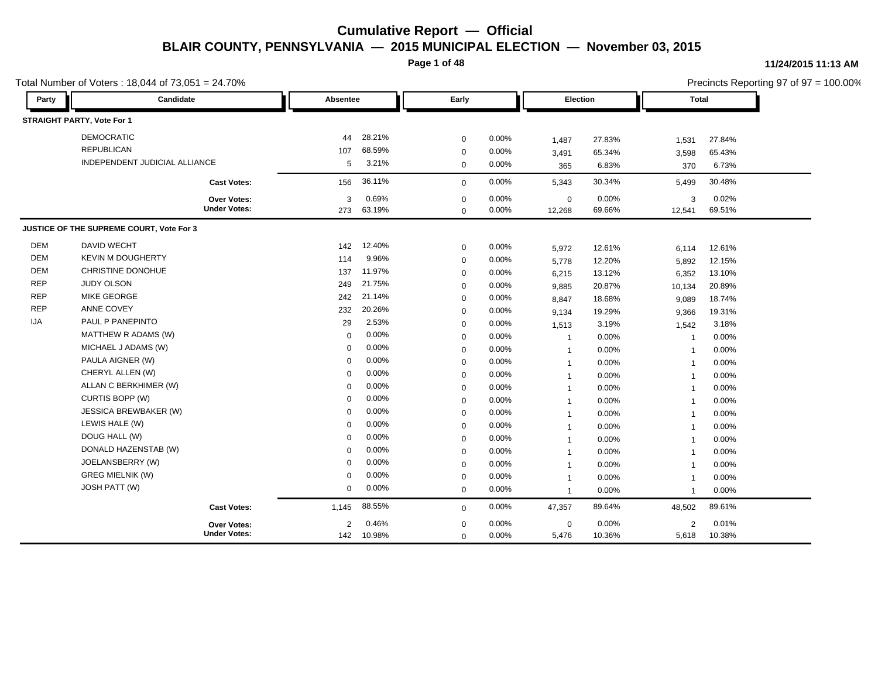**Page 1 of 48**

| Party      | Candidate                                |                     | Absentee |        | Early       |          | <b>Election</b> |        | <b>Total</b>   |        |
|------------|------------------------------------------|---------------------|----------|--------|-------------|----------|-----------------|--------|----------------|--------|
|            |                                          |                     |          |        |             |          |                 |        |                |        |
|            | <b>STRAIGHT PARTY, Vote For 1</b>        |                     |          |        |             |          |                 |        |                |        |
|            | <b>DEMOCRATIC</b>                        |                     | 44       | 28.21% | $\mathbf 0$ | 0.00%    | 1,487           | 27.83% | 1,531          | 27.84% |
|            | <b>REPUBLICAN</b>                        |                     | 107      | 68.59% | $\mathbf 0$ | 0.00%    | 3,491           | 65.34% | 3,598          | 65.43% |
|            | INDEPENDENT JUDICIAL ALLIANCE            |                     | 5        | 3.21%  | $\mathbf 0$ | 0.00%    | 365             | 6.83%  | 370            | 6.73%  |
|            |                                          | <b>Cast Votes:</b>  | 156      | 36.11% | $\mathbf 0$ | 0.00%    | 5,343           | 30.34% | 5,499          | 30.48% |
|            |                                          | <b>Over Votes:</b>  | 3        | 0.69%  | $\mathbf 0$ | 0.00%    | $\mathbf 0$     | 0.00%  | 3              | 0.02%  |
|            |                                          | <b>Under Votes:</b> | 273      | 63.19% | $\Omega$    | 0.00%    | 12,268          | 69.66% | 12,541         | 69.51% |
|            | JUSTICE OF THE SUPREME COURT, Vote For 3 |                     |          |        |             |          |                 |        |                |        |
| <b>DEM</b> | DAVID WECHT                              |                     | 142      | 12.40% | 0           | 0.00%    | 5,972           | 12.61% | 6,114          | 12.61% |
| <b>DEM</b> | <b>KEVIN M DOUGHERTY</b>                 |                     | 114      | 9.96%  | $\mathbf 0$ | 0.00%    | 5,778           | 12.20% | 5,892          | 12.15% |
| <b>DEM</b> | CHRISTINE DONOHUE                        |                     | 137      | 11.97% | $\mathbf 0$ | 0.00%    | 6,215           | 13.12% | 6,352          | 13.10% |
| <b>REP</b> | <b>JUDY OLSON</b>                        |                     | 249      | 21.75% | $\mathbf 0$ | 0.00%    | 9,885           | 20.87% | 10,134         | 20.89% |
| <b>REP</b> | <b>MIKE GEORGE</b>                       |                     | 242      | 21.14% | $\mathbf 0$ | 0.00%    | 8,847           | 18.68% | 9,089          | 18.74% |
| <b>REP</b> | <b>ANNE COVEY</b>                        |                     | 232      | 20.26% | $\mathbf 0$ | 0.00%    | 9,134           | 19.29% | 9,366          | 19.31% |
| IJA        | PAUL P PANEPINTO                         |                     | 29       | 2.53%  | $\mathbf 0$ | 0.00%    | 1,513           | 3.19%  | 1,542          | 3.18%  |
|            | MATTHEW R ADAMS (W)                      |                     | 0        | 0.00%  | $\mathbf 0$ | 0.00%    | $\mathbf{1}$    | 0.00%  | $\overline{1}$ | 0.00%  |
|            | MICHAEL J ADAMS (W)                      |                     | $\Omega$ | 0.00%  | $\mathbf 0$ | 0.00%    | $\mathbf{1}$    | 0.00%  | $\overline{1}$ | 0.00%  |
|            | PAULA AIGNER (W)                         |                     | 0        | 0.00%  | $\mathbf 0$ | 0.00%    | $\mathbf{1}$    | 0.00%  | $\overline{1}$ | 0.00%  |
|            | CHERYL ALLEN (W)                         |                     | $\Omega$ | 0.00%  | $\mathbf 0$ | 0.00%    | $\mathbf{1}$    | 0.00%  | $\overline{1}$ | 0.00%  |
|            | ALLAN C BERKHIMER (W)                    |                     | $\Omega$ | 0.00%  | $\mathbf 0$ | 0.00%    | $\mathbf{1}$    | 0.00%  | $\overline{1}$ | 0.00%  |
|            | CURTIS BOPP (W)                          |                     | $\Omega$ | 0.00%  | $\mathbf 0$ | 0.00%    | $\mathbf{1}$    | 0.00%  | $\overline{1}$ | 0.00%  |
|            | <b>JESSICA BREWBAKER (W)</b>             |                     | $\Omega$ | 0.00%  | $\mathbf 0$ | 0.00%    | $\mathbf{1}$    | 0.00%  | $\overline{1}$ | 0.00%  |
|            | LEWIS HALE (W)                           |                     | $\Omega$ | 0.00%  | $\mathbf 0$ | 0.00%    | $\mathbf{1}$    | 0.00%  | $\overline{1}$ | 0.00%  |
|            | DOUG HALL (W)                            |                     | $\Omega$ | 0.00%  | $\mathbf 0$ | 0.00%    | $\mathbf{1}$    | 0.00%  | $\overline{1}$ | 0.00%  |
|            | DONALD HAZENSTAB (W)                     |                     | $\Omega$ | 0.00%  | $\mathbf 0$ | 0.00%    | $\mathbf{1}$    | 0.00%  | $\overline{1}$ | 0.00%  |
|            | JOELANSBERRY (W)                         |                     | $\Omega$ | 0.00%  | $\mathbf 0$ | 0.00%    | $\mathbf{1}$    | 0.00%  | $\overline{1}$ | 0.00%  |
|            | <b>GREG MIELNIK (W)</b>                  |                     | $\Omega$ | 0.00%  | $\mathbf 0$ | $0.00\%$ | $\overline{1}$  | 0.00%  | $\overline{1}$ | 0.00%  |
|            | JOSH PATT (W)                            |                     | 0        | 0.00%  | $\mathbf 0$ | 0.00%    | $\mathbf{1}$    | 0.00%  | $\overline{1}$ | 0.00%  |
|            |                                          | <b>Cast Votes:</b>  | 1,145    | 88.55% | $\mathbf 0$ | 0.00%    | 47,357          | 89.64% | 48,502         | 89.61% |
|            |                                          | <b>Over Votes:</b>  | 2        | 0.46%  | $\mathbf 0$ | $0.00\%$ | $\mathbf 0$     | 0.00%  | 2              | 0.01%  |
|            |                                          | <b>Under Votes:</b> | 142      | 10.98% | $\mathbf 0$ | 0.00%    | 5,476           | 10.36% | 5,618          | 10.38% |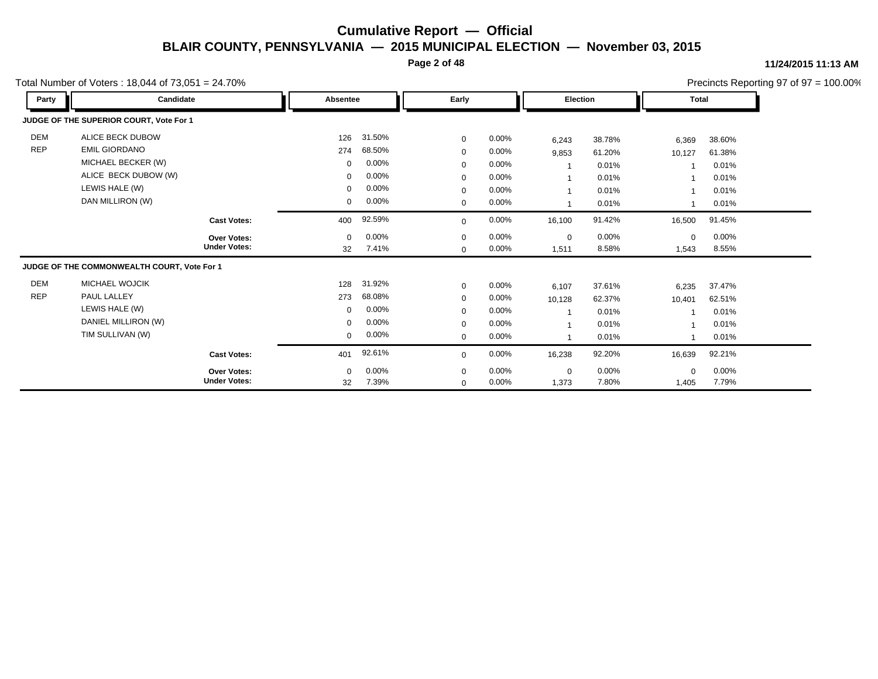**Page 2 of 48**

#### **11/24/2015 11:13 AM**

|            | Total Number of Voters: $18,044$ of $73,051 = 24.70\%$ |                     |             |        |             |          |                          |          |             |          | Precincts Reporting 97 of 97 = 100.00% |
|------------|--------------------------------------------------------|---------------------|-------------|--------|-------------|----------|--------------------------|----------|-------------|----------|----------------------------------------|
| Party      | Candidate                                              |                     | Absentee    |        | Early       |          | <b>Election</b>          |          | Total       |          |                                        |
|            | JUDGE OF THE SUPERIOR COURT, Vote For 1                |                     |             |        |             |          |                          |          |             |          |                                        |
| DEM        | ALICE BECK DUBOW                                       |                     | 126         | 31.50% | $\mathbf 0$ | 0.00%    | 6,243                    | 38.78%   | 6,369       | 38.60%   |                                        |
| <b>REP</b> | <b>EMIL GIORDANO</b>                                   |                     | 274         | 68.50% | $\mathbf 0$ | 0.00%    | 9,853                    | 61.20%   | 10,127      | 61.38%   |                                        |
|            | MICHAEL BECKER (W)                                     |                     | $\mathbf 0$ | 0.00%  | $\mathbf 0$ | 0.00%    | -1                       | 0.01%    |             | 0.01%    |                                        |
|            | ALICE BECK DUBOW (W)                                   |                     | $\mathbf 0$ | 0.00%  | $\mathbf 0$ | 0.00%    | $\overline{\phantom{a}}$ | 0.01%    |             | 0.01%    |                                        |
|            | LEWIS HALE (W)                                         |                     | $\mathbf 0$ | 0.00%  | $\mathbf 0$ | 0.00%    |                          | 0.01%    |             | 0.01%    |                                        |
|            | DAN MILLIRON (W)                                       |                     | 0           | 0.00%  | $\mathbf 0$ | 0.00%    |                          | 0.01%    |             | 0.01%    |                                        |
|            |                                                        | <b>Cast Votes:</b>  | 400         | 92.59% | $\mathbf 0$ | 0.00%    | 16,100                   | 91.42%   | 16,500      | 91.45%   |                                        |
|            |                                                        | Over Votes:         | $\Omega$    | 0.00%  | $\mathbf 0$ | $0.00\%$ | $\mathbf 0$              | 0.00%    | $\mathbf 0$ | 0.00%    |                                        |
|            |                                                        | <b>Under Votes:</b> | 32          | 7.41%  | $\mathbf 0$ | 0.00%    | 1,511                    | 8.58%    | 1,543       | 8.55%    |                                        |
|            | JUDGE OF THE COMMONWEALTH COURT, Vote For 1            |                     |             |        |             |          |                          |          |             |          |                                        |
| <b>DEM</b> | <b>MICHAEL WOJCIK</b>                                  |                     | 128         | 31.92% | $\mathbf 0$ | $0.00\%$ | 6,107                    | 37.61%   | 6,235       | 37.47%   |                                        |
| <b>REP</b> | PAUL LALLEY                                            |                     | 273         | 68.08% | $\mathbf 0$ | $0.00\%$ | 10,128                   | 62.37%   | 10,401      | 62.51%   |                                        |
|            | LEWIS HALE (W)                                         |                     | $\mathbf 0$ | 0.00%  | $\mathbf 0$ | 0.00%    | $\overline{\phantom{a}}$ | 0.01%    |             | 0.01%    |                                        |
|            | DANIEL MILLIRON (W)                                    |                     | $\mathbf 0$ | 0.00%  | $\mathbf 0$ | 0.00%    | 1                        | 0.01%    |             | 0.01%    |                                        |
|            | TIM SULLIVAN (W)                                       |                     | $\mathbf 0$ | 0.00%  | $\mathbf 0$ | 0.00%    | -1                       | 0.01%    |             | 0.01%    |                                        |
|            |                                                        | <b>Cast Votes:</b>  | 401         | 92.61% | $\mathbf 0$ | 0.00%    | 16,238                   | 92.20%   | 16,639      | 92.21%   |                                        |
|            |                                                        | Over Votes:         | $\mathbf 0$ | 0.00%  | $\mathbf 0$ | 0.00%    | $\mathbf 0$              | $0.00\%$ | $\mathbf 0$ | $0.00\%$ |                                        |
|            |                                                        | <b>Under Votes:</b> | 32          | 7.39%  | $\mathbf 0$ | 0.00%    | 1,373                    | 7.80%    | 1,405       | 7.79%    |                                        |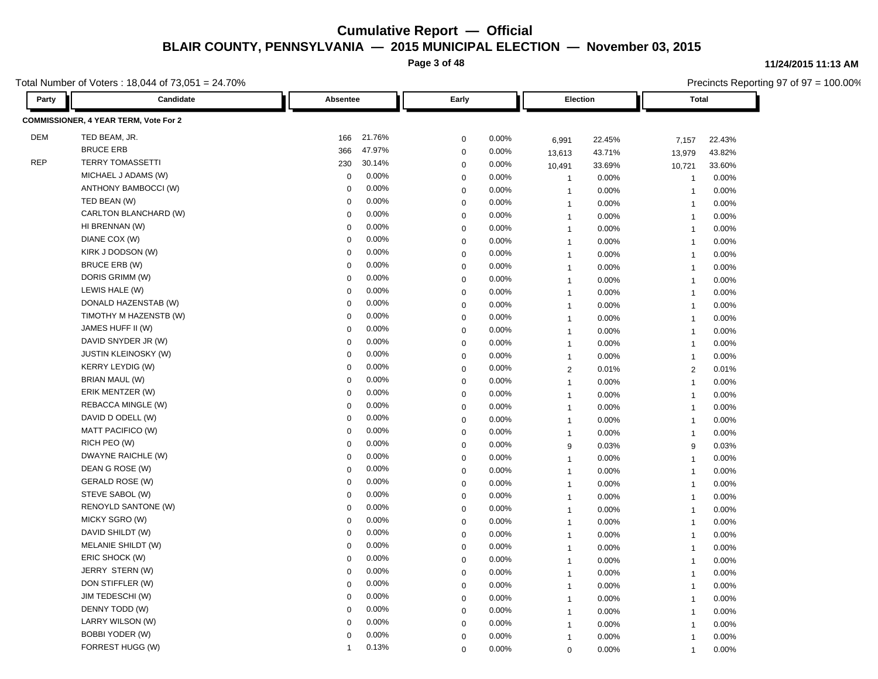**Page 3 of 48**

**11/24/2015 11:13 AM**

Total Number of Voters : 18,044 of 73,051 = 24.70%

| otal Number of Voters : 18,044 of 73,051 = 24.70% |                                       |              |        |             |       |                |        |                         | Precincts Reporting 97 of 97 = 100.00% |  |  |
|---------------------------------------------------|---------------------------------------|--------------|--------|-------------|-------|----------------|--------|-------------------------|----------------------------------------|--|--|
| Party                                             | Candidate                             | Absentee     |        | Early       |       | Election       |        | <b>Total</b>            |                                        |  |  |
|                                                   | COMMISSIONER, 4 YEAR TERM, Vote For 2 |              |        |             |       |                |        |                         |                                        |  |  |
| <b>DEM</b>                                        | TED BEAM, JR.                         | 166          | 21.76% | $\mathbf 0$ | 0.00% | 6,991          | 22.45% | 7,157                   | 22.43%                                 |  |  |
|                                                   | <b>BRUCE ERB</b>                      | 366          | 47.97% | $\mathbf 0$ | 0.00% | 13,613         | 43.71% | 13,979                  | 43.82%                                 |  |  |
| <b>REP</b>                                        | <b>TERRY TOMASSETTI</b>               | 230          | 30.14% | $\mathbf 0$ | 0.00% | 10,491         | 33.69% | 10,721                  | 33.60%                                 |  |  |
|                                                   | MICHAEL J ADAMS (W)                   | $\Omega$     | 0.00%  | $\mathbf 0$ | 0.00% | $\overline{1}$ | 0.00%  | $\overline{1}$          | 0.00%                                  |  |  |
|                                                   | ANTHONY BAMBOCCI (W)                  | $\mathbf 0$  | 0.00%  | $\mathbf 0$ | 0.00% | $\overline{1}$ | 0.00%  | $\overline{1}$          | 0.00%                                  |  |  |
|                                                   | TED BEAN (W)                          | 0            | 0.00%  | $\mathbf 0$ | 0.00% | $\mathbf{1}$   | 0.00%  | $\overline{\mathbf{1}}$ | 0.00%                                  |  |  |
|                                                   | CARLTON BLANCHARD (W)                 | $\mathbf 0$  | 0.00%  | $\mathbf 0$ | 0.00% | $\mathbf{1}$   | 0.00%  | $\overline{1}$          | 0.00%                                  |  |  |
|                                                   | HI BRENNAN (W)                        | $\mathbf 0$  | 0.00%  | $\mathbf 0$ | 0.00% | $\overline{1}$ | 0.00%  | $\overline{1}$          | 0.00%                                  |  |  |
|                                                   | DIANE COX (W)                         | 0            | 0.00%  | $\mathbf 0$ | 0.00% | $\overline{1}$ | 0.00%  | $\overline{1}$          | 0.00%                                  |  |  |
|                                                   | KIRK J DODSON (W)                     | $\mathbf 0$  | 0.00%  | $\mathbf 0$ | 0.00% | $\overline{1}$ | 0.00%  | $\overline{1}$          | 0.00%                                  |  |  |
|                                                   | <b>BRUCE ERB (W)</b>                  | $\mathbf 0$  | 0.00%  | $\mathbf 0$ | 0.00% | $\mathbf{1}$   | 0.00%  | $\overline{1}$          | 0.00%                                  |  |  |
|                                                   | DORIS GRIMM (W)                       | 0            | 0.00%  | $\mathbf 0$ | 0.00% | $\mathbf{1}$   | 0.00%  | $\mathbf{1}$            | 0.00%                                  |  |  |
|                                                   | LEWIS HALE (W)                        | $\Omega$     | 0.00%  | $\mathbf 0$ | 0.00% | $\mathbf{1}$   | 0.00%  | $\overline{1}$          | 0.00%                                  |  |  |
|                                                   | DONALD HAZENSTAB (W)                  | $\mathbf 0$  | 0.00%  | $\mathbf 0$ | 0.00% | $\overline{1}$ | 0.00%  | $\overline{1}$          | 0.00%                                  |  |  |
|                                                   | TIMOTHY M HAZENSTB (W)                | 0            | 0.00%  | $\mathbf 0$ | 0.00% | $\overline{1}$ | 0.00%  | $\overline{1}$          | 0.00%                                  |  |  |
|                                                   | JAMES HUFF II (W)                     | $\mathbf 0$  | 0.00%  | $\mathbf 0$ | 0.00% | $\mathbf{1}$   | 0.00%  | $\overline{1}$          | 0.00%                                  |  |  |
|                                                   | DAVID SNYDER JR (W)                   | $\Omega$     | 0.00%  | $\mathbf 0$ | 0.00% | $\mathbf{1}$   | 0.00%  | $\overline{1}$          | 0.00%                                  |  |  |
|                                                   | <b>JUSTIN KLEINOSKY (W)</b>           | 0            | 0.00%  | $\mathbf 0$ | 0.00% | $\mathbf{1}$   | 0.00%  | $\overline{1}$          | 0.00%                                  |  |  |
|                                                   | <b>KERRY LEYDIG (W)</b>               | $\mathbf 0$  | 0.00%  | $\mathbf 0$ | 0.00% | $\overline{2}$ | 0.01%  | $\overline{2}$          | 0.01%                                  |  |  |
|                                                   | BRIAN MAUL (W)                        | $\mathbf 0$  | 0.00%  | $\mathbf 0$ | 0.00% | $\overline{1}$ | 0.00%  | $\overline{1}$          | 0.00%                                  |  |  |
|                                                   | ERIK MENTZER (W)                      | 0            | 0.00%  | $\mathbf 0$ | 0.00% | $\mathbf{1}$   | 0.00%  | $\overline{1}$          | 0.00%                                  |  |  |
|                                                   | REBACCA MINGLE (W)                    | $\Omega$     | 0.00%  | $\mathbf 0$ | 0.00% | $\mathbf{1}$   | 0.00%  | $\overline{1}$          | 0.00%                                  |  |  |
|                                                   | DAVID D ODELL (W)                     | 0            | 0.00%  | $\mathbf 0$ | 0.00% | $\overline{1}$ | 0.00%  | $\overline{1}$          | 0.00%                                  |  |  |
|                                                   | MATT PACIFICO (W)                     | $\mathbf 0$  | 0.00%  | $\mathbf 0$ | 0.00% | $\overline{1}$ | 0.00%  | $\overline{1}$          | 0.00%                                  |  |  |
|                                                   | RICH PEO (W)                          | $\Omega$     | 0.00%  | $\pmb{0}$   | 0.00% | 9              | 0.03%  | 9                       | 0.03%                                  |  |  |
|                                                   | DWAYNE RAICHLE (W)                    | $\mathbf 0$  | 0.00%  | $\mathbf 0$ | 0.00% | $\mathbf{1}$   | 0.00%  | $\overline{\mathbf{1}}$ | 0.00%                                  |  |  |
|                                                   | DEAN G ROSE (W)                       | $\Omega$     | 0.00%  | $\mathbf 0$ | 0.00% | $\mathbf{1}$   | 0.00%  | $\overline{1}$          | 0.00%                                  |  |  |
|                                                   | <b>GERALD ROSE (W)</b>                | 0            | 0.00%  | $\mathbf 0$ | 0.00% | $\overline{1}$ | 0.00%  | $\overline{1}$          | 0.00%                                  |  |  |
|                                                   | STEVE SABOL (W)                       | 0            | 0.00%  | $\mathbf 0$ | 0.00% | $\overline{1}$ | 0.00%  | $\overline{1}$          | 0.00%                                  |  |  |
|                                                   | RENOYLD SANTONE (W)                   | $\mathbf 0$  | 0.00%  | $\pmb{0}$   | 0.00% | $\mathbf{1}$   | 0.00%  | $\overline{1}$          | 0.00%                                  |  |  |
|                                                   | MICKY SGRO (W)                        | $\mathbf 0$  | 0.00%  | $\mathbf 0$ | 0.00% | $\mathbf{1}$   | 0.00%  | $\overline{1}$          | 0.00%                                  |  |  |
|                                                   | DAVID SHILDT (W)                      | $\mathbf 0$  | 0.00%  | $\mathbf 0$ | 0.00% | $\overline{1}$ | 0.00%  | $\overline{1}$          | 0.00%                                  |  |  |
|                                                   | MELANIE SHILDT (W)                    | $\Omega$     | 0.00%  | $\mathbf 0$ | 0.00% | $\overline{1}$ | 0.00%  | $\overline{1}$          | 0.00%                                  |  |  |
|                                                   | ERIC SHOCK (W)                        | 0            | 0.00%  | $\mathbf 0$ | 0.00% | $\overline{1}$ | 0.00%  | $\overline{1}$          | 0.00%                                  |  |  |
|                                                   | JERRY STERN (W)                       | $\mathbf 0$  | 0.00%  | $\mathbf 0$ | 0.00% | $\overline{1}$ | 0.00%  | $\overline{1}$          | 0.00%                                  |  |  |
|                                                   | DON STIFFLER (W)                      | $\mathbf 0$  | 0.00%  | $\mathbf 0$ | 0.00% | $\mathbf{1}$   | 0.00%  | $\overline{1}$          | 0.00%                                  |  |  |
|                                                   | JIM TEDESCHI (W)                      | $\mathbf 0$  | 0.00%  | $\mathbf 0$ | 0.00% | $\mathbf{1}$   | 0.00%  | $\overline{1}$          | 0.00%                                  |  |  |
|                                                   | DENNY TODD (W)                        | $\mathbf 0$  | 0.00%  | $\mathbf 0$ | 0.00% | $\mathbf{1}$   | 0.00%  | $\overline{1}$          | 0.00%                                  |  |  |
|                                                   | LARRY WILSON (W)                      | $\Omega$     | 0.00%  | $\mathbf 0$ | 0.00% | $\mathbf{1}$   | 0.00%  | -1                      | 0.00%                                  |  |  |
|                                                   | <b>BOBBI YODER (W)</b>                | $\Omega$     | 0.00%  | $\mathbf 0$ | 0.00% | $\overline{1}$ | 0.00%  | $\overline{1}$          | 0.00%                                  |  |  |
|                                                   | FORREST HUGG (W)                      | $\mathbf{1}$ | 0.13%  | $\Omega$    | 0.00% | $\Omega$       | 0.00%  | $\overline{1}$          | 0.00%                                  |  |  |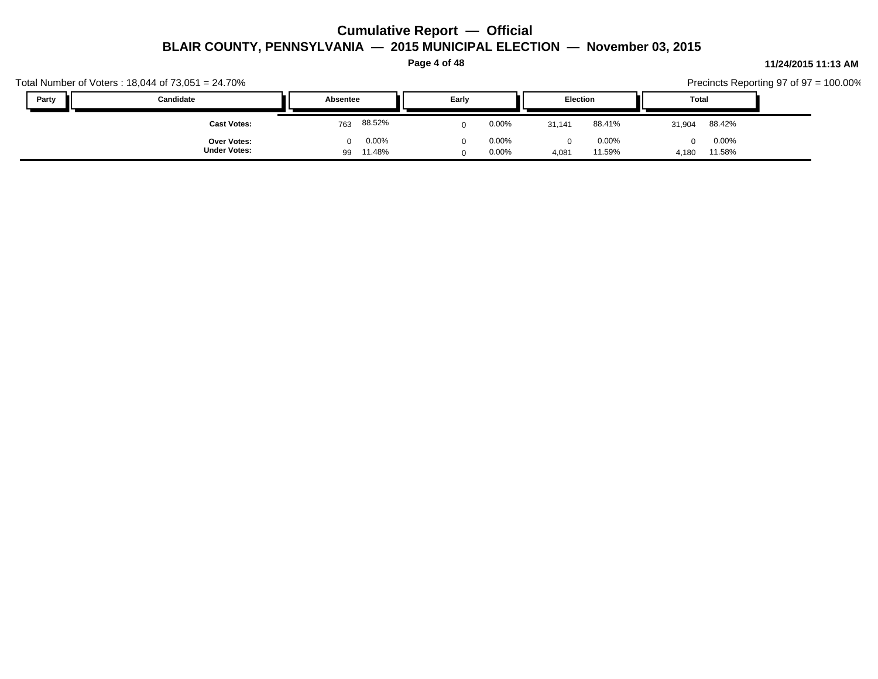**Page 4 of 48**

|       | Total Number of Voters: $18,044$ of $73,051 = 24.70\%$ |                                   |                   |                                         |                          | Precincts Reporting 97 of $97 = 100.00\%$ |
|-------|--------------------------------------------------------|-----------------------------------|-------------------|-----------------------------------------|--------------------------|-------------------------------------------|
| Party | Candidate                                              | Absentee                          | Early             | Election                                | Total                    |                                           |
|       | <b>Cast Votes:</b>                                     | 88.52%<br>763                     | $0.00\%$          | 88.41%<br>31.141                        | 88.42%<br>31,904         |                                           |
|       | <b>Over Votes:</b><br><b>Under Votes:</b>              | 0.00%<br>$\Omega$<br>11.48%<br>99 | $0.00\%$<br>0.00% | $0.00\%$<br>$\Omega$<br>11.59%<br>4,081 | 0.00%<br>11.58%<br>4,180 |                                           |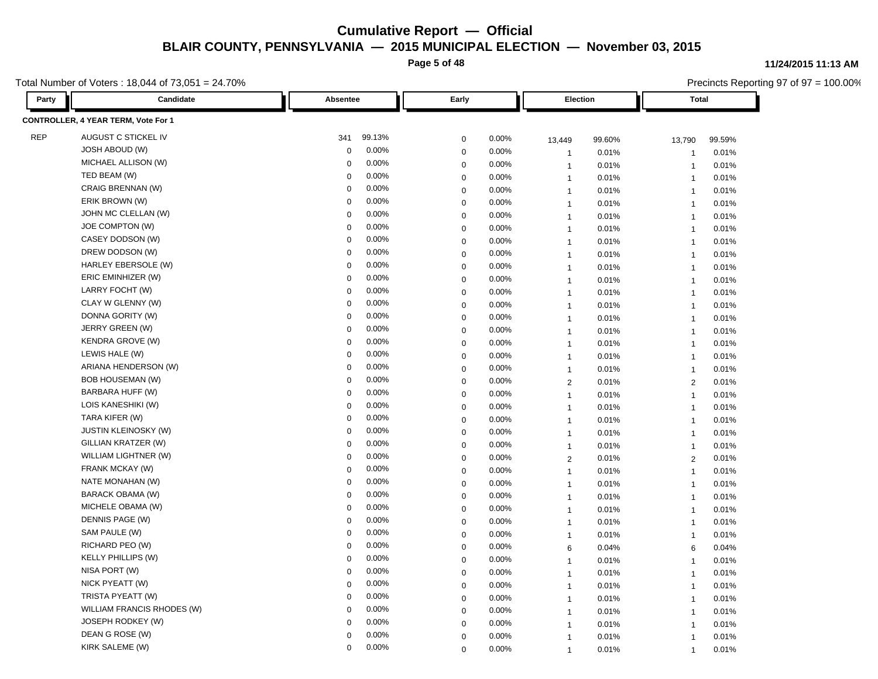**Page 5 of 48**

Total Number of Voters : 18,044 of 73,051 = 24.70%

#### **Party Candidate Absentee Early Election Total CONTROLLER, 4 YEAR TERM, Vote For 1** REP AUGUST C STICKEL IV 341 99.13% 0 0.00% 13,449 99.60% 13,790 99.59% JOSH ABOUD (W) 0 0.00% 0 0.00% 1 0.01% 1 0.01% MICHAEL ALLISON (W) 0 0.00% 0 0.00% 1 0.01% 1 0.01% TED BEAM (W) 0 0.00% 0 0.00% 1 0.01% 1 0.01% CRAIG BRENNAN (W) 0 0.00% 0 0.00% 1 0.01% 1 0.01% ERIK BROWN (W) 0 0.00% 0 0.00% 1 0.01% 1 0.01% JOHN MC CLELLAN (W) 0 0.00% 0 0.00% 1 0.01% 1 0.01% JOE COMPTON (W) 0 0.00% 0 0.00% 1 0.01% 1 0.01% CASEY DODSON (W) 0 0.00% 0 0.00% 1 0.01% 1 0.01% DREW DODSON (W) 0 0.00% 0 0.00% 1 0.01% 1 0.01% HARLEY EBERSOLE (W) 0 0.00% 0 0.00% 1 0.01% 1 0.01% ERIC EMINHIZER (W) 0 0.00% 0 0.00% 1 0.01% 1 0.01% LARRY FOCHT (W) 0 0.00% 0 0.00% 1 0.01% 1 0.01% CLAY W GLENNY (W) 0 0.00% 0 0.00% 1 0.01% 1 0.01% DONNA GORITY (W) 0 0.00% 0 0.00% 1 0.01% 1 0.01% JERRY GREEN (W) 0 0.00% 0 0.00% 1 0.01% 1 0.01% KENDRA GROVE (W) 0 0.00% 0 0.00% 1 0.01% 1 0.01% LEWIS HALE (W) 0 0.00% 0 0.00% 1 0.01% 1 0.01% ARIANA HENDERSON (W) 0 0.00% 0 0.00% 1 0.01% 1 0.01% BOB HOUSEMAN (W) 0 0.00% 0 0.00% 2 0.01% 2 0.01% BARBARA HUFF (W) 0 0.00% 0 0.00% 1 0.01% 1 0.01% LOIS KANESHIKI (W) 0 0.00% 0 0.00% 1 0.01% 1 0.01% TARA KIFER (W) 0 0.00% 0 0.00% 1 0.01% 1 0.01% JUSTIN KLEINOSKY (W) 0 0.00% 0 0.00% 1 0.01% 1 0.01% GILLIAN KRATZER (W) 0 0.00% 0 0.00% 1 0.01% 1 0.01% WILLIAM LIGHTNER (W) 0 0.00% 0 0.00% 2 0.01% 2 0.01% FRANK MCKAY (W) 0 0.00% 0 0.00% 1 0.01% 1 0.01% NATE MONAHAN (W) 0 0.00% 0 0.00% 1 0.01% 1 0.01% BARACK OBAMA (W) 0 0.00% 0 0.00% 1 0.01% 1 0.01% MICHELE OBAMA (W) 0 0.00% 0 0.00% 1 0.01% 1 0.01% DENNIS PAGE (W) 0 0.00% 0 0.00% 1 0.01% 1 0.01% SAM PAULE (W) 0 0.00% 0 0.00% 1 0.01% 1 0.01% RICHARD PEO (W) 0 0.00% 0 0.00% 6 0.04% 6 0.04% KELLY PHILLIPS (W) 0 0.00% 0 0.00% 1 0.01% 1 0.01% NISA PORT (W) 0 0.00% 0 0.00% 1 0.01% 1 0.01% 1 NICK PYEATT (W) 0 0.00% 0 0.00% 1 0.01% 1 0.01% TRISTA PYEATT (W) 0 0.00% 0 0.00% 1 0.01% 1 0.01% WILLIAM FRANCIS RHODES (W)  $\begin{array}{ccccccc}\n0 & 0.00\% & 0 & 0.00\% & 1 & 0.01\% & 1 & 0.01\% & 1\n\end{array}$ JOSEPH RODKEY (W) 0 0.00% 0 0.00% 1 0.01% 1 0.01% DEAN G ROSE (W) 0 0.00% 0 0.00% 1 0.01% 1 0.01%

KIRK SALEME (W) 0 0.00% 0 0.00% 1 0.01% 1 0.01%

**11/24/2015 11:13 AM**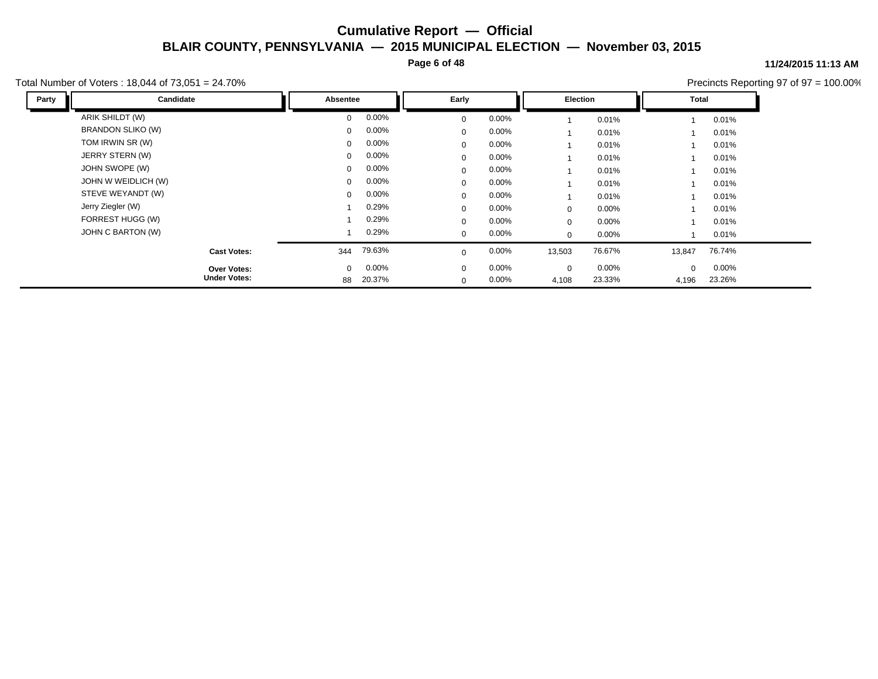**Page 6 of 48**

#### **11/24/2015 11:13 AM**

Total Number of Voters : 18,044 of 73,051 = 24.70%

| Party | Candidate           | Absentee     |        | Early        |          | Election    |          | Total    |          |  |
|-------|---------------------|--------------|--------|--------------|----------|-------------|----------|----------|----------|--|
|       | ARIK SHILDT (W)     | $\Omega$     | 0.00%  | $\mathbf{0}$ | $0.00\%$ |             | 0.01%    |          | 0.01%    |  |
|       | BRANDON SLIKO (W)   | $\mathbf{0}$ | 0.00%  | 0            | $0.00\%$ |             | 0.01%    |          | 0.01%    |  |
|       | TOM IRWIN SR (W)    | $\mathbf{0}$ | 0.00%  | $\mathbf{0}$ | $0.00\%$ |             | 0.01%    |          | 0.01%    |  |
|       | JERRY STERN (W)     | $\mathbf{0}$ | 0.00%  | $\mathbf{0}$ | $0.00\%$ |             | 0.01%    |          | 0.01%    |  |
|       | JOHN SWOPE (W)      | $\Omega$     | 0.00%  | $\mathbf{0}$ | $0.00\%$ |             | 0.01%    |          | 0.01%    |  |
|       | JOHN W WEIDLICH (W) | $\mathbf{0}$ | 0.00%  | $\mathbf{0}$ | $0.00\%$ |             | 0.01%    |          | 0.01%    |  |
|       | STEVE WEYANDT (W)   | $\mathbf{0}$ | 0.00%  | $\mathbf{0}$ | $0.00\%$ |             | 0.01%    |          | 0.01%    |  |
|       | Jerry Ziegler (W)   |              | 0.29%  | $\mathbf{0}$ | $0.00\%$ | $\mathbf 0$ | 0.00%    |          | 0.01%    |  |
|       | FORREST HUGG (W)    |              | 0.29%  | $\mathbf{0}$ | $0.00\%$ | $\mathbf 0$ | $0.00\%$ |          | 0.01%    |  |
|       | JOHN C BARTON (W)   |              | 0.29%  | $\mathbf{0}$ | $0.00\%$ | 0           | $0.00\%$ |          | 0.01%    |  |
|       | <b>Cast Votes:</b>  | 344          | 79.63% | 0            | $0.00\%$ | 13,503      | 76.67%   | 13,847   | 76.74%   |  |
|       | <b>Over Votes:</b>  | $\mathbf{0}$ | 0.00%  | $\mathbf{0}$ | $0.00\%$ | $\mathbf 0$ | $0.00\%$ | $\Omega$ | $0.00\%$ |  |
|       | <b>Under Votes:</b> | 88           | 20.37% | $\mathbf{0}$ | $0.00\%$ | 4,108       | 23.33%   | 4,196    | 23.26%   |  |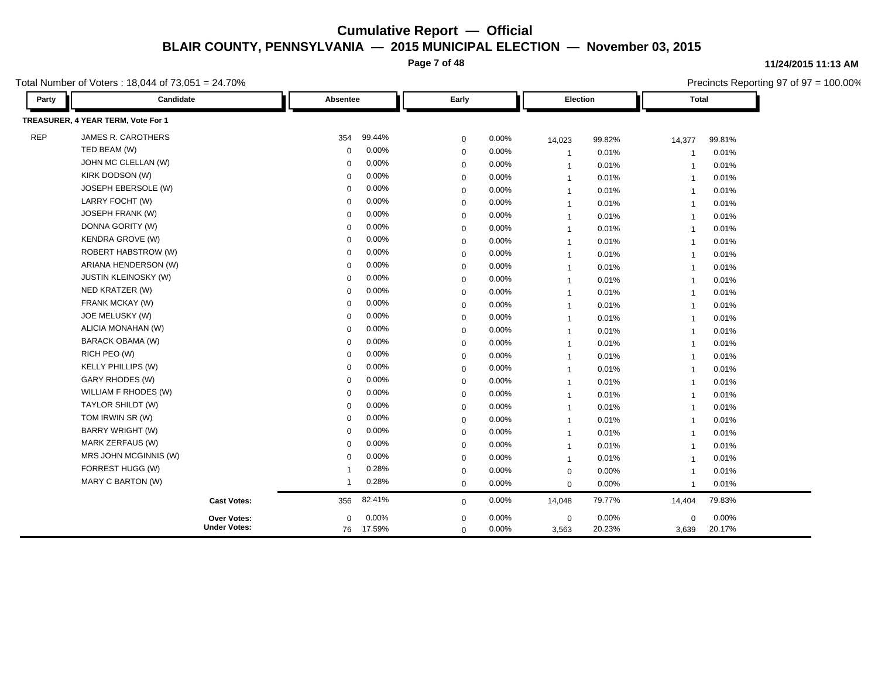**Page 7 of 48**

Total Number of Voters : 18,044 of 73,051 = 24.70%

| Party      | Candidate                          | Absentee       |        | Early       |       | Election       |        | <b>Total</b>            |          |
|------------|------------------------------------|----------------|--------|-------------|-------|----------------|--------|-------------------------|----------|
|            | TREASURER, 4 YEAR TERM, Vote For 1 |                |        |             |       |                |        |                         |          |
| <b>REP</b> | JAMES R. CAROTHERS                 | 354            | 99.44% | $\mathbf 0$ | 0.00% | 14,023         | 99.82% | 14,377                  | 99.81%   |
|            | TED BEAM (W)                       | 0              | 0.00%  | $\mathbf 0$ | 0.00% | $\overline{1}$ | 0.01%  | -1                      | 0.01%    |
|            | JOHN MC CLELLAN (W)                | 0              | 0.00%  | $\mathbf 0$ | 0.00% | $\overline{1}$ | 0.01%  | $\overline{1}$          | 0.01%    |
|            | KIRK DODSON (W)                    | 0              | 0.00%  | $\mathbf 0$ | 0.00% | $\overline{1}$ | 0.01%  | $\overline{\mathbf{1}}$ | 0.01%    |
|            | JOSEPH EBERSOLE (W)                | 0              | 0.00%  | $\mathbf 0$ | 0.00% | $\overline{1}$ | 0.01%  | $\overline{1}$          | 0.01%    |
|            | LARRY FOCHT (W)                    | $\Omega$       | 0.00%  | $\mathbf 0$ | 0.00% | $\overline{1}$ | 0.01%  | $\overline{1}$          | 0.01%    |
|            | JOSEPH FRANK (W)                   | $\Omega$       | 0.00%  | $\mathbf 0$ | 0.00% | $\mathbf{1}$   | 0.01%  | $\overline{1}$          | 0.01%    |
|            | DONNA GORITY (W)                   | $\Omega$       | 0.00%  | $\mathbf 0$ | 0.00% | $\overline{1}$ | 0.01%  | $\overline{1}$          | 0.01%    |
|            | <b>KENDRA GROVE (W)</b>            | $\mathbf 0$    | 0.00%  | $\mathbf 0$ | 0.00% | $\overline{1}$ | 0.01%  | $\overline{1}$          | 0.01%    |
|            | <b>ROBERT HABSTROW (W)</b>         | $\mathbf 0$    | 0.00%  | $\mathbf 0$ | 0.00% | $\overline{1}$ | 0.01%  | $\overline{1}$          | 0.01%    |
|            | ARIANA HENDERSON (W)               | $\Omega$       | 0.00%  | $\mathbf 0$ | 0.00% | $\overline{1}$ | 0.01%  | $\overline{1}$          | 0.01%    |
|            | <b>JUSTIN KLEINOSKY (W)</b>        | $\Omega$       | 0.00%  | $\mathbf 0$ | 0.00% | $\overline{1}$ | 0.01%  | $\overline{1}$          | 0.01%    |
|            | NED KRATZER (W)                    | $\Omega$       | 0.00%  | $\mathbf 0$ | 0.00% | $\overline{1}$ | 0.01%  | $\overline{1}$          | 0.01%    |
|            | FRANK MCKAY (W)                    | $\Omega$       | 0.00%  | $\mathbf 0$ | 0.00% | $\overline{1}$ | 0.01%  | $\overline{1}$          | 0.01%    |
|            | JOE MELUSKY (W)                    | $\mathbf 0$    | 0.00%  | $\mathbf 0$ | 0.00% | $\overline{1}$ | 0.01%  | $\overline{1}$          | 0.01%    |
|            | ALICIA MONAHAN (W)                 | $\mathbf 0$    | 0.00%  | $\mathbf 0$ | 0.00% | $\overline{1}$ | 0.01%  | $\overline{1}$          | 0.01%    |
|            | BARACK OBAMA (W)                   | $\Omega$       | 0.00%  | $\mathbf 0$ | 0.00% | $\mathbf{1}$   | 0.01%  | $\overline{1}$          | 0.01%    |
|            | RICH PEO (W)                       | $\mathbf 0$    | 0.00%  | $\mathbf 0$ | 0.00% | $\overline{1}$ | 0.01%  | $\overline{1}$          | 0.01%    |
|            | <b>KELLY PHILLIPS (W)</b>          | $\Omega$       | 0.00%  | $\mathbf 0$ | 0.00% | $\overline{1}$ | 0.01%  | $\overline{1}$          | 0.01%    |
|            | <b>GARY RHODES (W)</b>             | $\mathbf 0$    | 0.00%  | $\mathbf 0$ | 0.00% | $\overline{1}$ | 0.01%  | $\overline{1}$          | 0.01%    |
|            | WILLIAM F RHODES (W)               | $\Omega$       | 0.00%  | $\mathbf 0$ | 0.00% | $\mathbf{1}$   | 0.01%  | $\overline{\mathbf{1}}$ | 0.01%    |
|            | TAYLOR SHILDT (W)                  | $\Omega$       | 0.00%  | $\mathbf 0$ | 0.00% | $\overline{1}$ | 0.01%  | $\overline{1}$          | 0.01%    |
|            | TOM IRWIN SR (W)                   | $\mathbf 0$    | 0.00%  | $\mathbf 0$ | 0.00% | $\overline{1}$ | 0.01%  | $\overline{1}$          | 0.01%    |
|            | <b>BARRY WRIGHT (W)</b>            | 0              | 0.00%  | $\mathbf 0$ | 0.00% | $\overline{1}$ | 0.01%  | $\overline{1}$          | 0.01%    |
|            | MARK ZERFAUS (W)                   | $\Omega$       | 0.00%  | $\mathbf 0$ | 0.00% | $\overline{1}$ | 0.01%  | $\overline{\mathbf{1}}$ | 0.01%    |
|            | MRS JOHN MCGINNIS (W)              | $\Omega$       | 0.00%  | $\mathbf 0$ | 0.00% | $\mathbf{1}$   | 0.01%  | $\overline{1}$          | 0.01%    |
|            | FORREST HUGG (W)                   | -1             | 0.28%  | 0           | 0.00% | $\mathbf 0$    | 0.00%  | $\overline{\mathbf{1}}$ | 0.01%    |
|            | MARY C BARTON (W)                  | $\overline{1}$ | 0.28%  | $\mathbf 0$ | 0.00% | $\mathbf 0$    | 0.00%  | $\overline{1}$          | 0.01%    |
|            | <b>Cast Votes:</b>                 | 356            | 82.41% | $\mathbf 0$ | 0.00% | 14,048         | 79.77% | 14,404                  | 79.83%   |
|            | Over Votes:                        | $\mathbf 0$    | 0.00%  | $\mathbf 0$ | 0.00% | $\mathbf 0$    | 0.00%  | $\mathbf 0$             | $0.00\%$ |
|            | <b>Under Votes:</b>                | 76 17.59%      |        | $\mathbf 0$ | 0.00% | 3,563          | 20.23% | 3,639                   | 20.17%   |

**11/24/2015 11:13 AM**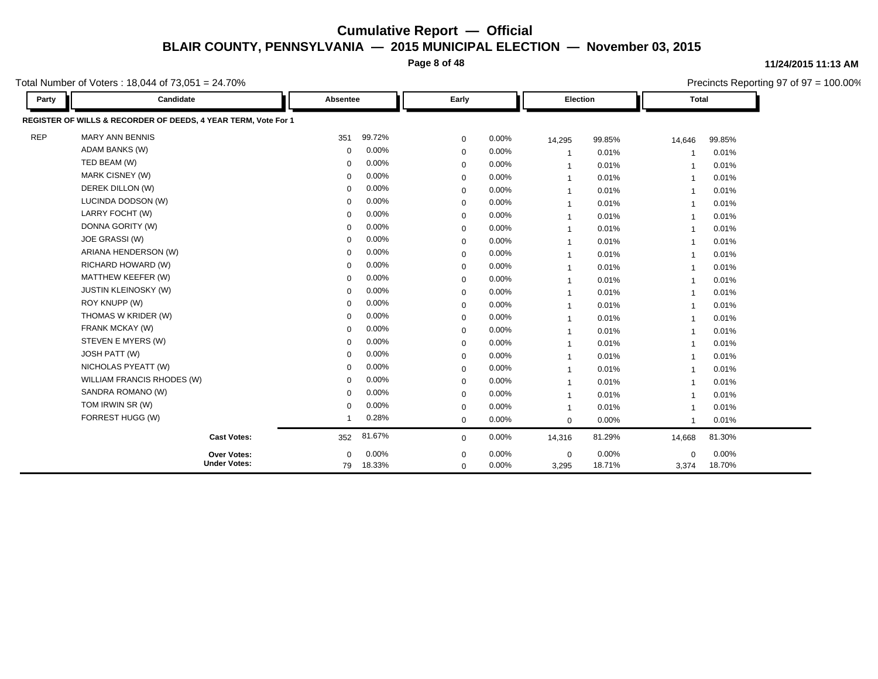**Page 8 of 48**

#### **11/24/2015 11:13 AM**

Precincts Reporting 97 of 97 = 100.00%

Total Number of Voters : 18,044 of 73,051 = 24.70%

| Party      | Candidate                                                      | Absentee    |        | Early        |          | Election       |        | <b>Total</b>   |        |
|------------|----------------------------------------------------------------|-------------|--------|--------------|----------|----------------|--------|----------------|--------|
|            | REGISTER OF WILLS & RECORDER OF DEEDS, 4 YEAR TERM, Vote For 1 |             |        |              |          |                |        |                |        |
| <b>REP</b> | <b>MARY ANN BENNIS</b>                                         | 351         | 99.72% | 0            | 0.00%    | 14,295         | 99.85% | 14,646         | 99.85% |
|            | <b>ADAM BANKS (W)</b>                                          | $\Omega$    | 0.00%  | 0            | $0.00\%$ | $\overline{1}$ | 0.01%  | -1             | 0.01%  |
|            | TED BEAM (W)                                                   | $\mathbf 0$ | 0.00%  | 0            | $0.00\%$ | $\mathbf{1}$   | 0.01%  | $\overline{1}$ | 0.01%  |
|            | MARK CISNEY (W)                                                | $\mathbf 0$ | 0.00%  | 0            | $0.00\%$ | $\mathbf{1}$   | 0.01%  | $\overline{1}$ | 0.01%  |
|            | DEREK DILLON (W)                                               | $\Omega$    | 0.00%  | $\mathbf 0$  | $0.00\%$ | $\mathbf{1}$   | 0.01%  | $\overline{1}$ | 0.01%  |
|            | LUCINDA DODSON (W)                                             | $\Omega$    | 0.00%  | 0            | $0.00\%$ | $\mathbf{1}$   | 0.01%  | $\overline{1}$ | 0.01%  |
|            | LARRY FOCHT (W)                                                | $\mathbf 0$ | 0.00%  | $\mathbf 0$  | $0.00\%$ | $\mathbf{1}$   | 0.01%  | $\overline{1}$ | 0.01%  |
|            | DONNA GORITY (W)                                               | $\Omega$    | 0.00%  | $\mathbf 0$  | $0.00\%$ | $\mathbf{1}$   | 0.01%  | -1             | 0.01%  |
|            | JOE GRASSI (W)                                                 | $\Omega$    | 0.00%  | $\mathbf 0$  | $0.00\%$ | $\mathbf{1}$   | 0.01%  | $\overline{1}$ | 0.01%  |
|            | ARIANA HENDERSON (W)                                           | $\Omega$    | 0.00%  | $\mathbf 0$  | $0.00\%$ | 1              | 0.01%  | -1             | 0.01%  |
|            | RICHARD HOWARD (W)                                             | $\Omega$    | 0.00%  | 0            | $0.00\%$ | $\mathbf{1}$   | 0.01%  | $\overline{1}$ | 0.01%  |
|            | MATTHEW KEEFER (W)                                             | $\Omega$    | 0.00%  | $\mathbf 0$  | $0.00\%$ | $\mathbf{1}$   | 0.01%  | $\overline{1}$ | 0.01%  |
|            | <b>JUSTIN KLEINOSKY (W)</b>                                    | $\Omega$    | 0.00%  | $\mathbf 0$  | $0.00\%$ | $\mathbf{1}$   | 0.01%  | -1             | 0.01%  |
|            | ROY KNUPP (W)                                                  | $\Omega$    | 0.00%  | $\mathbf 0$  | $0.00\%$ | $\mathbf{1}$   | 0.01%  | $\overline{1}$ | 0.01%  |
|            | THOMAS W KRIDER (W)                                            |             | 0.00%  | 0            | $0.00\%$ | $\mathbf{1}$   | 0.01%  | $\overline{1}$ | 0.01%  |
|            | FRANK MCKAY (W)                                                | $\Omega$    | 0.00%  | $\mathbf 0$  | $0.00\%$ | $\mathbf 1$    | 0.01%  | $\overline{1}$ | 0.01%  |
|            | STEVEN E MYERS (W)                                             | $\Omega$    | 0.00%  | $\mathbf 0$  | $0.00\%$ | $\mathbf 1$    | 0.01%  | -1             | 0.01%  |
|            | JOSH PATT (W)                                                  |             | 0.00%  | $\Omega$     | $0.00\%$ | $\mathbf{1}$   | 0.01%  | $\overline{1}$ | 0.01%  |
|            | NICHOLAS PYEATT (W)                                            | $\Omega$    | 0.00%  | $\mathbf 0$  | $0.00\%$ | $\mathbf{1}$   | 0.01%  | -1             | 0.01%  |
|            | WILLIAM FRANCIS RHODES (W)                                     | $\Omega$    | 0.00%  | $\mathbf 0$  | $0.00\%$ | $\mathbf{1}$   | 0.01%  | $\overline{1}$ | 0.01%  |
|            | SANDRA ROMANO (W)                                              | $\Omega$    | 0.00%  | $\mathbf 0$  | $0.00\%$ | $\mathbf{1}$   | 0.01%  | $\overline{1}$ | 0.01%  |
|            | TOM IRWIN SR (W)                                               | $\Omega$    | 0.00%  | $\mathbf 0$  | $0.00\%$ | $\mathbf{1}$   | 0.01%  | $\overline{1}$ | 0.01%  |
|            | FORREST HUGG (W)                                               |             | 0.28%  | $\mathbf{0}$ | $0.00\%$ | $\mathbf 0$    | 0.00%  | $\overline{1}$ | 0.01%  |
|            | <b>Cast Votes:</b>                                             | 352         | 81.67% | $\mathbf 0$  | 0.00%    | 14,316         | 81.29% | 14,668         | 81.30% |
|            | Over Votes:                                                    | $\mathbf 0$ | 0.00%  | 0            | $0.00\%$ | $\mathbf 0$    | 0.00%  | 0              | 0.00%  |
|            | <b>Under Votes:</b>                                            | 79          | 18.33% | $\mathbf 0$  | 0.00%    | 3,295          | 18.71% | 3,374          | 18.70% |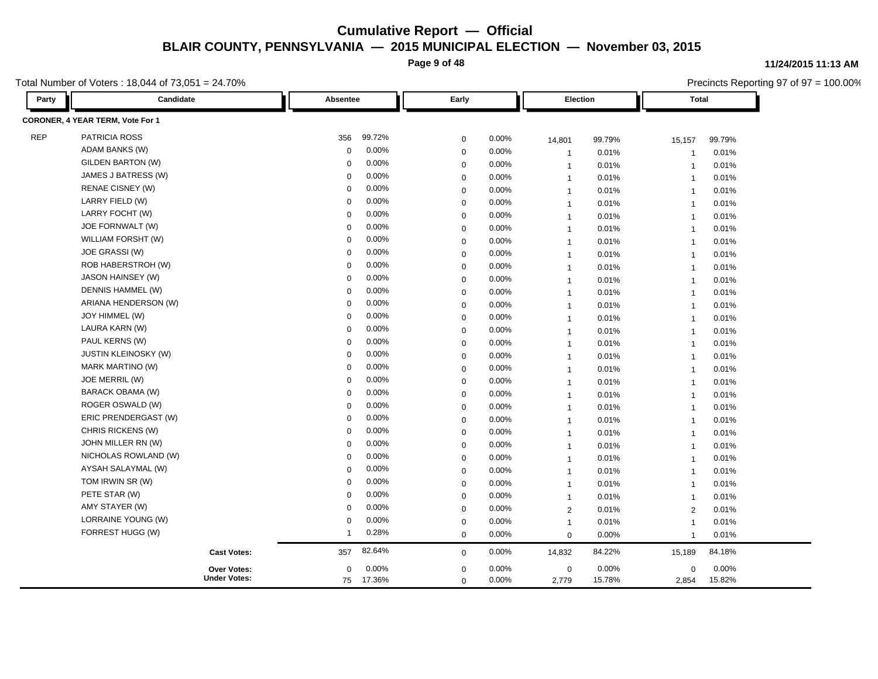**Page 9 of 48**

Total Number of Voters : 18,044 of 73,051 = 24.70%

| Party      | Candidate                        | Absentee                | Early                |       | Election       |          | <b>Total</b>            |        |
|------------|----------------------------------|-------------------------|----------------------|-------|----------------|----------|-------------------------|--------|
|            | CORONER, 4 YEAR TERM, Vote For 1 |                         |                      |       |                |          |                         |        |
| <b>REP</b> | PATRICIA ROSS                    | 99.72%<br>356           | $\mathbf 0$          | 0.00% | 14,801         | 99.79%   | 15,157                  | 99.79% |
|            | ADAM BANKS (W)                   | 0.00%<br>$\Omega$       | $\mathbf 0$          | 0.00% | $\overline{1}$ | 0.01%    | $\overline{\mathbf{1}}$ | 0.01%  |
|            | <b>GILDEN BARTON (W)</b>         | 0.00%<br>$\Omega$       | $\mathbf 0$          | 0.00% | $\mathbf{1}$   | 0.01%    | $\overline{1}$          | 0.01%  |
|            | JAMES J BATRESS (W)              | 0.00%<br>$\Omega$       | $\mathbf 0$          | 0.00% | $\overline{1}$ | 0.01%    | $\overline{1}$          | 0.01%  |
|            | RENAE CISNEY (W)                 | 0.00%<br>$\Omega$       | $\mathbf 0$          | 0.00% | $\mathbf{1}$   | 0.01%    | $\overline{\mathbf{1}}$ | 0.01%  |
|            | LARRY FIELD (W)                  | 0.00%<br>$\Omega$       | $\mathbf 0$          | 0.00% | $\mathbf{1}$   | 0.01%    | $\overline{1}$          | 0.01%  |
|            | LARRY FOCHT (W)                  | 0.00%<br>$\mathbf 0$    | $\mathbf 0$          | 0.00% | $\mathbf{1}$   | 0.01%    | $\overline{1}$          | 0.01%  |
|            | JOE FORNWALT (W)                 | 0.00%<br>$\mathbf 0$    | $\mathbf 0$          | 0.00% | $\overline{1}$ | 0.01%    | $\overline{1}$          | 0.01%  |
|            | WILLIAM FORSHT (W)               | 0.00%<br>$\mathbf 0$    | $\mathbf 0$          | 0.00% | $\overline{1}$ | 0.01%    | $\overline{1}$          | 0.01%  |
|            | JOE GRASSI (W)                   | 0.00%<br>$\mathbf 0$    | $\mathbf 0$          | 0.00% | $\overline{1}$ | 0.01%    | $\overline{1}$          | 0.01%  |
|            | ROB HABERSTROH (W)               | 0.00%<br>0              | $\mathbf 0$          | 0.00% | $\overline{1}$ | 0.01%    | $\overline{1}$          | 0.01%  |
|            | JASON HAINSEY (W)                | 0.00%<br>$\mathbf 0$    | $\mathbf 0$          | 0.00% | $\mathbf{1}$   | 0.01%    | $\overline{1}$          | 0.01%  |
|            | DENNIS HAMMEL (W)                | 0.00%<br>0              | $\mathbf 0$          | 0.00% | $\mathbf{1}$   | 0.01%    | $\overline{1}$          | 0.01%  |
|            | ARIANA HENDERSON (W)             | 0.00%<br>$\mathbf 0$    | $\mathbf 0$          | 0.00% | $\mathbf{1}$   | 0.01%    | $\overline{1}$          | 0.01%  |
|            | JOY HIMMEL (W)                   | $0.00\%$<br>$\mathbf 0$ | $\mathbf 0$          | 0.00% | $\mathbf{1}$   | 0.01%    | $\overline{1}$          | 0.01%  |
|            | LAURA KARN (W)                   | 0.00%<br>$\mathbf 0$    | $\mathbf 0$          | 0.00% | $\overline{1}$ | 0.01%    | $\mathbf{1}$            | 0.01%  |
|            | PAUL KERNS (W)                   | 0.00%<br>0              | $\mathbf 0$          | 0.00% | $\overline{1}$ | 0.01%    | $\overline{1}$          | 0.01%  |
|            | <b>JUSTIN KLEINOSKY (W)</b>      | 0.00%<br>$\Omega$       | $\mathbf 0$          | 0.00% | $\overline{1}$ | 0.01%    | $\overline{1}$          | 0.01%  |
|            | MARK MARTINO (W)                 | 0.00%<br>$\Omega$       | $\mathbf 0$          | 0.00% | $\overline{1}$ | 0.01%    | $\overline{1}$          | 0.01%  |
|            | JOE MERRIL (W)                   | 0.00%<br>$\Omega$       | $\mathbf 0$          | 0.00% | $\overline{1}$ | 0.01%    | $\overline{1}$          | 0.01%  |
|            | BARACK OBAMA (W)                 | 0.00%<br>$\Omega$       | $\mathbf 0$          | 0.00% | $\overline{1}$ | 0.01%    | $\overline{1}$          | 0.01%  |
|            | ROGER OSWALD (W)                 | 0.00%<br>$\Omega$       | $\mathbf 0$          | 0.00% | $\overline{1}$ | 0.01%    | $\overline{1}$          | 0.01%  |
|            | ERIC PRENDERGAST (W)             | 0.00%<br>$\Omega$       | $\mathbf 0$          | 0.00% | $\overline{1}$ | 0.01%    | $\overline{1}$          | 0.01%  |
|            | CHRIS RICKENS (W)                | 0.00%<br>$\Omega$       | $\mathbf 0$          | 0.00% | $\overline{1}$ | 0.01%    | $\overline{1}$          | 0.01%  |
|            | JOHN MILLER RN (W)               | 0.00%<br>$\mathbf 0$    | $\mathbf 0$          | 0.00% | $\mathbf{1}$   | 0.01%    | $\overline{1}$          | 0.01%  |
|            | NICHOLAS ROWLAND (W)             | 0.00%<br>$\mathbf 0$    | $\mathbf 0$          | 0.00% | $\mathbf{1}$   | 0.01%    | $\overline{1}$          | 0.01%  |
|            | AYSAH SALAYMAL (W)               | 0.00%<br>$\mathbf 0$    | $\mathbf 0$          | 0.00% | $\mathbf{1}$   | 0.01%    | $\overline{1}$          | 0.01%  |
|            | TOM IRWIN SR (W)                 | 0.00%<br>$\Omega$       | $\mathbf 0$          | 0.00% | $\overline{1}$ | 0.01%    | $\overline{1}$          | 0.01%  |
|            | PETE STAR (W)                    | 0.00%<br>$\mathbf 0$    | $\mathbf 0$          | 0.00% | $\overline{1}$ | 0.01%    | $\overline{1}$          | 0.01%  |
|            | AMY STAYER (W)                   | 0.00%<br>$\Omega$       | $\mathbf 0$          | 0.00% | $\overline{2}$ | 0.01%    | $\overline{2}$          | 0.01%  |
|            | LORRAINE YOUNG (W)               | $\mathbf 0$             | 0.00%<br>$\mathbf 0$ | 0.00% | $\mathbf{1}$   | 0.01%    | $\overline{1}$          | 0.01%  |
|            | FORREST HUGG (W)                 | 0.28%<br>1              | $\mathbf 0$          | 0.00% | $\mathbf 0$    | 0.00%    | $\overline{1}$          | 0.01%  |
|            | <b>Cast Votes:</b>               | 82.64%<br>357           | $\mathbf 0$          | 0.00% | 14,832         | 84.22%   | 15,189                  | 84.18% |
|            | <b>Over Votes:</b>               | $0.00\%$<br>0           | $\mathbf 0$          | 0.00% | $\mathbf 0$    | $0.00\%$ | $\mathbf 0$             | 0.00%  |
|            | <b>Under Votes:</b>              | 75<br>17.36%            | $\mathbf 0$          | 0.00% | 2,779          | 15.78%   | 2,854                   | 15.82% |

**11/24/2015 11:13 AM**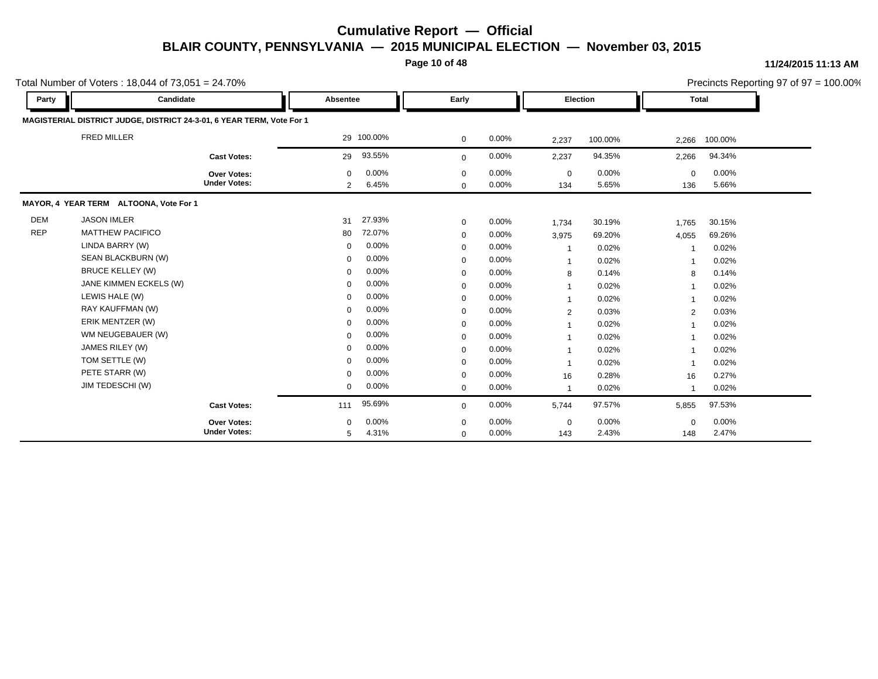**Page 10 of 48**

|            | Total Number of Voters: 18,044 of $73,051 = 24.70\%$                  |                                    |                  |                |                            |                |                    |                |                    |                | Precincts Reporting 97 of 97 = 100.00% |
|------------|-----------------------------------------------------------------------|------------------------------------|------------------|----------------|----------------------------|----------------|--------------------|----------------|--------------------|----------------|----------------------------------------|
| Party      | Candidate                                                             |                                    | Absentee         |                | Early                      |                | <b>Election</b>    |                | Total              |                |                                        |
|            | MAGISTERIAL DISTRICT JUDGE, DISTRICT 24-3-01, 6 YEAR TERM, Vote For 1 |                                    |                  |                |                            |                |                    |                |                    |                |                                        |
|            | <b>FRED MILLER</b>                                                    |                                    |                  | 29 100.00%     | $\mathbf 0$                | 0.00%          | 2,237              | 100.00%        | 2,266              | 100.00%        |                                        |
|            |                                                                       | <b>Cast Votes:</b>                 | 29               | 93.55%         | $\mathbf 0$                | 0.00%          | 2,237              | 94.35%         | 2,266              | 94.34%         |                                        |
|            |                                                                       | Over Votes:<br><b>Under Votes:</b> | $\mathbf 0$<br>2 | 0.00%<br>6.45% | $\mathbf 0$<br>$\mathbf 0$ | 0.00%<br>0.00% | $\mathbf 0$<br>134 | 0.00%<br>5.65% | $\mathbf 0$<br>136 | 0.00%<br>5.66% |                                        |
|            | MAYOR, 4 YEAR TERM ALTOONA, Vote For 1                                |                                    |                  |                |                            |                |                    |                |                    |                |                                        |
| <b>DEM</b> | <b>JASON IMLER</b>                                                    |                                    | 31               | 27.93%         | $\mathbf 0$                | 0.00%          | 1,734              | 30.19%         | 1,765              | 30.15%         |                                        |
| <b>REP</b> | <b>MATTHEW PACIFICO</b>                                               |                                    | 80               | 72.07%         | $\mathbf 0$                | 0.00%          | 3,975              | 69.20%         | 4,055              | 69.26%         |                                        |
|            | LINDA BARRY (W)                                                       |                                    | 0                | 0.00%          | $\mathbf 0$                | 0.00%          | $\overline{1}$     | 0.02%          |                    | 0.02%          |                                        |
|            | SEAN BLACKBURN (W)                                                    |                                    | $\mathbf 0$      | 0.00%          | $\mathbf 0$                | 0.00%          | $\overline{1}$     | 0.02%          |                    | 0.02%          |                                        |
|            | <b>BRUCE KELLEY (W)</b>                                               |                                    | $\mathbf 0$      | 0.00%          | $\mathbf 0$                | 0.00%          | 8                  | 0.14%          | 8                  | 0.14%          |                                        |
|            | JANE KIMMEN ECKELS (W)                                                |                                    | $\mathbf 0$      | 0.00%          | $\mathbf 0$                | 0.00%          | $\mathbf{1}$       | 0.02%          |                    | 0.02%          |                                        |
|            | LEWIS HALE (W)                                                        |                                    | $\mathbf 0$      | 0.00%          | $\mathbf 0$                | 0.00%          | $\mathbf 1$        | 0.02%          |                    | 0.02%          |                                        |
|            | RAY KAUFFMAN (W)                                                      |                                    | $\mathbf 0$      | 0.00%          | $\mathbf 0$                | 0.00%          | 2                  | 0.03%          | 2                  | 0.03%          |                                        |
|            | ERIK MENTZER (W)                                                      |                                    | $\mathbf 0$      | 0.00%          | $\mathbf 0$                | 0.00%          | -1                 | 0.02%          |                    | 0.02%          |                                        |
|            | WM NEUGEBAUER (W)                                                     |                                    | $\mathbf 0$      | 0.00%          | $\mathbf 0$                | 0.00%          | 1                  | 0.02%          |                    | 0.02%          |                                        |
|            | JAMES RILEY (W)                                                       |                                    | $\mathbf 0$      | 0.00%          | $\mathbf 0$                | 0.00%          | $\mathbf{1}$       | 0.02%          |                    | 0.02%          |                                        |
|            | TOM SETTLE (W)                                                        |                                    | $\mathbf 0$      | 0.00%          | $\mathbf 0$                | 0.00%          | -1                 | 0.02%          |                    | 0.02%          |                                        |
|            | PETE STARR (W)                                                        |                                    | $\mathbf 0$      | 0.00%          | $\mathbf 0$                | 0.00%          | 16                 | 0.28%          | 16                 | 0.27%          |                                        |
|            | JIM TEDESCHI (W)                                                      |                                    | $\mathbf 0$      | 0.00%          | $\mathbf 0$                | 0.00%          | $\overline{1}$     | 0.02%          | -1                 | 0.02%          |                                        |
|            |                                                                       | <b>Cast Votes:</b>                 | 111              | 95.69%         | $\mathbf 0$                | 0.00%          | 5,744              | 97.57%         | 5,855              | 97.53%         |                                        |
|            |                                                                       | Over Votes:                        | $\Omega$         | 0.00%          | $\mathbf 0$                | 0.00%          | $\mathbf 0$        | 0.00%          | $\Omega$           | 0.00%          |                                        |
|            |                                                                       | <b>Under Votes:</b>                | 5                | 4.31%          | $\mathbf 0$                | 0.00%          | 143                | 2.43%          | 148                | 2.47%          |                                        |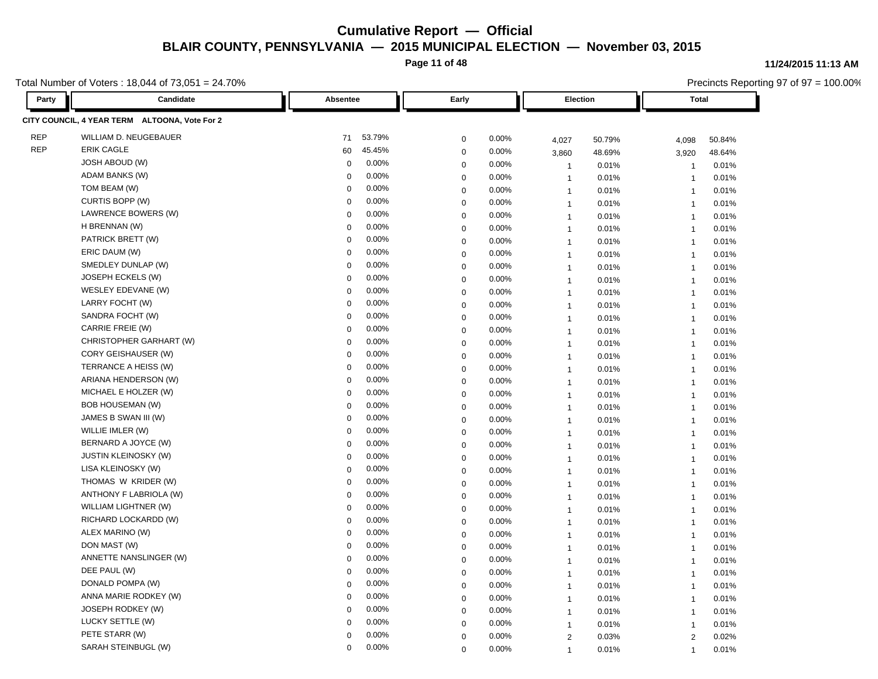**Page 11 of 48**

Total Number of Voters : 18,044 of 73,051 = 24.70%

**Party Candidate Absentee Early Election Total CITY COUNCIL, 4 YEAR TERM ALTOONA, Vote For 2** REP WILLIAM D. NEUGEBAUER 71 53.79% 0 0.00% 4,027 50.79% 4,098 50.84% REP ERIK CAGLE 60 45.45% 0 0.00% 3,860 48.69% 3,920 48.64% JOSH ABOUD (W) 0 0.00% 0 0.00% 1 0.01% 1 0.01% ADAM BANKS (W) 0 0.00% 0 0.00% 1 0.01% 1 0.01% TOM BEAM (W) 0 0.00% 0 0.00% 1 0.01% 1 0.01% CURTIS BOPP (W) 0 0.00% 0 0.00% 1 0.01% 1 0.01% LAWRENCE BOWERS (W) 0 0.00% 0 0.00% 1 0.01% 1 0.01% H BRENNAN (W) 0 0.00% 0 0.00% 1 0.01% 1 0.01% PATRICK BRETT (W) 0 0.00% 0 0.00% 1 0.01% 1 0.01% ERIC DAUM (W) 0 0.00% 0 0.00% 1 0.01% 1 0.01% SMEDLEY DUNLAP (W) 0 0.00% 0 0.00% 1 0.01% 1 0.01% JOSEPH ECKELS (W) 0 0.00% 0 0.00% 1 0.01% 1 0.01% WESLEY EDEVANE (W) 0 0.00% 0 0.00% 1 0.01% 1 0.01% LARRY FOCHT (W) 0 0.00% 0 0.00% 1 0.01% 1 0.01% SANDRA FOCHT (W) 0 0.00% 0 0.00% 1 0.01% 1 0.01% CARRIE FREIE (W) 0 0.00% 0 0.00% 1 0.01% 1 0.01% CHRISTOPHER GARHART (W) 0 0.00% 0 0.00% 1 0.01% 1 0.01% CORY GEISHAUSER (W) 0 0.00% 0 0.00% 1 0.01% 1 0.01% TERRANCE A HEISS (W) 0 0.00% 0 0.00% 1 0.01% 1 0.01% ARIANA HENDERSON (W) 0 0.00% 0 0.00% 1 0.01% 1 0.01% MICHAEL E HOLZER (W) 0 0.00% 0 0.00% 1 0.01% 1 0.01% BOB HOUSEMAN (W) 0 0.00% 0 0.00% 1 0.01% 1 0.01% JAMES B SWAN III (W) 0 0.00% 0 0.00% 1 0.01% 1 0.01% WILLIE IMLER (W) 0 0.00% 0 0.00% 1 0.01% 1 0.01% BERNARD A JOYCE (W) 0 0.00% 0 0.00% 1 0.01% 1 0.01% JUSTIN KLEINOSKY (W) 0 0.00% 0 0.00% 1 0.01% 1 0.01% LISA KLEINOSKY (W) 0 0.00% 0 0.00% 1 0.01% 1 0.01% THOMAS W KRIDER (W) 0 0.00% 0 0.00% 1 0.01% 1 0.01% ANTHONY F LABRIOLA (W) 0 0.00% 0 0.00% 1 0.01% 1 0.01% WILLIAM LIGHTNER (W) 0 0.00% 0 0.00% 1 0.01% 1 0.01% RICHARD LOCKARDD (W) 0 0.00% 0 0.00% 1 0.01% 1 0.01% ALEX MARINO (W) 0 0.00% 0 0.00% 1 0.01% 1 0.01% DON MAST (W) 0 0.00% 0 0.00% 1 0.01% 1 0.01% ANNETTE NANSLINGER (W) 0 0.00% 0 0.00% 1 0.01% 1 0.01% DEE PAUL (W) 0 0.00% 0 0.00% 1 0.01% 1 0.01% DONALD POMPA (W) 0 0.00% 0 0.00% 1 0.01% 1 0.01% ANNA MARIE RODKEY (W) 0 0.00% 0 0.00% 1 0.01% 1 0.01% JOSEPH RODKEY (W) 0 0.00% 0 0.00% 1 0.01% 1 0.01% LUCKY SETTLE (W) 0 0.00% 0 0.00% 1 0.01% 1 0.01% PETE STARR (W) 0 0.00% 0 0.00% 2 0.03% 2 0.02% SARAH STEINBUGL (W) 0 0.00% 0 0.00% 1 0.01% 1 0.01%

#### **11/24/2015 11:13 AM**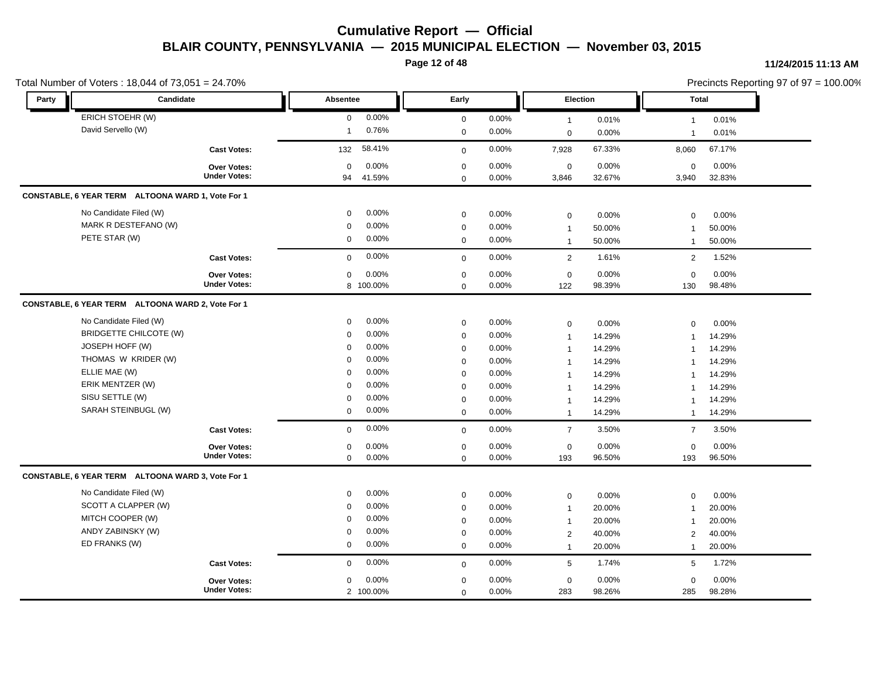**Page 12 of 48**

|               | Total Number of Voters: 18,044 of 73,051 = 24.70%       |                            |                    |                            |                |                               |                 |                          |                 | Precincts Reporting 97 of 97 = 100.00% |
|---------------|---------------------------------------------------------|----------------------------|--------------------|----------------------------|----------------|-------------------------------|-----------------|--------------------------|-----------------|----------------------------------------|
| Party         | Candidate                                               | Absentee                   |                    | Early                      |                | Election                      |                 | <b>Total</b>             |                 |                                        |
|               | ERICH STOEHR (W)                                        | $\mathbf 0$                | 0.00%              | $\mathbf 0$                | 0.00%          | $\overline{1}$                | 0.01%           | $\mathbf{1}$             | 0.01%           |                                        |
|               | David Servello (W)                                      | $\mathbf{1}$               | 0.76%              | $\mathbf 0$                | 0.00%          | $\mathbf 0$                   | 0.00%           | $\overline{1}$           | 0.01%           |                                        |
|               | <b>Cast Votes:</b>                                      | 132                        | 58.41%             | $\mathbf 0$                | 0.00%          | 7,928                         | 67.33%          | 8,060                    | 67.17%          |                                        |
|               | <b>Over Votes:</b><br><b>Under Votes:</b>               | $\mathbf 0$<br>94          | 0.00%<br>41.59%    | $\pmb{0}$<br>$\mathbf 0$   | 0.00%<br>0.00% | $\mathbf 0$<br>3,846          | 0.00%<br>32.67% | $\mathbf 0$<br>3,940     | 0.00%<br>32.83% |                                        |
|               | CONSTABLE, 6 YEAR TERM ALTOONA WARD 1, Vote For 1       |                            |                    |                            |                |                               |                 |                          |                 |                                        |
|               | No Candidate Filed (W)<br>MARK R DESTEFANO (W)          | 0<br>$\mathbf 0$           | 0.00%<br>0.00%     | $\pmb{0}$<br>$\mathbf 0$   | 0.00%<br>0.00% | $\mathbf 0$<br>$\overline{1}$ | 0.00%<br>50.00% | 0<br>$\overline{1}$      | 0.00%<br>50.00% |                                        |
|               | PETE STAR (W)                                           | $\mathbf 0$                | 0.00%              | $\mathbf{0}$               | $0.00\%$       | $\overline{1}$                | 50.00%          | $\mathbf{1}$             | 50.00%          |                                        |
|               | <b>Cast Votes:</b>                                      | $\mathbf 0$                | 0.00%              | $\mathbf 0$                | 0.00%          | $\overline{2}$                | 1.61%           | 2                        | 1.52%           |                                        |
|               | Over Votes:<br><b>Under Votes:</b>                      | $\mathbf 0$                | 0.00%<br>8 100.00% | $\pmb{0}$<br>$\mathbf 0$   | 0.00%<br>0.00% | $\mathbf 0$<br>122            | 0.00%<br>98.39% | $\mathbf 0$<br>130       | 0.00%<br>98.48% |                                        |
|               | CONSTABLE, 6 YEAR TERM ALTOONA WARD 2, Vote For 1       |                            |                    |                            |                |                               |                 |                          |                 |                                        |
|               | No Candidate Filed (W)<br><b>BRIDGETTE CHILCOTE (W)</b> | $\mathbf 0$<br>$\mathbf 0$ | 0.00%<br>0.00%     | $\mathbf 0$<br>$\pmb{0}$   | 0.00%<br>0.00% | $\mathbf 0$<br>$\mathbf{1}$   | 0.00%<br>14.29% | 0<br>1                   | 0.00%<br>14.29% |                                        |
|               | JOSEPH HOFF (W)                                         | $\mathbf 0$                | 0.00%              | $\mathbf 0$                | 0.00%          | $\mathbf{1}$                  | 14.29%          | $\overline{1}$           | 14.29%          |                                        |
|               | THOMAS W KRIDER (W)                                     | $\Omega$                   | 0.00%              | $\mathbf 0$                | 0.00%          | $\overline{1}$                | 14.29%          | $\mathbf 1$              | 14.29%          |                                        |
| ELLIE MAE (W) |                                                         | $\Omega$                   | 0.00%              | $\mathbf 0$                | 0.00%          | -1                            | 14.29%          | $\overline{\phantom{a}}$ | 14.29%          |                                        |
|               | ERIK MENTZER (W)                                        | $\Omega$                   | 0.00%              | $\mathbf 0$                | 0.00%          | $\overline{1}$                | 14.29%          | 1                        | 14.29%          |                                        |
|               | SISU SETTLE (W)                                         | $\mathbf 0$                | 0.00%              | $\mathbf 0$                | 0.00%          | $\overline{1}$                | 14.29%          | -1                       | 14.29%          |                                        |
|               | SARAH STEINBUGL (W)                                     | $\mathbf 0$                | 0.00%              | $\mathbf 0$                | 0.00%          | $\overline{1}$                | 14.29%          | $\mathbf{1}$             | 14.29%          |                                        |
|               | <b>Cast Votes:</b>                                      | $\mathbf 0$                | 0.00%              | $\mathbf 0$                | 0.00%          | $\overline{7}$                | 3.50%           | $\overline{7}$           | 3.50%           |                                        |
|               | Over Votes:<br><b>Under Votes:</b>                      | $\mathbf 0$                | 0.00%              | $\mathbf 0$                | 0.00%          | $\mathsf 0$                   | 0.00%           | 0                        | 0.00%           |                                        |
|               |                                                         | $\mathbf 0$                | 0.00%              | $\mathbf 0$                | 0.00%          | 193                           | 96.50%          | 193                      | 96.50%          |                                        |
|               | CONSTABLE, 6 YEAR TERM ALTOONA WARD 3, Vote For 1       |                            |                    |                            |                |                               |                 |                          |                 |                                        |
|               | No Candidate Filed (W)                                  | $\mathbf 0$                | 0.00%              | $\mathbf 0$                | 0.00%          | $\mathbf 0$                   | 0.00%           | $\mathbf 0$              | 0.00%           |                                        |
|               | SCOTT A CLAPPER (W)                                     | $\mathbf 0$                | 0.00%              | $\pmb{0}$                  | 0.00%          | $\overline{1}$                | 20.00%          | $\overline{1}$           | 20.00%          |                                        |
|               | MITCH COOPER (W)                                        | $\mathbf 0$                | 0.00%              | $\mathbf 0$                | 0.00%          | $\mathbf 1$                   | 20.00%          | $\mathbf 1$              | 20.00%          |                                        |
|               | ANDY ZABINSKY (W)                                       | $\mathbf 0$                | 0.00%              | $\mathbf 0$                | 0.00%          | $\overline{2}$                | 40.00%          | 2                        | 40.00%          |                                        |
|               | ED FRANKS (W)                                           | $\mathbf 0$                | 0.00%              | $\mathbf 0$                | 0.00%          | $\overline{1}$                | 20.00%          | $\mathbf{1}$             | 20.00%          |                                        |
|               | <b>Cast Votes:</b>                                      | $\mathbf 0$                | 0.00%              | $\mathbf 0$                | 0.00%          | $5\phantom{.0}$               | 1.74%           | 5                        | 1.72%           |                                        |
|               | Over Votes:<br><b>Under Votes:</b>                      | $\mathbf 0$                | 0.00%<br>2 100.00% | $\mathbf 0$<br>$\mathbf 0$ | 0.00%<br>0.00% | $\mathbf 0$<br>283            | 0.00%<br>98.26% | $\mathbf 0$<br>285       | 0.00%<br>98.28% |                                        |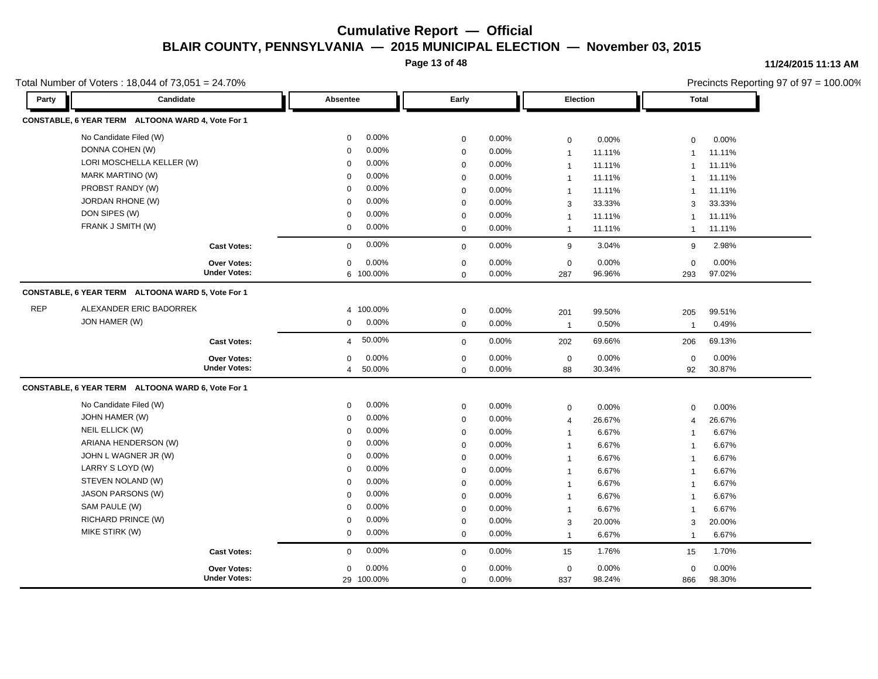**Page 13 of 48**

#### **11/24/2015 11:13 AM**

|            | Total Number of Voters: 18,044 of 73,051 = 24.70% |                          |             |       |                 |        |                | Precincts Reporting 97 of 97 = 100.00% |  |
|------------|---------------------------------------------------|--------------------------|-------------|-------|-----------------|--------|----------------|----------------------------------------|--|
| Party      | Candidate                                         | Absentee                 | Early       |       | <b>Election</b> |        | Total          |                                        |  |
|            | CONSTABLE, 6 YEAR TERM ALTOONA WARD 4, Vote For 1 |                          |             |       |                 |        |                |                                        |  |
|            | No Candidate Filed (W)                            | 0.00%<br>0               | $\mathbf 0$ | 0.00% | $\mathbf 0$     | 0.00%  | $\mathbf 0$    | 0.00%                                  |  |
|            | DONNA COHEN (W)                                   | 0.00%<br>$\Omega$        | $\mathbf 0$ | 0.00% | $\mathbf{1}$    | 11.11% | $\mathbf{1}$   | 11.11%                                 |  |
|            | LORI MOSCHELLA KELLER (W)                         | 0.00%<br>$\Omega$        | $\mathbf 0$ | 0.00% | $\mathbf{1}$    | 11.11% | $\mathbf{1}$   | 11.11%                                 |  |
|            | <b>MARK MARTINO (W)</b>                           | 0.00%<br>$\Omega$        | $\mathbf 0$ | 0.00% | $\mathbf{1}$    | 11.11% |                | 11.11%                                 |  |
|            | PROBST RANDY (W)                                  | 0.00%<br>$\Omega$        | $\mathbf 0$ | 0.00% | $\mathbf{1}$    | 11.11% | $\overline{1}$ | 11.11%                                 |  |
|            | <b>JORDAN RHONE (W)</b>                           | 0.00%<br>$\Omega$        | $\mathbf 0$ | 0.00% | 3               | 33.33% | 3              | 33.33%                                 |  |
|            | DON SIPES (W)                                     | 0.00%<br>0               | $\mathbf 0$ | 0.00% | $\mathbf{1}$    | 11.11% | -1             | 11.11%                                 |  |
|            | FRANK J SMITH (W)                                 | 0.00%<br>0               | $\mathbf 0$ | 0.00% | $\mathbf{1}$    | 11.11% | $\overline{1}$ | 11.11%                                 |  |
|            | <b>Cast Votes:</b>                                | 0.00%<br>$\mathbf 0$     | $\mathbf 0$ | 0.00% | 9               | 3.04%  | 9              | 2.98%                                  |  |
|            | Over Votes:                                       | 0.00%<br>0               | $\mathbf 0$ | 0.00% | $\mathsf 0$     | 0.00%  | $\mathbf 0$    | 0.00%                                  |  |
|            | <b>Under Votes:</b>                               | 6 100.00%                | $\Omega$    | 0.00% | 287             | 96.96% | 293            | 97.02%                                 |  |
|            | CONSTABLE, 6 YEAR TERM ALTOONA WARD 5, Vote For 1 |                          |             |       |                 |        |                |                                        |  |
| <b>REP</b> | ALEXANDER ERIC BADORREK                           | 4 100.00%                | $\mathbf 0$ | 0.00% | 201             | 99.50% | 205            | 99.51%                                 |  |
|            | JON HAMER (W)                                     | 0.00%<br>0               | $\mathbf 0$ | 0.00% | $\overline{1}$  | 0.50%  | $\overline{1}$ | 0.49%                                  |  |
|            | <b>Cast Votes:</b>                                | 50.00%<br>$\overline{4}$ | $\mathbf 0$ | 0.00% | 202             | 69.66% | 206            | 69.13%                                 |  |
|            | Over Votes:                                       | 0.00%<br>$\Omega$        | $\mathbf 0$ | 0.00% | $\mathbf 0$     | 0.00%  | $\mathbf 0$    | 0.00%                                  |  |
|            | <b>Under Votes:</b>                               | 50.00%<br>4              | $\mathbf 0$ | 0.00% | 88              | 30.34% | 92             | 30.87%                                 |  |
|            | CONSTABLE, 6 YEAR TERM ALTOONA WARD 6, Vote For 1 |                          |             |       |                 |        |                |                                        |  |
|            | No Candidate Filed (W)                            | 0.00%<br>0               | $\mathbf 0$ | 0.00% | $\mathbf 0$     | 0.00%  | $\mathbf 0$    | 0.00%                                  |  |
|            | JOHN HAMER (W)                                    | 0.00%<br>0               | $\mathbf 0$ | 0.00% | $\overline{4}$  | 26.67% | $\overline{4}$ | 26.67%                                 |  |
|            | NEIL ELLICK (W)                                   | 0.00%<br>$\Omega$        | $\mathbf 0$ | 0.00% | $\mathbf{1}$    | 6.67%  | -1             | 6.67%                                  |  |
|            | ARIANA HENDERSON (W)                              | 0.00%<br>$\Omega$        | $\mathbf 0$ | 0.00% | $\mathbf{1}$    | 6.67%  | $\mathbf 1$    | 6.67%                                  |  |
|            | JOHN L WAGNER JR (W)                              | 0.00%<br>$\Omega$        | $\mathbf 0$ | 0.00% | $\mathbf{1}$    | 6.67%  | $\mathbf{1}$   | 6.67%                                  |  |
|            | LARRY S LOYD (W)                                  | 0.00%<br>$\Omega$        | $\Omega$    | 0.00% | $\mathbf{1}$    | 6.67%  | -1             | 6.67%                                  |  |
|            | STEVEN NOLAND (W)                                 | 0.00%<br>$\Omega$        | $\mathbf 0$ | 0.00% | $\mathbf{1}$    | 6.67%  | $\overline{1}$ | 6.67%                                  |  |
|            | <b>JASON PARSONS (W)</b>                          | 0.00%<br>$\Omega$        | $\mathbf 0$ | 0.00% | $\mathbf{1}$    | 6.67%  | $\overline{1}$ | 6.67%                                  |  |
|            | SAM PAULE (W)                                     | 0.00%<br>$\Omega$        | $\mathbf 0$ | 0.00% | $\mathbf{1}$    | 6.67%  | $\mathbf{1}$   | 6.67%                                  |  |
|            | RICHARD PRINCE (W)                                | 0.00%<br>$\mathbf 0$     | $\mathbf 0$ | 0.00% | 3               | 20.00% | 3              | 20.00%                                 |  |
|            | MIKE STIRK (W)                                    | 0.00%<br>$\mathbf 0$     | $\mathbf 0$ | 0.00% | $\mathbf{1}$    | 6.67%  | $\overline{1}$ | 6.67%                                  |  |
|            | <b>Cast Votes:</b>                                | 0.00%<br>0               | $\mathbf 0$ | 0.00% | 15              | 1.76%  | 15             | 1.70%                                  |  |
|            | <b>Over Votes:</b>                                | 0.00%<br>0               | $\mathbf 0$ | 0.00% | $\mathbf 0$     | 0.00%  | $\mathbf 0$    | 0.00%                                  |  |
|            | <b>Under Votes:</b>                               | 29 100.00%               | $\mathbf 0$ | 0.00% | 837             | 98.24% | 866            | 98.30%                                 |  |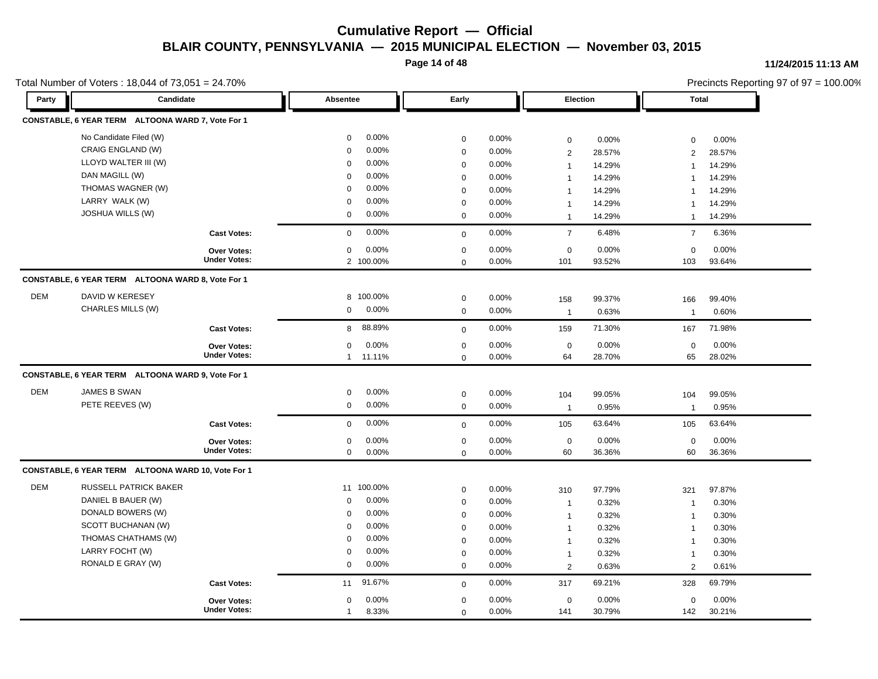**Page 14 of 48**

#### **11/24/2015 11:13 AM**

|            | Total Number of Voters: 18,044 of 73,051 = 24.70%  |                     |                       |             |       |                |        |                | Precincts Reporting 97 of 97 = 100.00% |  |  |
|------------|----------------------------------------------------|---------------------|-----------------------|-------------|-------|----------------|--------|----------------|----------------------------------------|--|--|
| Party      | Candidate                                          |                     | Absentee              | Early       |       | Election       |        | <b>Total</b>   |                                        |  |  |
|            | CONSTABLE, 6 YEAR TERM ALTOONA WARD 7, Vote For 1  |                     |                       |             |       |                |        |                |                                        |  |  |
|            | No Candidate Filed (W)                             |                     | 0.00%<br>0            | $\mathbf 0$ | 0.00% | $\mathsf 0$    | 0.00%  | $\mathbf 0$    | 0.00%                                  |  |  |
|            | CRAIG ENGLAND (W)                                  |                     | 0.00%<br>$\Omega$     | $\mathbf 0$ | 0.00% | 2              | 28.57% | 2              | 28.57%                                 |  |  |
|            | LLOYD WALTER III (W)                               |                     | 0.00%<br>0            | $\mathbf 0$ | 0.00% | $\mathbf{1}$   | 14.29% | $\overline{1}$ | 14.29%                                 |  |  |
|            | DAN MAGILL (W)                                     |                     | 0.00%<br>$\Omega$     | $\mathbf 0$ | 0.00% | $\mathbf{1}$   | 14.29% | $\mathbf 1$    | 14.29%                                 |  |  |
|            | THOMAS WAGNER (W)                                  |                     | 0.00%<br>$\Omega$     | $\Omega$    | 0.00% | $\mathbf{1}$   | 14.29% |                | 14.29%                                 |  |  |
|            | LARRY WALK (W)                                     |                     | 0.00%<br>0            | $\mathbf 0$ | 0.00% | $\mathbf{1}$   | 14.29% | $\mathbf 1$    | 14.29%                                 |  |  |
|            | JOSHUA WILLS (W)                                   |                     | 0.00%<br>0            | $\mathbf 0$ | 0.00% | $\mathbf{1}$   | 14.29% | $\overline{1}$ | 14.29%                                 |  |  |
|            |                                                    | <b>Cast Votes:</b>  | 0.00%<br>$\mathbf 0$  | $\mathbf 0$ | 0.00% | $\overline{7}$ | 6.48%  | $\overline{7}$ | 6.36%                                  |  |  |
|            |                                                    | <b>Over Votes:</b>  | 0.00%<br>0            | $\mathbf 0$ | 0.00% | $\mathsf 0$    | 0.00%  | 0              | 0.00%                                  |  |  |
|            |                                                    | <b>Under Votes:</b> | 2 100.00%             | $\mathbf 0$ | 0.00% | 101            | 93.52% | 103            | 93.64%                                 |  |  |
|            | CONSTABLE, 6 YEAR TERM ALTOONA WARD 8, Vote For 1  |                     |                       |             |       |                |        |                |                                        |  |  |
| <b>DEM</b> | DAVID W KERESEY                                    |                     | 8 100.00%             | $\mathbf 0$ | 0.00% | 158            | 99.37% | 166            | 99.40%                                 |  |  |
|            | CHARLES MILLS (W)                                  |                     | 0.00%<br>0            | $\mathbf 0$ | 0.00% | $\overline{1}$ | 0.63%  | $\overline{1}$ | 0.60%                                  |  |  |
|            |                                                    | <b>Cast Votes:</b>  | 88.89%<br>8           | $\mathbf 0$ | 0.00% | 159            | 71.30% | 167            | 71.98%                                 |  |  |
|            |                                                    | <b>Over Votes:</b>  | 0.00%<br>0            | $\mathbf 0$ | 0.00% | $\mathsf 0$    | 0.00%  | $\mathbf 0$    | 0.00%                                  |  |  |
|            |                                                    | <b>Under Votes:</b> | 1 11.11%              | $\mathbf 0$ | 0.00% | 64             | 28.70% | 65             | 28.02%                                 |  |  |
|            | CONSTABLE, 6 YEAR TERM ALTOONA WARD 9, Vote For 1  |                     |                       |             |       |                |        |                |                                        |  |  |
| <b>DEM</b> | JAMES B SWAN                                       |                     | 0.00%<br>0            | $\mathbf 0$ | 0.00% | 104            | 99.05% | 104            | 99.05%                                 |  |  |
|            | PETE REEVES (W)                                    |                     | 0.00%<br>$\mathbf 0$  | $\mathbf 0$ | 0.00% | $\mathbf{1}$   | 0.95%  | $\overline{1}$ | 0.95%                                  |  |  |
|            |                                                    | <b>Cast Votes:</b>  | 0.00%<br>$\mathbf 0$  | $\mathbf 0$ | 0.00% | 105            | 63.64% | 105            | 63.64%                                 |  |  |
|            |                                                    | Over Votes:         | 0.00%<br>0            | $\mathbf 0$ | 0.00% | $\mathsf 0$    | 0.00%  | $\pmb{0}$      | 0.00%                                  |  |  |
|            |                                                    | <b>Under Votes:</b> | 0.00%<br>$\mathbf 0$  | $\mathbf 0$ | 0.00% | 60             | 36.36% | 60             | 36.36%                                 |  |  |
|            | CONSTABLE, 6 YEAR TERM ALTOONA WARD 10, Vote For 1 |                     |                       |             |       |                |        |                |                                        |  |  |
| <b>DEM</b> | RUSSELL PATRICK BAKER                              |                     | 11 100.00%            | $\mathbf 0$ | 0.00% | 310            | 97.79% | 321            | 97.87%                                 |  |  |
|            | DANIEL B BAUER (W)                                 |                     | 0.00%<br>$\Omega$     | $\mathbf 0$ | 0.00% | $\mathbf{1}$   | 0.32%  | $\mathbf 1$    | 0.30%                                  |  |  |
|            | DONALD BOWERS (W)                                  |                     | 0.00%<br>0            | $\mathbf 0$ | 0.00% | $\mathbf{1}$   | 0.32%  | $\overline{1}$ | 0.30%                                  |  |  |
|            | SCOTT BUCHANAN (W)                                 |                     | 0.00%<br>$\Omega$     | $\mathbf 0$ | 0.00% | $\mathbf{1}$   | 0.32%  | $\overline{1}$ | 0.30%                                  |  |  |
|            | THOMAS CHATHAMS (W)                                |                     | 0.00%<br>$\Omega$     | $\mathbf 0$ | 0.00% | $\mathbf{1}$   | 0.32%  | $\mathbf 1$    | 0.30%                                  |  |  |
|            | LARRY FOCHT (W)                                    |                     | 0.00%<br>$\Omega$     | $\Omega$    | 0.00% | $\mathbf{1}$   | 0.32%  | $\overline{1}$ | 0.30%                                  |  |  |
|            | RONALD E GRAY (W)                                  |                     | 0.00%<br>$\mathbf 0$  | $\mathbf 0$ | 0.00% | 2              | 0.63%  | 2              | 0.61%                                  |  |  |
|            |                                                    | <b>Cast Votes:</b>  | 91.67%<br>11          | $\mathbf 0$ | 0.00% | 317            | 69.21% | 328            | 69.79%                                 |  |  |
|            |                                                    | Over Votes:         | 0.00%<br>0            | $\mathbf 0$ | 0.00% | $\pmb{0}$      | 0.00%  | $\pmb{0}$      | 0.00%                                  |  |  |
|            |                                                    | <b>Under Votes:</b> | 8.33%<br>$\mathbf{1}$ | $\mathbf 0$ | 0.00% | 141            | 30.79% | 142            | 30.21%                                 |  |  |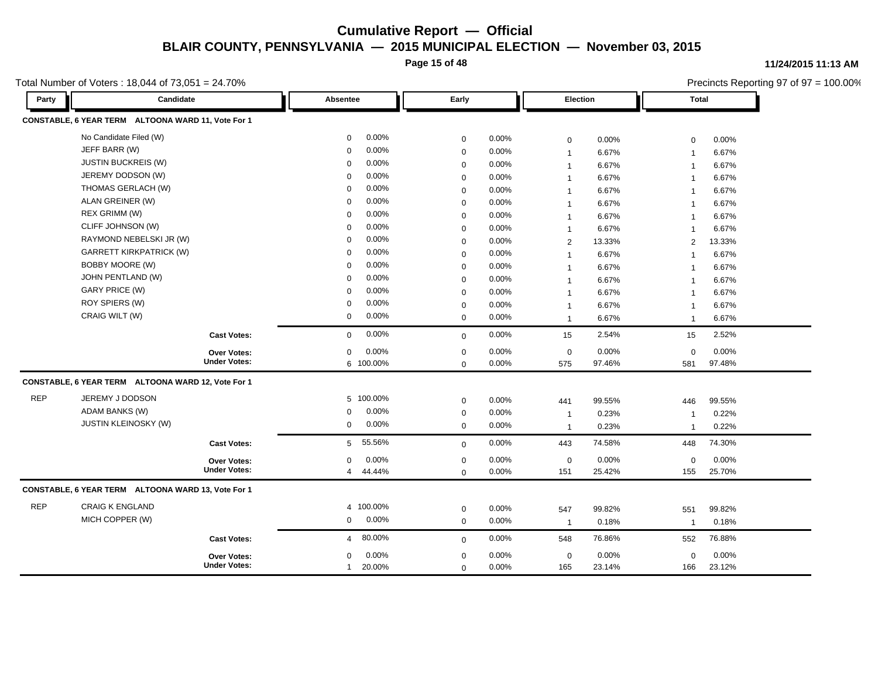**Page 15 of 48**

#### **11/24/2015 11:13 AM**

|            | Total Number of Voters: 18,044 of 73,051 = 24.70%  |                     |                          |             |          |                 |        |                | Precincts Reporting 97 of 97 = 100.00% |
|------------|----------------------------------------------------|---------------------|--------------------------|-------------|----------|-----------------|--------|----------------|----------------------------------------|
| Party      | Candidate                                          |                     | Absentee                 | Early       |          | <b>Election</b> |        | Total          |                                        |
|            | CONSTABLE, 6 YEAR TERM ALTOONA WARD 11, Vote For 1 |                     |                          |             |          |                 |        |                |                                        |
|            | No Candidate Filed (W)                             |                     | 0.00%<br>0               | $\mathbf 0$ | 0.00%    | $\mathbf 0$     | 0.00%  | $\mathbf 0$    | 0.00%                                  |
|            | JEFF BARR (W)                                      |                     | 0.00%<br>$\Omega$        | $\mathbf 0$ | 0.00%    | $\mathbf{1}$    | 6.67%  | $\overline{1}$ | 6.67%                                  |
|            | <b>JUSTIN BUCKREIS (W)</b>                         |                     | 0.00%<br>$\mathbf 0$     | $\mathbf 0$ | 0.00%    | $\mathbf{1}$    | 6.67%  | $\overline{1}$ | 6.67%                                  |
|            | JEREMY DODSON (W)                                  |                     | 0.00%<br>$\Omega$        | $\mathbf 0$ | 0.00%    | $\mathbf{1}$    | 6.67%  | $\overline{1}$ | 6.67%                                  |
|            | THOMAS GERLACH (W)                                 |                     | 0.00%<br>$\Omega$        | $\mathbf 0$ | 0.00%    | $\mathbf{1}$    | 6.67%  | $\overline{1}$ | 6.67%                                  |
|            | ALAN GREINER (W)                                   |                     | 0.00%<br>0               | $\mathbf 0$ | 0.00%    | $\mathbf{1}$    | 6.67%  | $\mathbf{1}$   | 6.67%                                  |
|            | REX GRIMM (W)                                      |                     | 0.00%<br>$\Omega$        | $\mathbf 0$ | 0.00%    | $\mathbf{1}$    | 6.67%  | -1             | 6.67%                                  |
|            | CLIFF JOHNSON (W)                                  |                     | 0.00%<br>$\Omega$        | $\mathbf 0$ | 0.00%    | $\mathbf{1}$    | 6.67%  | $\mathbf{1}$   | 6.67%                                  |
|            | RAYMOND NEBELSKI JR (W)                            |                     | 0.00%<br>$\Omega$        | $\mathbf 0$ | 0.00%    | 2               | 13.33% | $\overline{2}$ | 13.33%                                 |
|            | <b>GARRETT KIRKPATRICK (W)</b>                     |                     | 0.00%<br>$\Omega$        | $\mathbf 0$ | 0.00%    | $\mathbf{1}$    | 6.67%  |                | 6.67%                                  |
|            | BOBBY MOORE (W)                                    |                     | 0.00%<br>$\Omega$        | $\mathbf 0$ | 0.00%    | $\mathbf{1}$    | 6.67%  | -1             | 6.67%                                  |
|            | JOHN PENTLAND (W)                                  |                     | 0.00%<br>0               | $\mathbf 0$ | 0.00%    | $\mathbf{1}$    | 6.67%  | $\overline{1}$ | 6.67%                                  |
|            | <b>GARY PRICE (W)</b>                              |                     | 0.00%<br>$\Omega$        | $\mathbf 0$ | $0.00\%$ | $\mathbf{1}$    | 6.67%  | $\overline{1}$ | 6.67%                                  |
|            | ROY SPIERS (W)                                     |                     | 0.00%<br>$\Omega$        | $\mathbf 0$ | 0.00%    | $\mathbf{1}$    | 6.67%  | $\overline{1}$ | 6.67%                                  |
|            | CRAIG WILT (W)                                     |                     | 0.00%<br>0               | $\mathbf 0$ | 0.00%    | $\mathbf{1}$    | 6.67%  | $\overline{1}$ | 6.67%                                  |
|            |                                                    | <b>Cast Votes:</b>  | 0.00%<br>$\mathbf 0$     | $\mathbf 0$ | 0.00%    | 15              | 2.54%  | 15             | 2.52%                                  |
|            |                                                    | Over Votes:         | 0.00%<br>0               | $\mathbf 0$ | 0.00%    | $\mathsf 0$     | 0.00%  | $\mathbf 0$    | 0.00%                                  |
|            |                                                    | <b>Under Votes:</b> | 6 100.00%                | $\Omega$    | 0.00%    | 575             | 97.46% | 581            | 97.48%                                 |
|            | CONSTABLE, 6 YEAR TERM ALTOONA WARD 12, Vote For 1 |                     |                          |             |          |                 |        |                |                                        |
| <b>REP</b> | JEREMY J DODSON                                    |                     | 5 100.00%                | $\mathbf 0$ | 0.00%    | 441             | 99.55% | 446            | 99.55%                                 |
|            | ADAM BANKS (W)                                     |                     | 0.00%<br>0               | $\mathbf 0$ | 0.00%    | $\mathbf{1}$    | 0.23%  | -1             | 0.22%                                  |
|            | JUSTIN KLEINOSKY (W)                               |                     | 0.00%<br>$\mathbf 0$     | $\mathbf 0$ | 0.00%    | $\mathbf{1}$    | 0.23%  | $\mathbf 1$    | 0.22%                                  |
|            |                                                    | <b>Cast Votes:</b>  | 55.56%<br>5              | $\mathbf 0$ | 0.00%    | 443             | 74.58% | 448            | 74.30%                                 |
|            |                                                    | <b>Over Votes:</b>  | 0.00%<br>$\mathbf 0$     | $\mathbf 0$ | 0.00%    | $\mathbf 0$     | 0.00%  | $\mathbf 0$    | 0.00%                                  |
|            |                                                    | <b>Under Votes:</b> | 44.44%<br>4              | $\mathbf 0$ | 0.00%    | 151             | 25.42% | 155            | 25.70%                                 |
|            | CONSTABLE, 6 YEAR TERM ALTOONA WARD 13, Vote For 1 |                     |                          |             |          |                 |        |                |                                        |
| <b>REP</b> | <b>CRAIG K ENGLAND</b>                             |                     | 4 100.00%                | $\mathbf 0$ | 0.00%    | 547             | 99.82% | 551            | 99.82%                                 |
|            | MICH COPPER (W)                                    |                     | 0.00%<br>$\mathbf 0$     | $\mathbf 0$ | 0.00%    | $\overline{1}$  | 0.18%  | $\overline{1}$ | 0.18%                                  |
|            |                                                    | <b>Cast Votes:</b>  | 80.00%<br>$\overline{4}$ | $\mathbf 0$ | 0.00%    | 548             | 76.86% | 552            | 76.88%                                 |
|            |                                                    | <b>Over Votes:</b>  | 0.00%<br>0               | $\mathbf 0$ | 0.00%    | $\mathbf 0$     | 0.00%  | $\mathbf 0$    | 0.00%                                  |
|            |                                                    | <b>Under Votes:</b> | 20.00%<br>$\mathbf{1}$   | $\mathbf 0$ | 0.00%    | 165             | 23.14% | 166            | 23.12%                                 |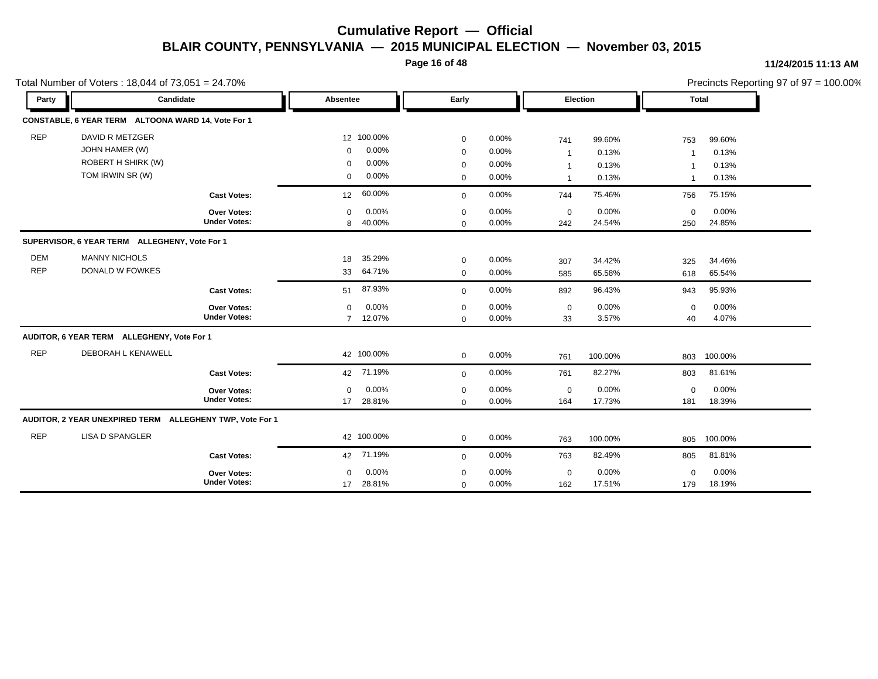**Page 16 of 48**

#### **11/24/2015 11:13 AM**

|            | Total Number of Voters: 18,044 of 73,051 = 24.70%        |                     |                      |             |       |              |                 |                | Precincts Reporting 97 of 97 = 100.00% |
|------------|----------------------------------------------------------|---------------------|----------------------|-------------|-------|--------------|-----------------|----------------|----------------------------------------|
| Party      | Candidate                                                |                     | Absentee             | Early       |       |              | <b>Election</b> |                | Total                                  |
|            | CONSTABLE, 6 YEAR TERM ALTOONA WARD 14, Vote For 1       |                     |                      |             |       |              |                 |                |                                        |
| <b>REP</b> | DAVID R METZGER                                          |                     | 12 100.00%           | $\mathbf 0$ | 0.00% | 741          | 99.60%          | 753            | 99.60%                                 |
|            | JOHN HAMER (W)                                           |                     | 0.00%<br>$\mathbf 0$ | $\mathbf 0$ | 0.00% | $\mathbf{1}$ | 0.13%           | -1             | 0.13%                                  |
|            | <b>ROBERT H SHIRK (W)</b>                                |                     | 0.00%<br>$\mathbf 0$ | 0           | 0.00% | $\mathbf{1}$ | 0.13%           |                | 0.13%                                  |
|            | TOM IRWIN SR (W)                                         |                     | 0.00%<br>0           | $\mathbf 0$ | 0.00% | $\mathbf{1}$ | 0.13%           | $\overline{1}$ | 0.13%                                  |
|            |                                                          | <b>Cast Votes:</b>  | 60.00%<br>12         | $\mathbf 0$ | 0.00% | 744          | 75.46%          | 756            | 75.15%                                 |
|            |                                                          | Over Votes:         | 0.00%<br>$\mathbf 0$ | $\mathbf 0$ | 0.00% | $\mathbf 0$  | 0.00%           | $\mathbf 0$    | 0.00%                                  |
|            |                                                          | <b>Under Votes:</b> | 40.00%<br>8          | $\Omega$    | 0.00% | 242          | 24.54%          | 250            | 24.85%                                 |
|            | SUPERVISOR, 6 YEAR TERM ALLEGHENY, Vote For 1            |                     |                      |             |       |              |                 |                |                                        |
| <b>DEM</b> | <b>MANNY NICHOLS</b>                                     |                     | 35.29%<br>18         | $\mathbf 0$ | 0.00% | 307          | 34.42%          | 325            | 34.46%                                 |
| <b>REP</b> | DONALD W FOWKES                                          |                     | 64.71%<br>33         | $\mathbf 0$ | 0.00% | 585          | 65.58%          | 618            | 65.54%                                 |
|            |                                                          | <b>Cast Votes:</b>  | 87.93%<br>51         | $\mathbf 0$ | 0.00% | 892          | 96.43%          | 943            | 95.93%                                 |
|            |                                                          | Over Votes:         | 0.00%<br>$\Omega$    | $\mathbf 0$ | 0.00% | $\mathsf 0$  | 0.00%           | $\mathbf 0$    | 0.00%                                  |
|            |                                                          | <b>Under Votes:</b> | 7 12.07%             | $\mathbf 0$ | 0.00% | 33           | 3.57%           | 40             | 4.07%                                  |
|            | AUDITOR, 6 YEAR TERM ALLEGHENY, Vote For 1               |                     |                      |             |       |              |                 |                |                                        |
| <b>REP</b> | DEBORAH L KENAWELL                                       |                     | 42 100.00%           | $\mathbf 0$ | 0.00% | 761          | 100.00%         | 803            | 100.00%                                |
|            |                                                          | <b>Cast Votes:</b>  | 71.19%<br>42         | $\mathbf 0$ | 0.00% | 761          | 82.27%          | 803            | 81.61%                                 |
|            |                                                          | Over Votes:         | 0.00%<br>$\Omega$    | $\mathbf 0$ | 0.00% | $\pmb{0}$    | 0.00%           | $\mathbf 0$    | 0.00%                                  |
|            |                                                          | <b>Under Votes:</b> | 28.81%<br>17         | $\mathbf 0$ | 0.00% | 164          | 17.73%          | 181            | 18.39%                                 |
|            | AUDITOR, 2 YEAR UNEXPIRED TERM ALLEGHENY TWP, Vote For 1 |                     |                      |             |       |              |                 |                |                                        |
| <b>REP</b> | <b>LISA D SPANGLER</b>                                   |                     | 42 100.00%           | $\mathbf 0$ | 0.00% | 763          | 100.00%         | 805            | 100.00%                                |
|            |                                                          | <b>Cast Votes:</b>  | 42 71.19%            | $\mathbf 0$ | 0.00% | 763          | 82.49%          | 805            | 81.81%                                 |
|            |                                                          | Over Votes:         | 0.00%<br>$\mathbf 0$ | $\mathbf 0$ | 0.00% | $\mathbf 0$  | 0.00%           | $\mathbf 0$    | 0.00%                                  |
|            |                                                          | <b>Under Votes:</b> | 28.81%<br>17         | $\mathbf 0$ | 0.00% | 162          | 17.51%          | 179            | 18.19%                                 |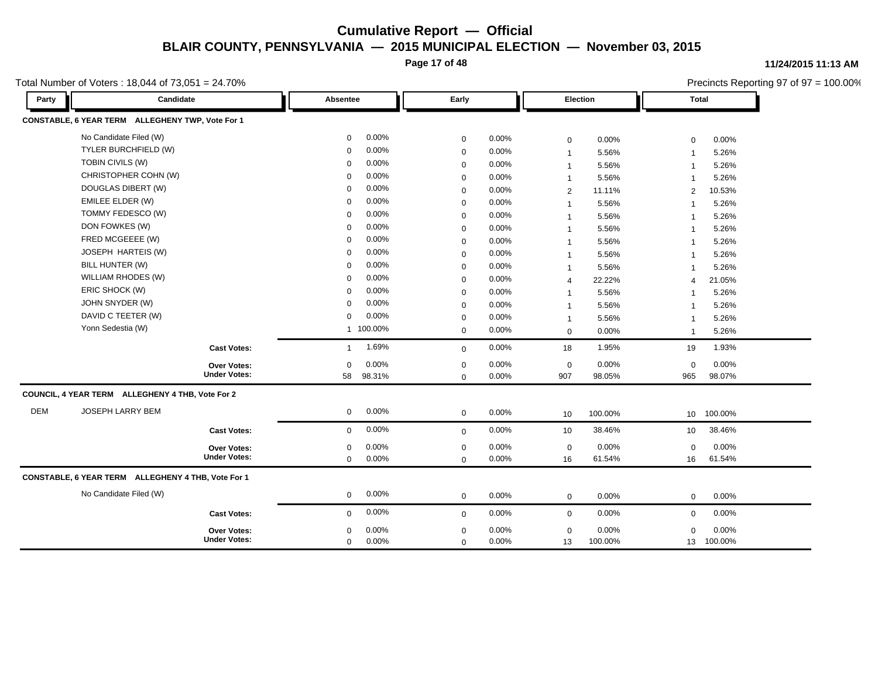**Page 17 of 48**

#### **11/24/2015 11:13 AM**

Precincts Reporting 97 of 97 = 100.00%

Total Number of Voters : 18,044 of 73,051 = 24.70%

**Party Candidate Absentee Early Election Total CONSTABLE, 6 YEAR TERM ALLEGHENY TWP, Vote For 1** No Candidate Filed (W) 0 0.00% 0 0.00% 0 0.00% 0 0.00% TYLER BURCHFIELD (W) 0 0.00% 0 0.00% 1 5.56% 1 5.26% TOBIN CIVILS (W) 0 0.00% 0 0.00% 1 5.56% 1 5.26% CHRISTOPHER COHN (W) 0 0.00% 0 0.00% 1 5.56% 1 5.26% DOUGLAS DIBERT (W) 0 0.00% 0 0.00% 2 11.11% 2 10.53% EMILEE ELDER (W) 0 0.00% 0 0.00% 1 5.56% 1 5.26% TOMMY FEDESCO (W) 0 0.00% 0 0.00% 1 5.56% 1 5.26% DON FOWKES (W) 0 0.00% 0 0.00% 1 5.56% 1 5.26% FRED MCGEEEE (W) 0 0.00% 0 0.00% 1 5.56% 1 5.26% JOSEPH HARTEIS (W) 0 0.00% 0 0.00% 1 5.56% 1 5.26% BILL HUNTER (W) 0 0.00% 0 0.00% 1 5.56% 1 5.26% WILLIAM RHODES (W) 0 0.00% 0 0.00% 4 22.22% 4 21.05% ERIC SHOCK (W) 0 0.00% 0 0.00% 1 5.56% 1 5.26% JOHN SNYDER (W) 0 0.00% 0 0.00% 1 5.56% 1 5.26% DAVID C TEETER (W) 0 0.00% 0 0.00% 1 5.56% 1 5.26% Yonn Sedestia (W) 1 100.00% 0 0.00% 0 0.00% 1 5.26% **Cast Votes:** 1 1.69% 0 0.00% 18 1.95% 19 1.93% 965 98.07% 98.05% 0 0.00% 907 0.00% 0 0.00% **Under Votes: Over Votes:** 98.31% 58  $0.00\%$  0.00% 0.00% 0.00% 0.00% 0.00% 0 0.00% 0 0.00%  $0.00\%$ **COUNCIL, 4 YEAR TERM ALLEGHENY 4 THB, Vote For 2** DEM JOSEPH LARRY BEM 0 0.00% 0 0.00% 10 100.00% 10 100.00% **Cast Votes:** 0 0.00% 0 0.00% 10 38.46% 10 38.46% 16 61.54% 61.54% 0 0.00% 16 0.00% 0 0.00% **Under Votes: Over Votes:** 0.00% 0  $0.00\%$  0.00% 0.00% 0.00% 0.00% 0.00% 0 0.00% 0 0.00% 0 0.00% **CONSTABLE, 6 YEAR TERM ALLEGHENY 4 THB, Vote For 1** No Candidate Filed (W) 0 0.00% 0 0.00% 0 0.00% 0 0.00% **Cast Votes:** 0 0.00% 0 0.00% 0 0.00% 0 0.00% 13 100.00% 100.00% 0 0.00% 13 0.00% 0 0.00% **Under Votes: Over Votes:** 0.00%  $0.00\%$  0.00% 0.00% 0.00% 0.00% 0.00% 0 0.00% 0 0.00% 0 0.00% 0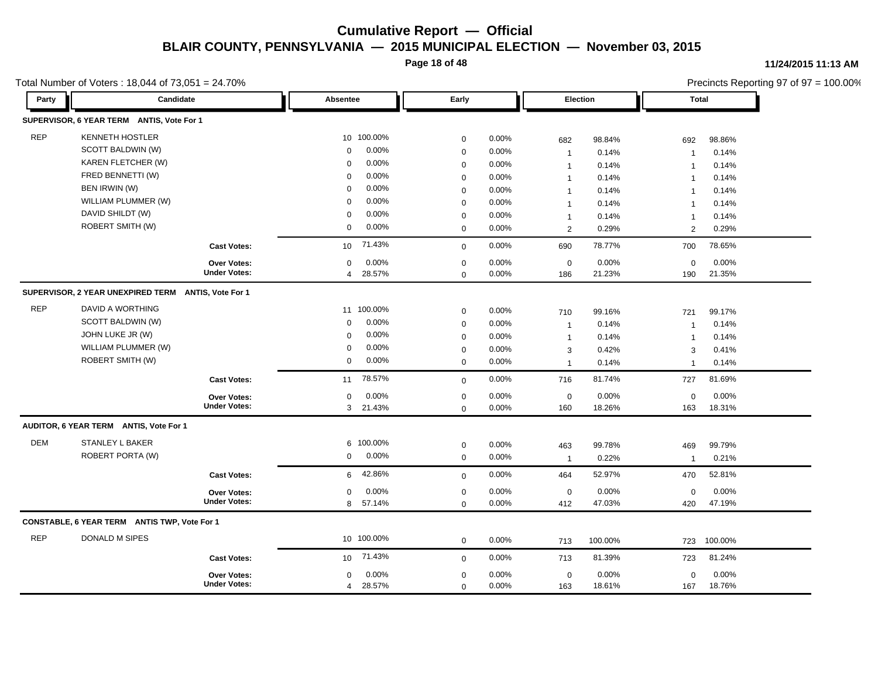**Page 18 of 48**

#### **11/24/2015 11:13 AM**

Precincts Reporting 97 of 97 = 100.00%

| Party      | $10,001$ $1001,0001$ or $00010$ $10,0011$ or $10,001$ $- 21.1070$<br>Candidate |                     | Absentee                 | Early       |       | <b>Election</b> |         | $\frac{1}{2}$ received responsing or or or $=$ 100.00 $\pi$<br><b>Total</b> |         |
|------------|--------------------------------------------------------------------------------|---------------------|--------------------------|-------------|-------|-----------------|---------|-----------------------------------------------------------------------------|---------|
|            | SUPERVISOR, 6 YEAR TERM ANTIS, Vote For 1                                      |                     |                          |             |       |                 |         |                                                                             |         |
| <b>REP</b> | <b>KENNETH HOSTLER</b>                                                         |                     | 10 100.00%               | $\mathsf 0$ | 0.00% | 682             | 98.84%  | 692                                                                         | 98.86%  |
|            | SCOTT BALDWIN (W)                                                              |                     | 0.00%<br>$\mathbf 0$     | $\mathbf 0$ | 0.00% | $\mathbf{1}$    | 0.14%   | $\mathbf{1}$                                                                | 0.14%   |
|            | KAREN FLETCHER (W)                                                             |                     | 0.00%<br>0               | $\mathbf 0$ | 0.00% | $\mathbf{1}$    | 0.14%   | $\overline{1}$                                                              | 0.14%   |
|            | FRED BENNETTI (W)                                                              |                     | 0.00%<br>$\Omega$        | $\mathbf 0$ | 0.00% | $\mathbf{1}$    | 0.14%   | $\mathbf{1}$                                                                | 0.14%   |
|            | BEN IRWIN (W)                                                                  |                     | 0.00%<br>$\Omega$        | $\mathbf 0$ | 0.00% | $\mathbf{1}$    | 0.14%   | $\overline{1}$                                                              | 0.14%   |
|            | WILLIAM PLUMMER (W)                                                            |                     | 0.00%<br>0               | $\mathbf 0$ | 0.00% | $\mathbf{1}$    | 0.14%   | $\overline{1}$                                                              | 0.14%   |
|            | DAVID SHILDT (W)                                                               |                     | 0.00%<br>$\mathbf 0$     | $\mathbf 0$ | 0.00% | $\mathbf{1}$    | 0.14%   | $\mathbf{1}$                                                                | 0.14%   |
|            | ROBERT SMITH (W)                                                               |                     | 0.00%<br>$\Omega$        | $\mathbf 0$ | 0.00% | 2               | 0.29%   | $\overline{2}$                                                              | 0.29%   |
|            |                                                                                | <b>Cast Votes:</b>  | 71.43%<br>10             | $\mathbf 0$ | 0.00% | 690             | 78.77%  | 700                                                                         | 78.65%  |
|            |                                                                                | <b>Over Votes:</b>  | 0.00%<br>0               | $\mathbf 0$ | 0.00% | $\mathbf 0$     | 0.00%   | $\mathbf 0$                                                                 | 0.00%   |
|            |                                                                                | <b>Under Votes:</b> | 28.57%<br>$\overline{4}$ | $\mathbf 0$ | 0.00% | 186             | 21.23%  | 190                                                                         | 21.35%  |
|            | SUPERVISOR, 2 YEAR UNEXPIRED TERM ANTIS, Vote For 1                            |                     |                          |             |       |                 |         |                                                                             |         |
| <b>REP</b> | DAVID A WORTHING                                                               |                     | 11 100.00%               | $\mathbf 0$ | 0.00% | 710             | 99.16%  | 721                                                                         | 99.17%  |
|            | SCOTT BALDWIN (W)                                                              |                     | 0.00%<br>$\Omega$        | $\mathbf 0$ | 0.00% | $\mathbf{1}$    | 0.14%   | $\overline{1}$                                                              | 0.14%   |
|            | JOHN LUKE JR (W)                                                               |                     | 0.00%<br>$\Omega$        | $\mathbf 0$ | 0.00% | $\mathbf{1}$    | 0.14%   | $\mathbf 1$                                                                 | 0.14%   |
|            | WILLIAM PLUMMER (W)                                                            |                     | 0.00%<br>$\mathbf 0$     | $\mathbf 0$ | 0.00% | 3               | 0.42%   | 3                                                                           | 0.41%   |
|            | ROBERT SMITH (W)                                                               |                     | 0.00%<br>$\mathbf 0$     | $\mathbf 0$ | 0.00% | $\mathbf{1}$    | 0.14%   | $\overline{1}$                                                              | 0.14%   |
|            |                                                                                | <b>Cast Votes:</b>  | 78.57%<br>11             | $\mathbf 0$ | 0.00% | 716             | 81.74%  | 727                                                                         | 81.69%  |
|            |                                                                                | Over Votes:         | 0.00%<br>$\mathbf 0$     | $\mathbf 0$ | 0.00% | $\mathbf 0$     | 0.00%   | $\mathbf 0$                                                                 | 0.00%   |
|            |                                                                                | <b>Under Votes:</b> | 3 21.43%                 | $\mathbf 0$ | 0.00% | 160             | 18.26%  | 163                                                                         | 18.31%  |
|            | AUDITOR, 6 YEAR TERM ANTIS, Vote For 1                                         |                     |                          |             |       |                 |         |                                                                             |         |
| <b>DEM</b> | STANLEY L BAKER                                                                |                     | 6 100.00%                | $\pmb{0}$   | 0.00% | 463             | 99.78%  | 469                                                                         | 99.79%  |
|            | ROBERT PORTA (W)                                                               |                     | 0.00%<br>$\mathbf 0$     | $\mathbf 0$ | 0.00% | $\mathbf{1}$    | 0.22%   | $\mathbf{1}$                                                                | 0.21%   |
|            |                                                                                | <b>Cast Votes:</b>  | 42.86%<br>6              | $\mathbf 0$ | 0.00% | 464             | 52.97%  | 470                                                                         | 52.81%  |
|            |                                                                                | Over Votes:         | 0.00%<br>0               | $\mathbf 0$ | 0.00% | $\mathbf 0$     | 0.00%   | $\mathbf 0$                                                                 | 0.00%   |
|            |                                                                                | <b>Under Votes:</b> | 8 57.14%                 | $\mathbf 0$ | 0.00% | 412             | 47.03%  | 420                                                                         | 47.19%  |
|            | CONSTABLE, 6 YEAR TERM ANTIS TWP, Vote For 1                                   |                     |                          |             |       |                 |         |                                                                             |         |
| <b>REP</b> | DONALD M SIPES                                                                 |                     | 10 100.00%               | $\mathbf 0$ | 0.00% | 713             | 100.00% | 723                                                                         | 100.00% |
|            |                                                                                | <b>Cast Votes:</b>  | 10 71.43%                | $\mathbf 0$ | 0.00% | 713             | 81.39%  | 723                                                                         | 81.24%  |
|            |                                                                                | Over Votes:         | 0.00%<br>0               | $\pmb{0}$   | 0.00% | $\pmb{0}$       | 0.00%   | $\mathbf 0$                                                                 | 0.00%   |
|            |                                                                                | <b>Under Votes:</b> | 28.57%<br>$\overline{4}$ | $\mathbf 0$ | 0.00% | 163             | 18.61%  | 167                                                                         | 18.76%  |

Total Number of Voters  $\cdot$  18,044 of 73,051 = 24,70%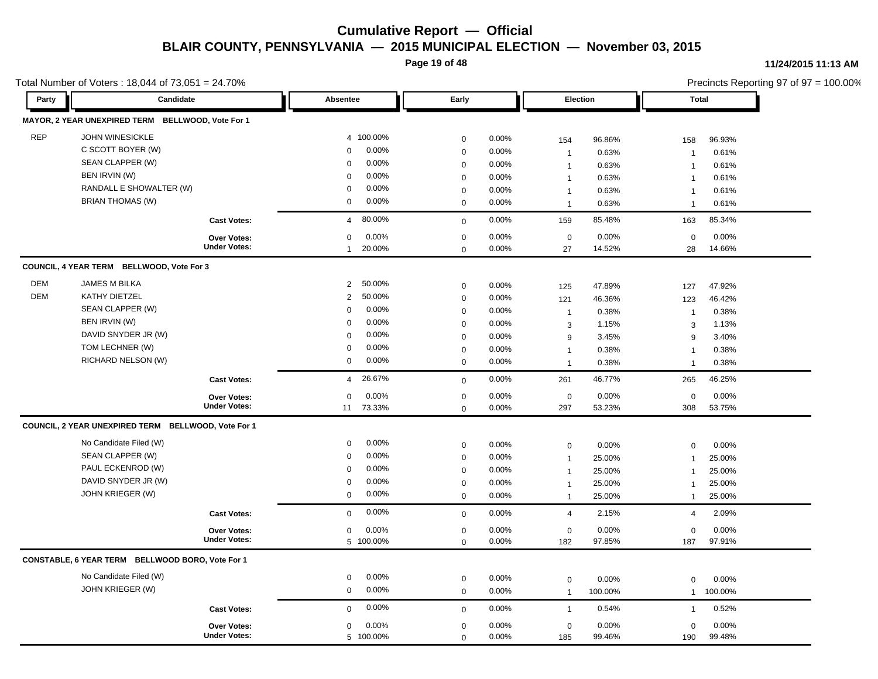**Page 19 of 48**

#### **11/24/2015 11:13 AM**

|            | Total Number of Voters: 18,044 of 73,051 = 24.70%   |                                                  |                            |                         |                |                    |                 | Precincts Reporting 97 of 97 = 100.00% |                 |
|------------|-----------------------------------------------------|--------------------------------------------------|----------------------------|-------------------------|----------------|--------------------|-----------------|----------------------------------------|-----------------|
| Party      | Candidate                                           |                                                  | Absentee                   | Early                   |                | Election           |                 | <b>Total</b>                           |                 |
|            | MAYOR, 2 YEAR UNEXPIRED TERM BELLWOOD, Vote For 1   |                                                  |                            |                         |                |                    |                 |                                        |                 |
| <b>REP</b> | <b>JOHN WINESICKLE</b>                              |                                                  | 4 100.00%                  | $\mathbf 0$             | 0.00%          | 154                | 96.86%          | 158                                    | 96.93%          |
|            | C SCOTT BOYER (W)                                   |                                                  | 0.00%<br>$\mathbf 0$       | $\mathbf 0$             | 0.00%          | $\mathbf{1}$       | 0.63%           | $\overline{1}$                         | 0.61%           |
|            | SEAN CLAPPER (W)                                    |                                                  | 0.00%<br>$\mathbf 0$       | $\mathbf 0$             | $0.00\%$       | $\mathbf{1}$       | 0.63%           | $\overline{1}$                         | 0.61%           |
|            | BEN IRVIN (W)                                       |                                                  | 0.00%<br>$\mathbf 0$       | $\mathbf 0$             | 0.00%          | $\mathbf{1}$       | 0.63%           | $\overline{1}$                         | 0.61%           |
|            | RANDALL E SHOWALTER (W)                             |                                                  | 0.00%<br>$\mathbf 0$       | $\mathbf 0$             | 0.00%          | $\mathbf{1}$       | 0.63%           | $\overline{1}$                         | 0.61%           |
|            | <b>BRIAN THOMAS (W)</b>                             |                                                  | 0.00%<br>0                 | $\mathbf 0$             | 0.00%          | $\mathbf{1}$       | 0.63%           | $\overline{1}$                         | 0.61%           |
|            |                                                     | <b>Cast Votes:</b>                               | 80.00%<br>$\overline{4}$   | $\mathbf 0$             | 0.00%          | 159                | 85.48%          | 163                                    | 85.34%          |
|            |                                                     | Over Votes:                                      | 0.00%<br>0                 | $\mathbf 0$             | 0.00%          | $\mathbf 0$        | 0.00%           | $\mathbf 0$                            | 0.00%           |
|            |                                                     | <b>Under Votes:</b>                              | 20.00%<br>$\mathbf{1}$     | $\Omega$                | 0.00%          | 27                 | 14.52%          | 28                                     | 14.66%          |
|            | COUNCIL, 4 YEAR TERM BELLWOOD, Vote For 3           |                                                  |                            |                         |                |                    |                 |                                        |                 |
| <b>DEM</b> | JAMES M BILKA                                       |                                                  | 50.00%<br>$\overline{2}$   | $\mathbf 0$             | 0.00%          | 125                | 47.89%          | 127                                    | 47.92%          |
| <b>DEM</b> | KATHY DIETZEL                                       |                                                  | 50.00%<br>$\overline{2}$   | $\mathbf 0$             | 0.00%          | 121                | 46.36%          | 123                                    | 46.42%          |
|            | SEAN CLAPPER (W)                                    |                                                  | 0.00%<br>$\mathbf 0$       | $\mathbf 0$             | 0.00%          | $\mathbf{1}$       | 0.38%           | $\overline{1}$                         | 0.38%           |
|            | BEN IRVIN (W)                                       |                                                  | $0.00\%$<br>$\mathbf 0$    | $\boldsymbol{0}$        | 0.00%          | 3                  | 1.15%           | 3                                      | 1.13%           |
|            | DAVID SNYDER JR (W)                                 |                                                  | 0.00%<br>$\mathbf 0$       | $\mathbf 0$             | 0.00%          | 9                  | 3.45%           | 9                                      |                 |
|            | TOM LECHNER (W)                                     |                                                  | $0.00\%$<br>$\Omega$       | $\mathbf 0$             | 0.00%          |                    | 0.38%           |                                        | 3.40%<br>0.38%  |
|            | RICHARD NELSON (W)                                  |                                                  | $0.00\%$<br>0              | $\mathbf 0$             | 0.00%          | $\mathbf{1}$       |                 | $\overline{1}$                         |                 |
|            |                                                     |                                                  |                            |                         |                | $\mathbf{1}$       | 0.38%           | $\mathbf 1$                            | 0.38%           |
|            |                                                     | <b>Cast Votes:</b>                               | 26.67%<br>$\overline{4}$   | $\mathbf 0$             | 0.00%          | 261                | 46.77%          | 265                                    | 46.25%          |
|            |                                                     | Over Votes:                                      | 0<br>0.00%                 | 0                       | $0.00\%$       | $\mathbf 0$        | 0.00%           | 0                                      | 0.00%           |
|            |                                                     | <b>Under Votes:</b>                              | 11<br>73.33%               | $\mathbf 0$             | 0.00%          | 297                | 53.23%          | 308                                    | 53.75%          |
|            | COUNCIL, 2 YEAR UNEXPIRED TERM BELLWOOD, Vote For 1 |                                                  |                            |                         |                |                    |                 |                                        |                 |
|            | No Candidate Filed (W)                              |                                                  | 0.00%<br>0                 | $\mathbf 0$             | 0.00%          | $\mathbf 0$        | 0.00%           | $\mathbf 0$                            | 0.00%           |
|            | SEAN CLAPPER (W)                                    |                                                  | 0.00%<br>0                 | $\mathbf 0$             | 0.00%          | $\mathbf{1}$       | 25.00%          | $\overline{1}$                         | 25.00%          |
|            | PAUL ECKENROD (W)                                   |                                                  | $0.00\%$<br>$\mathbf 0$    | $\mathbf 0$             | 0.00%          | $\mathbf{1}$       | 25.00%          | $\mathbf{1}$                           | 25.00%          |
|            | DAVID SNYDER JR (W)                                 |                                                  | 0.00%<br>0                 | $\boldsymbol{0}$        | 0.00%          | $\mathbf{1}$       | 25.00%          | $\overline{1}$                         | 25.00%          |
|            | JOHN KRIEGER (W)                                    |                                                  | 0.00%<br>$\mathbf 0$       | $\mathbf 0$             | 0.00%          | $\mathbf{1}$       | 25.00%          | $\mathbf{1}$                           | 25.00%          |
|            |                                                     | <b>Cast Votes:</b>                               | 0.00%<br>$\mathbf 0$       | $\mathbf 0$             | 0.00%          | $\overline{4}$     | 2.15%           | $\overline{4}$                         | 2.09%           |
|            |                                                     |                                                  |                            |                         |                |                    |                 |                                        |                 |
|            |                                                     | Over Votes:<br><b>Under Votes:</b>               | $0.00\%$<br>0<br>5 100.00% | $\mathbf 0$<br>$\Omega$ | 0.00%<br>0.00% | $\mathbf 0$<br>182 | 0.00%<br>97.85% | $\mathbf 0$<br>187                     | 0.00%<br>97.91% |
|            |                                                     | CONSTABLE, 6 YEAR TERM BELLWOOD BORO, Vote For 1 |                            |                         |                |                    |                 |                                        |                 |
|            | No Candidate Filed (W)                              |                                                  | $0.00\%$<br>0              | $\boldsymbol{0}$        | 0.00%          | $\boldsymbol{0}$   | 0.00%           | $\mathbf 0$                            | 0.00%           |
|            | JOHN KRIEGER (W)                                    |                                                  | 0.00%<br>$\mathbf 0$       | $\mathbf 0$             | 0.00%          | $\mathbf{1}$       | 100.00%         | $\mathbf{1}$                           | 100.00%         |
|            |                                                     | <b>Cast Votes:</b>                               | 0.00%<br>$\Omega$          | $\mathbf 0$             | 0.00%          | $\mathbf{1}$       | 0.54%           | $\overline{1}$                         | 0.52%           |
|            |                                                     |                                                  |                            |                         |                |                    |                 |                                        |                 |
|            |                                                     | <b>Over Votes:</b><br><b>Under Votes:</b>        | 0.00%<br>0                 | $\boldsymbol{0}$        | 0.00%          | $\boldsymbol{0}$   | 0.00%           | $\mathbf 0$                            | 0.00%           |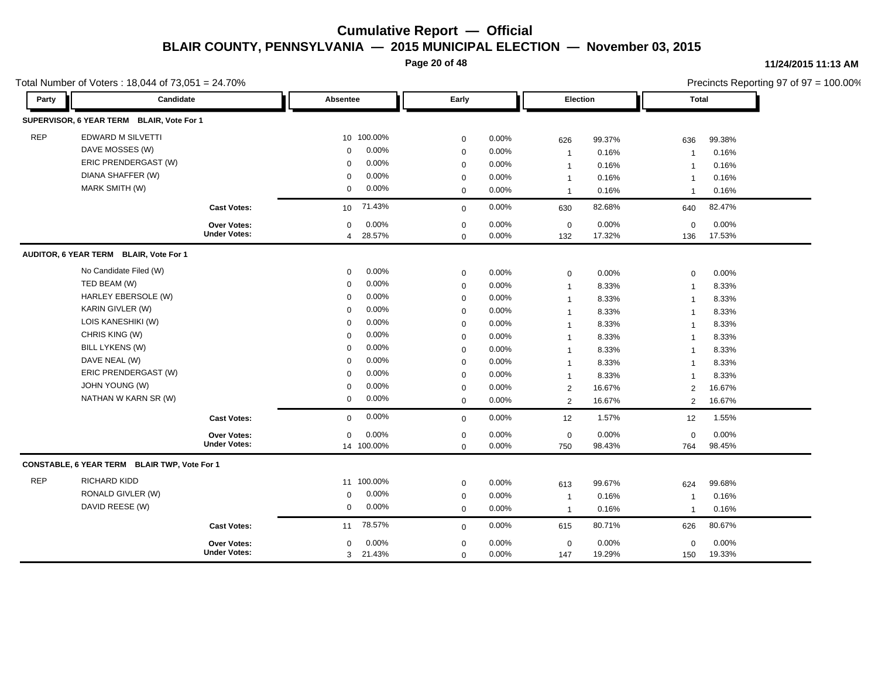**Page 20 of 48**

#### **11/24/2015 11:13 AM**

|            | Total Number of Voters: 18,044 of 73,051 = 24.70% |                     |                 |            |             |          |              |          |                | Precincts Reporting 97 of 97 = 100.00% |
|------------|---------------------------------------------------|---------------------|-----------------|------------|-------------|----------|--------------|----------|----------------|----------------------------------------|
| Party      | Candidate                                         |                     |                 | Absentee   |             | Early    |              | Election | <b>Total</b>   |                                        |
|            | SUPERVISOR, 6 YEAR TERM BLAIR, Vote For 1         |                     |                 |            |             |          |              |          |                |                                        |
| <b>REP</b> | <b>EDWARD M SILVETTI</b>                          |                     |                 | 10 100.00% | $\mathbf 0$ | 0.00%    | 626          | 99.37%   | 636            | 99.38%                                 |
|            | DAVE MOSSES (W)                                   |                     | $\mathbf 0$     | 0.00%      | $\mathbf 0$ | 0.00%    | $\mathbf{1}$ | 0.16%    | $\overline{1}$ | 0.16%                                  |
|            | ERIC PRENDERGAST (W)                              |                     | $\mathbf 0$     | $0.00\%$   | $\mathbf 0$ | $0.00\%$ | $\mathbf{1}$ | 0.16%    | $\overline{1}$ | 0.16%                                  |
|            | DIANA SHAFFER (W)                                 |                     | $\mathbf 0$     | 0.00%      | $\mathbf 0$ | $0.00\%$ | $\mathbf{1}$ | 0.16%    | $\mathbf 1$    | 0.16%                                  |
|            | MARK SMITH (W)                                    |                     | 0               | 0.00%      | $\mathbf 0$ | 0.00%    | $\mathbf{1}$ | 0.16%    | $\mathbf 1$    | 0.16%                                  |
|            |                                                   | <b>Cast Votes:</b>  | 10 <sup>°</sup> | 71.43%     | $\mathbf 0$ | 0.00%    | 630          | 82.68%   | 640            | 82.47%                                 |
|            |                                                   | Over Votes:         | $\mathbf 0$     | $0.00\%$   | $\mathbf 0$ | 0.00%    | $\mathbf 0$  | 0.00%    | $\mathbf 0$    | 0.00%                                  |
|            |                                                   | <b>Under Votes:</b> | $\overline{4}$  | 28.57%     | $\mathbf 0$ | $0.00\%$ | 132          | 17.32%   | 136            | 17.53%                                 |
|            | AUDITOR, 6 YEAR TERM BLAIR, Vote For 1            |                     |                 |            |             |          |              |          |                |                                        |
|            | No Candidate Filed (W)                            |                     | 0               | 0.00%      | $\mathbf 0$ | 0.00%    | $\mathbf 0$  | 0.00%    | $\Omega$       | 0.00%                                  |
|            | TED BEAM (W)                                      |                     | 0               | 0.00%      | $\mathbf 0$ | 0.00%    | $\mathbf{1}$ | 8.33%    | $\overline{1}$ | 8.33%                                  |
|            | <b>HARLEY EBERSOLE (W)</b>                        |                     | $\mathbf 0$     | 0.00%      | $\mathbf 0$ | 0.00%    | $\mathbf{1}$ | 8.33%    | $\overline{1}$ | 8.33%                                  |
|            | KARIN GIVLER (W)                                  |                     | $\mathbf 0$     | 0.00%      | $\mathbf 0$ | 0.00%    | $\mathbf{1}$ | 8.33%    | $\overline{1}$ | 8.33%                                  |
|            | LOIS KANESHIKI (W)                                |                     | $\mathbf 0$     | 0.00%      | $\mathbf 0$ | 0.00%    | $\mathbf{1}$ | 8.33%    | $\overline{1}$ | 8.33%                                  |
|            | CHRIS KING (W)                                    |                     | $\mathbf 0$     | 0.00%      | $\mathbf 0$ | 0.00%    | $\mathbf{1}$ | 8.33%    | $\overline{1}$ | 8.33%                                  |
|            | <b>BILL LYKENS (W)</b>                            |                     | $\mathbf 0$     | 0.00%      | $\mathbf 0$ | 0.00%    | $\mathbf{1}$ | 8.33%    | $\overline{1}$ | 8.33%                                  |
|            | DAVE NEAL (W)                                     |                     | $\mathbf 0$     | $0.00\%$   | $\mathbf 0$ | 0.00%    | $\mathbf{1}$ | 8.33%    | $\mathbf 1$    | 8.33%                                  |
|            | ERIC PRENDERGAST (W)                              |                     | $\Omega$        | 0.00%      | $\mathbf 0$ | 0.00%    | $\mathbf{1}$ | 8.33%    | $\mathbf 1$    | 8.33%                                  |
|            | JOHN YOUNG (W)                                    |                     | 0               | 0.00%      | $\mathbf 0$ | 0.00%    | 2            | 16.67%   | $\overline{2}$ | 16.67%                                 |
|            | NATHAN W KARN SR (W)                              |                     | 0               | $0.00\%$   | $\mathbf 0$ | 0.00%    | 2            | 16.67%   | 2              | 16.67%                                 |
|            |                                                   | <b>Cast Votes:</b>  | $\Omega$        | 0.00%      | $\mathbf 0$ | 0.00%    | 12           | 1.57%    | 12             | 1.55%                                  |
|            |                                                   | Over Votes:         | 0               | 0.00%      | $\mathbf 0$ | 0.00%    | 0            | 0.00%    | $\mathbf 0$    | 0.00%                                  |
|            |                                                   | <b>Under Votes:</b> |                 | 14 100.00% | $\mathbf 0$ | 0.00%    | 750          | 98.43%   | 764            | 98.45%                                 |
|            | CONSTABLE, 6 YEAR TERM BLAIR TWP, Vote For 1      |                     |                 |            |             |          |              |          |                |                                        |
| <b>REP</b> | RICHARD KIDD                                      |                     |                 | 11 100.00% | $\mathbf 0$ | 0.00%    | 613          | 99.67%   | 624            | 99.68%                                 |
|            | RONALD GIVLER (W)                                 |                     | 0               | $0.00\%$   | $\mathbf 0$ | 0.00%    | $\mathbf{1}$ | 0.16%    | $\mathbf 1$    | 0.16%                                  |
|            | DAVID REESE (W)                                   |                     | $\mathbf 0$     | $0.00\%$   | $\mathbf 0$ | 0.00%    | $\mathbf{1}$ | 0.16%    | $\overline{1}$ | 0.16%                                  |
|            |                                                   | <b>Cast Votes:</b>  | 11              | 78.57%     | $\mathbf 0$ | 0.00%    | 615          | 80.71%   | 626            | 80.67%                                 |
|            |                                                   | Over Votes:         | 0               | 0.00%      | $\mathbf 0$ | 0.00%    | $\mathbf 0$  | 0.00%    | $\mathbf 0$    | 0.00%                                  |
|            |                                                   | <b>Under Votes:</b> | 3               | 21.43%     | $\mathbf 0$ | 0.00%    | 147          | 19.29%   | 150            | 19.33%                                 |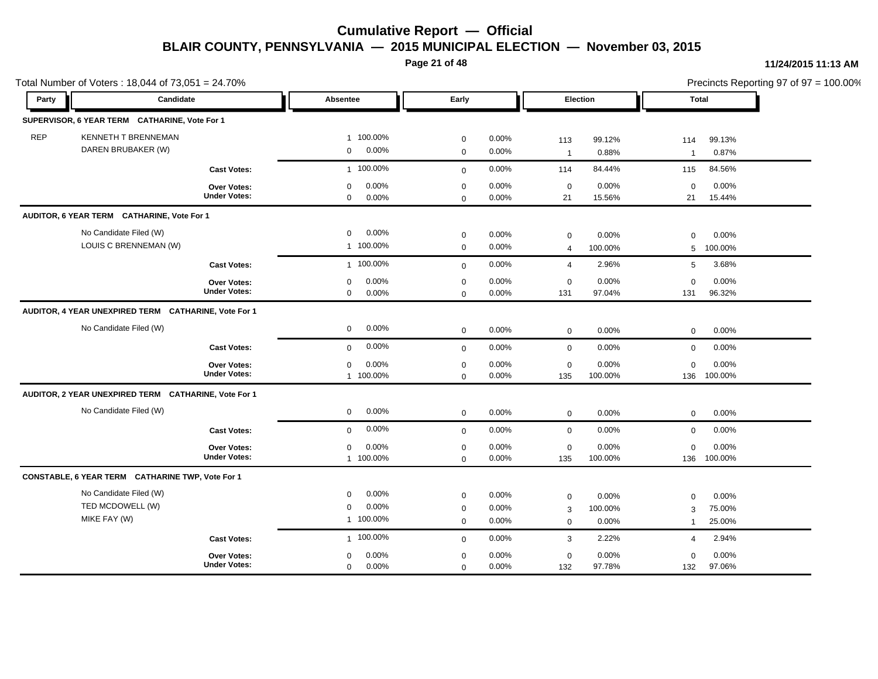**Page 21 of 48**

#### **11/24/2015 11:13 AM**

|            | Total Number of Voters: 18,044 of 73,051 = 24.70%          |                                           |                                                           |                                           |                         |                       |                           |                                    |                           | Precincts Reporting 97 of 97 = 100.00% |
|------------|------------------------------------------------------------|-------------------------------------------|-----------------------------------------------------------|-------------------------------------------|-------------------------|-----------------------|---------------------------|------------------------------------|---------------------------|----------------------------------------|
| Party      | Candidate                                                  |                                           | Absentee                                                  | Early                                     |                         |                       | Election                  | <b>Total</b>                       |                           |                                        |
|            | SUPERVISOR, 6 YEAR TERM CATHARINE, Vote For 1              |                                           |                                                           |                                           |                         |                       |                           |                                    |                           |                                        |
| <b>REP</b> | <b>KENNETH T BRENNEMAN</b><br>DAREN BRUBAKER (W)           |                                           | 1 100.00%<br>$0.00\%$<br>$\overline{0}$                   | $\mathbf 0$<br>$\mathbf 0$                | $0.00\%$<br>0.00%       | 113<br>$\overline{1}$ | 99.12%<br>0.88%           | 114<br>$\overline{1}$              | 99.13%<br>0.87%           |                                        |
|            |                                                            | <b>Cast Votes:</b>                        | 1 100.00%                                                 | $\mathbf 0$                               | 0.00%                   | 114                   | 84.44%                    | 115                                | 84.56%                    |                                        |
|            |                                                            | Over Votes:<br><b>Under Votes:</b>        | 0.00%<br>$\mathbf 0$<br>$\mathbf 0$<br>$0.00\%$           | $\mathbf 0$<br>$\mathbf 0$                | 0.00%<br>0.00%          | $\mathbf 0$<br>21     | 0.00%<br>15.56%           | $\mathbf 0$<br>21                  | 0.00%<br>15.44%           |                                        |
|            | AUDITOR, 6 YEAR TERM CATHARINE, Vote For 1                 |                                           |                                                           |                                           |                         |                       |                           |                                    |                           |                                        |
|            | No Candidate Filed (W)<br>LOUIS C BRENNEMAN (W)            |                                           | 0.00%<br>$\mathbf 0$<br>1 100.00%                         | $\mathbf 0$<br>$\mathbf 0$                | $0.00\%$<br>0.00%       | 0<br>$\overline{4}$   | 0.00%<br>100.00%          | $\Omega$<br>5                      | 0.00%<br>100.00%          |                                        |
|            |                                                            | <b>Cast Votes:</b>                        | 1 100.00%                                                 | $\mathbf 0$                               | 0.00%                   | 4                     | 2.96%                     | 5                                  | 3.68%                     |                                        |
|            |                                                            | <b>Over Votes:</b><br><b>Under Votes:</b> | 0.00%<br>$\mathbf 0$<br>$\mathbf 0$<br>$0.00\%$           | $\mathbf 0$<br>$\mathbf 0$                | 0.00%<br>0.00%          | 0<br>131              | 0.00%<br>97.04%           | $\mathbf 0$<br>131                 | 0.00%<br>96.32%           |                                        |
|            | AUDITOR, 4 YEAR UNEXPIRED TERM CATHARINE, Vote For 1       |                                           |                                                           |                                           |                         |                       |                           |                                    |                           |                                        |
|            | No Candidate Filed (W)                                     |                                           | 0.00%<br>$\mathbf 0$                                      | $\mathbf 0$                               | 0.00%                   | $\mathbf 0$           | 0.00%                     | $\mathbf 0$                        | 0.00%                     |                                        |
|            |                                                            | <b>Cast Votes:</b>                        | 0.00%<br>$\mathbf{0}$                                     | $\mathbf 0$                               | 0.00%                   | $\mathbf 0$           | 0.00%                     | $\mathbf 0$                        | 0.00%                     |                                        |
|            |                                                            | Over Votes:<br><b>Under Votes:</b>        | 0.00%<br>$\mathbf 0$<br>1 100.00%                         | $\mathbf 0$<br>$\mathbf 0$                | 0.00%<br>0.00%          | 0<br>135              | 0.00%<br>100.00%          | $\mathbf 0$<br>136                 | 0.00%<br>100.00%          |                                        |
|            | AUDITOR, 2 YEAR UNEXPIRED TERM CATHARINE, Vote For 1       |                                           |                                                           |                                           |                         |                       |                           |                                    |                           |                                        |
|            | No Candidate Filed (W)                                     |                                           | $\mathbf 0$<br>$0.00\%$                                   | $\mathbf 0$                               | 0.00%                   | $\mathbf 0$           | 0.00%                     | 0                                  | 0.00%                     |                                        |
|            |                                                            | <b>Cast Votes:</b>                        | 0.00%<br>$\mathbf{0}$                                     | $\mathbf 0$                               | 0.00%                   | $\mathbf 0$           | 0.00%                     | $\mathbf 0$                        | 0.00%                     |                                        |
|            |                                                            | Over Votes:<br><b>Under Votes:</b>        | 0.00%<br>$\mathbf 0$<br>1 100.00%                         | $\mathbf 0$<br>$\mathbf 0$                | 0.00%<br>0.00%          | $\mathsf 0$<br>135    | 0.00%<br>100.00%          | $\mathbf 0$                        | 0.00%<br>136 100.00%      |                                        |
|            | CONSTABLE, 6 YEAR TERM CATHARINE TWP, Vote For 1           |                                           |                                                           |                                           |                         |                       |                           |                                    |                           |                                        |
|            | No Candidate Filed (W)<br>TED MCDOWELL (W)<br>MIKE FAY (W) |                                           | 0.00%<br>$\mathbf 0$<br>0.00%<br>$\mathbf 0$<br>1 100.00% | $\mathsf 0$<br>$\mathbf 0$<br>$\mathbf 0$ | 0.00%<br>0.00%<br>0.00% | 0<br>3<br>0           | 0.00%<br>100.00%<br>0.00% | $\mathbf 0$<br>3<br>$\overline{1}$ | 0.00%<br>75.00%<br>25.00% |                                        |
|            |                                                            | <b>Cast Votes:</b>                        | 1 100.00%                                                 | $\mathbf 0$                               | $0.00\%$                | 3                     | 2.22%                     | 4                                  | 2.94%                     |                                        |
|            |                                                            | Over Votes:<br><b>Under Votes:</b>        | 0.00%<br>$\mathbf 0$<br>0.00%<br>$\mathbf 0$              | $\mathbf 0$<br>$\mathbf 0$                | 0.00%<br>0.00%          | 0<br>132              | 0.00%<br>97.78%           | $\Omega$<br>132                    | 0.00%<br>97.06%           |                                        |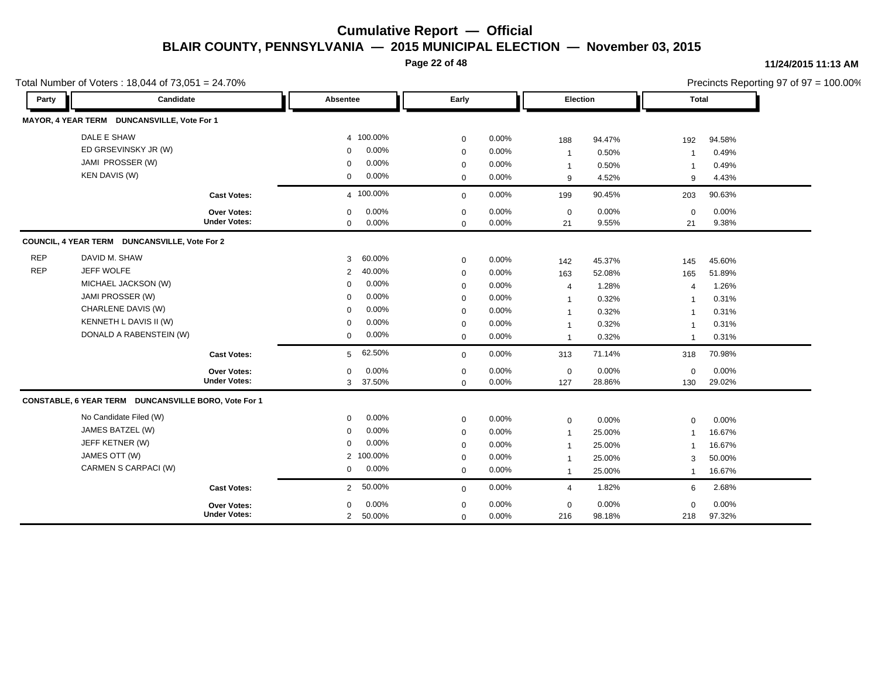**Page 22 of 48**

#### **11/24/2015 11:13 AM**

|            | Total Number of Voters: 18,044 of 73,051 = 24.70%    |                     |                |           |             |          |                |        |                | Precincts Reporting 97 of 97 = 100.00% |
|------------|------------------------------------------------------|---------------------|----------------|-----------|-------------|----------|----------------|--------|----------------|----------------------------------------|
| Party      | Candidate                                            |                     | Absentee       |           | Early       |          | Election       |        | <b>Total</b>   |                                        |
|            | MAYOR, 4 YEAR TERM DUNCANSVILLE, Vote For 1          |                     |                |           |             |          |                |        |                |                                        |
|            | DALE E SHAW                                          |                     |                | 4 100.00% | $\mathbf 0$ | 0.00%    | 188            | 94.47% | 192            | 94.58%                                 |
|            | ED GRSEVINSKY JR (W)                                 |                     | $\Omega$       | 0.00%     | $\mathbf 0$ | 0.00%    | $\mathbf{1}$   | 0.50%  | $\overline{1}$ | 0.49%                                  |
|            | JAMI PROSSER (W)                                     |                     | $\mathbf 0$    | 0.00%     | $\mathbf 0$ | 0.00%    | $\mathbf{1}$   | 0.50%  |                | 0.49%                                  |
|            | <b>KEN DAVIS (W)</b>                                 |                     | $\mathbf 0$    | 0.00%     | $\mathbf 0$ | $0.00\%$ | 9              | 4.52%  | 9              | 4.43%                                  |
|            |                                                      | <b>Cast Votes:</b>  |                | 4 100.00% | $\mathbf 0$ | 0.00%    | 199            | 90.45% | 203            | 90.63%                                 |
|            |                                                      | Over Votes:         | $\mathbf 0$    | 0.00%     | $\mathbf 0$ | 0.00%    | $\mathbf 0$    | 0.00%  | $\mathbf 0$    | 0.00%                                  |
|            |                                                      | <b>Under Votes:</b> | $\mathbf{0}$   | 0.00%     | $\mathbf 0$ | 0.00%    | 21             | 9.55%  | 21             | 9.38%                                  |
|            | COUNCIL, 4 YEAR TERM DUNCANSVILLE, Vote For 2        |                     |                |           |             |          |                |        |                |                                        |
| <b>REP</b> | DAVID M. SHAW                                        |                     | 3              | 60.00%    | $\mathbf 0$ | 0.00%    | 142            | 45.37% | 145            | 45.60%                                 |
| <b>REP</b> | JEFF WOLFE                                           |                     | 2              | 40.00%    | $\mathbf 0$ | 0.00%    | 163            | 52.08% | 165            | 51.89%                                 |
|            | MICHAEL JACKSON (W)                                  |                     | $\mathbf 0$    | 0.00%     | $\mathbf 0$ | 0.00%    | 4              | 1.28%  | $\overline{4}$ | 1.26%                                  |
|            | JAMI PROSSER (W)                                     |                     | $\mathbf 0$    | 0.00%     | $\mathbf 0$ | 0.00%    | $\mathbf{1}$   | 0.32%  | -1             | 0.31%                                  |
|            | CHARLENE DAVIS (W)                                   |                     | $\Omega$       | 0.00%     | $\mathbf 0$ | 0.00%    | $\overline{1}$ | 0.32%  | -1             | 0.31%                                  |
|            | KENNETH L DAVIS II (W)                               |                     | $\Omega$       | 0.00%     | $\mathbf 0$ | 0.00%    | $\overline{1}$ | 0.32%  | $\mathbf{1}$   | 0.31%                                  |
|            | DONALD A RABENSTEIN (W)                              |                     | $\mathbf 0$    | 0.00%     | $\mathbf 0$ | 0.00%    | $\mathbf{1}$   | 0.32%  | $\overline{1}$ | 0.31%                                  |
|            |                                                      | <b>Cast Votes:</b>  | 5              | 62.50%    | $\mathbf 0$ | 0.00%    | 313            | 71.14% | 318            | 70.98%                                 |
|            |                                                      | Over Votes:         | $\mathbf 0$    | 0.00%     | $\mathbf 0$ | 0.00%    | $\pmb{0}$      | 0.00%  | $\mathbf 0$    | 0.00%                                  |
|            |                                                      | <b>Under Votes:</b> | 3              | 37.50%    | $\mathbf 0$ | 0.00%    | 127            | 28.86% | 130            | 29.02%                                 |
|            | CONSTABLE, 6 YEAR TERM DUNCANSVILLE BORO, Vote For 1 |                     |                |           |             |          |                |        |                |                                        |
|            | No Candidate Filed (W)                               |                     | $\mathbf 0$    | 0.00%     | $\mathbf 0$ | 0.00%    | $\mathbf 0$    | 0.00%  | $\mathbf 0$    | 0.00%                                  |
|            | JAMES BATZEL (W)                                     |                     | $\mathbf 0$    | 0.00%     | $\mathbf 0$ | 0.00%    | $\overline{1}$ | 25.00% | $\mathbf 1$    | 16.67%                                 |
|            | JEFF KETNER (W)                                      |                     | $\mathbf 0$    | 0.00%     | $\mathbf 0$ | 0.00%    | $\overline{1}$ | 25.00% |                | 16.67%                                 |
|            | JAMES OTT (W)                                        |                     |                | 2 100.00% | $\mathbf 0$ | 0.00%    | -1             | 25.00% | 3              | 50.00%                                 |
|            | CARMEN S CARPACI (W)                                 |                     | 0              | 0.00%     | $\mathbf 0$ | 0.00%    | $\mathbf{1}$   | 25.00% | $\mathbf{1}$   | 16.67%                                 |
|            |                                                      | <b>Cast Votes:</b>  | $\overline{2}$ | 50.00%    | $\mathbf 0$ | 0.00%    | 4              | 1.82%  | 6              | 2.68%                                  |
|            |                                                      | Over Votes:         | $\Omega$       | 0.00%     | $\mathbf 0$ | 0.00%    | $\mathbf 0$    | 0.00%  | $\Omega$       | 0.00%                                  |
|            |                                                      | <b>Under Votes:</b> | $\overline{2}$ | 50.00%    | $\mathbf 0$ | 0.00%    | 216            | 98.18% | 218            | 97.32%                                 |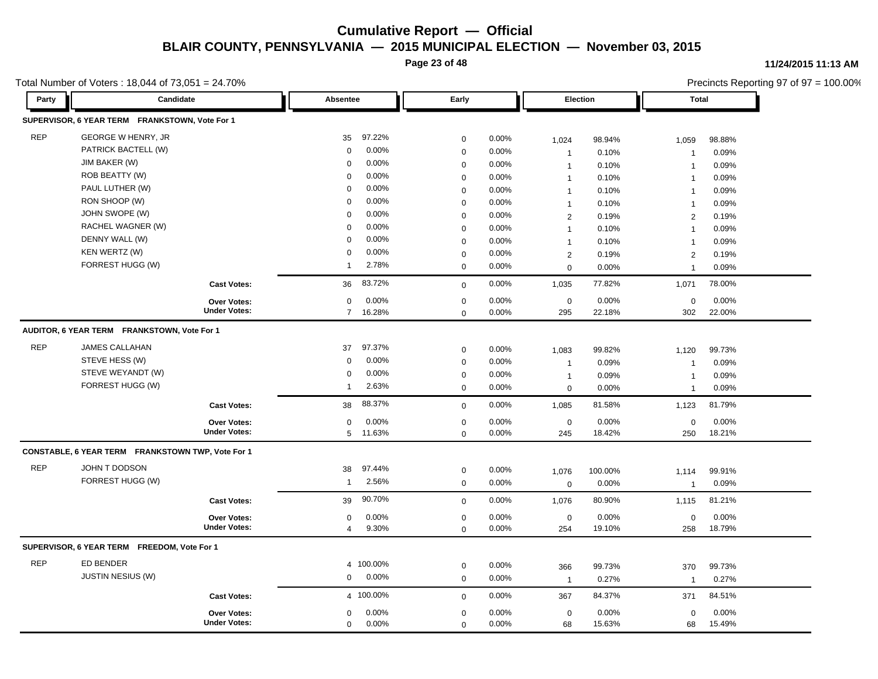**Page 23 of 48**

#### **11/24/2015 11:13 AM**

Total Number of Voters : 18,044 of 73,051 = 24.70%

Precincts Reporting 97 of 97 = 100.00% **Party Candidate Absentee Early Election Total SUPERVISOR, 6 YEAR TERM FRANKSTOWN, Vote For 1** REP GEORGE W HENRY, JR 35 97.22% 0 0.00% 1,024 98.94% 1,059 98.88% PATRICK BACTELL (W) 0 0.00% 0 0.00% 1 0.10% 1 0.09% JIM BAKER (W) 0 0.00% 0 0.00% 1 0.10% 1 0.09% ROB BEATTY (W) 0 0.00% 0 0.00% 1 0.10% 1 0.09% 1 PAUL LUTHER (W) 0 0.00% 0 0.00% 1 0.10% 1 0.09% RON SHOOP (W) 0 0.00% 0 0.00% 1 0.10% 1 0.09% 1 JOHN SWOPE (W) 0 0.00% 0 0.00% 2 0.19% 2 0.19% RACHEL WAGNER (W) 0 0.00% 0 0.00% 1 0.10% 1 0.09% DENNY WALL (W) 0 0.00% 0 0.00% 1 0.10% 1 0.09% KEN WERTZ (W) 0 0.00% 0 0.00% 2 0.19% 2 0.19% FORREST HUGG (W) 1 2.78% 0 0.00% 0 0.00% 1 0.09% **Cast Votes:** 36 83.72% 0 0.00% 1,035 77.82% 1,071 78.00% 302 22.00% 22.18% 0 0.00% 295 0.00% 0 0.00% **Under Votes: Over Votes:** 16.28% 7  $0.00\%$  0.00% 0.00% 0.00% 0.00% 0.00%  $0$  0.00%  $0\qquad 0.00\%$  $0.00\%$ **AUDITOR, 6 YEAR TERM FRANKSTOWN, Vote For 1** REP JAMES CALLAHAN 37 97.37% 0 0.00% 1,083 99.82% 1,120 99.73% STEVE HESS (W) 0 0.00% 0 0.00% 1 0.09% 1 0.09% STEVE WEYANDT (W) 0 0.00% 0 0.00% 1 0.09% 1 0.09% FORREST HUGG (W) 1 2.63% 0 0.00% 0 0.00% 1 0.09% **Cast Votes:** 38 88.37% 0 0.00% 1,085 81.58% 1,123 81.79% 250 18.21% 18.42% 0 0.00% 245 0.00% 0 0.00% **Under Votes: Over Votes:** 11.63% 5  $0.00\%$  0.00% 0.00% 0.00% 0.00% 0.00%  $0$  0.00% 0 0.00% 0 0.00% **CONSTABLE, 6 YEAR TERM FRANKSTOWN TWP, Vote For 1** REP JOHN T DODSON 38 97.44% 0 0.00% 1,076 100.00% 1,114 99.91% FORREST HUGG (W) 1 2.56% 0 0.00% 0 0.00% 1 0.09% **Cast Votes:** 39 90.70% 0 0.00% 1,076 80.90% 1,115 81.21% 258 18.79% 19.10% 0 0.00% 254 0.00% 0 0.00% **Under Votes: Over Votes:** 9.30% 0  $0.00\%$  0.00% 0.00% 0.00% 0.00% 0.00% 0 0.00% 4 9.30% 0 0.00% **SUPERVISOR, 6 YEAR TERM FREEDOM, Vote For 1** REP ED BENDER 4 100.00% 0 0.00% 366 99.73% 370 99.73% JUSTIN NESIUS (W) 0 0.00% 0 0.00% 1 0.27% 1 0.27% **Cast Votes:** 4 100.00% 0 0.00% 367 84.37% 371 84.51% 68 15.49% 15.63% 0 0.00% 68 0.00%  $0\qquad 0.00\%$ **Under Votes: Over Votes:** 0 0.00% 0 0.00% 0.00%  $0.00\%$  0.00% 0.00% 0.00% 0.00% 0.00%  $0\qquad 0.00\%$  $0.00\%$  $\Omega$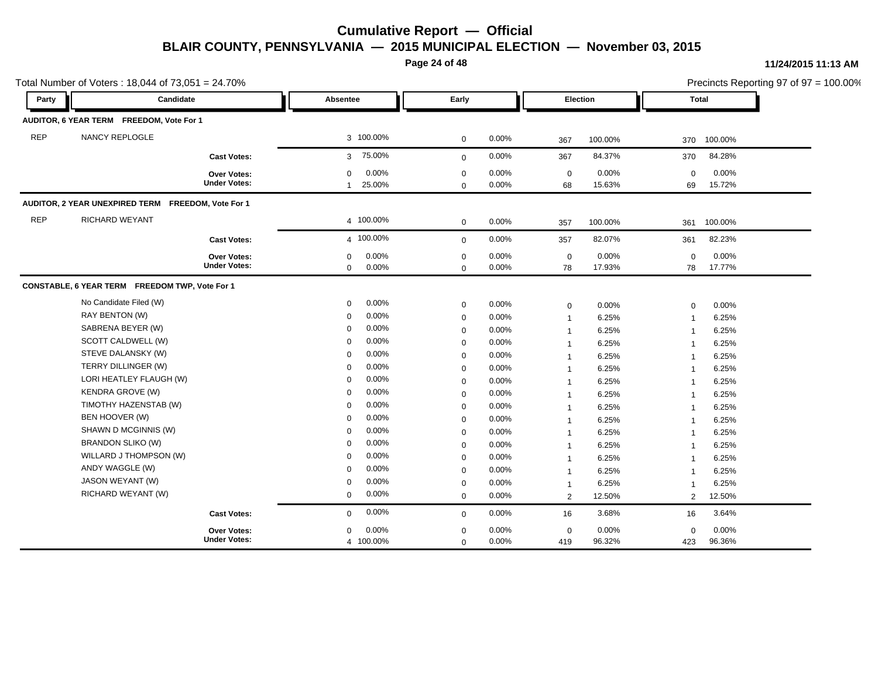**Page 24 of 48**

|            | Total Number of Voters: 18,044 of 73,051 = 24.70%  |                                    |                                                |                            |                |                   |                 |                | Precincts Reporting 97 of 97 = 100.00% |  |
|------------|----------------------------------------------------|------------------------------------|------------------------------------------------|----------------------------|----------------|-------------------|-----------------|----------------|----------------------------------------|--|
| Party      | Candidate                                          |                                    | Absentee                                       | Early                      |                |                   | Election        | <b>Total</b>   |                                        |  |
|            | AUDITOR, 6 YEAR TERM FREEDOM, Vote For 1           |                                    |                                                |                            |                |                   |                 |                |                                        |  |
| <b>REP</b> | NANCY REPLOGLE                                     |                                    | 3 100.00%                                      | $\mathbf 0$                | 0.00%          | 367               | 100.00%         | 370            | 100.00%                                |  |
|            |                                                    | <b>Cast Votes:</b>                 | 75.00%<br>3                                    | $\mathbf 0$                | 0.00%          | 367               | 84.37%          | 370            | 84.28%                                 |  |
|            |                                                    | Over Votes:<br><b>Under Votes:</b> | 0.00%<br>$\mathbf 0$<br>25.00%<br>$\mathbf{1}$ | $\pmb{0}$<br>$\mathbf 0$   | 0.00%<br>0.00% | $\pmb{0}$<br>68   | 0.00%<br>15.63% | 0<br>69        | 0.00%<br>15.72%                        |  |
|            | AUDITOR, 2 YEAR UNEXPIRED TERM FREEDOM, Vote For 1 |                                    |                                                |                            |                |                   |                 |                |                                        |  |
| <b>REP</b> | RICHARD WEYANT                                     |                                    | 4 100.00%                                      | $\mathbf 0$                | 0.00%          | 357               | 100.00%         | 361            | 100.00%                                |  |
|            |                                                    | <b>Cast Votes:</b>                 | 4 100.00%                                      | $\mathbf 0$                | 0.00%          | 357               | 82.07%          | 361            | 82.23%                                 |  |
|            |                                                    | Over Votes:<br><b>Under Votes:</b> | 0.00%<br>$\mathbf 0$<br>0.00%<br>$\mathbf 0$   | $\mathbf 0$<br>$\mathbf 0$ | 0.00%<br>0.00% | $\mathbf 0$<br>78 | 0.00%<br>17.93% | 0<br>78        | 0.00%<br>17.77%                        |  |
|            | CONSTABLE, 6 YEAR TERM FREEDOM TWP, Vote For 1     |                                    |                                                |                            |                |                   |                 |                |                                        |  |
|            | No Candidate Filed (W)                             |                                    | 0.00%<br>$\mathbf 0$                           | $\mathbf 0$                | 0.00%          | $\mathbf 0$       | 0.00%           | $\mathbf 0$    | 0.00%                                  |  |
|            | RAY BENTON (W)                                     |                                    | 0.00%<br>$\mathbf 0$                           | $\mathbf 0$                | 0.00%          | $\overline{1}$    | 6.25%           | $\overline{1}$ | 6.25%                                  |  |
|            | SABRENA BEYER (W)                                  |                                    | 0.00%<br>$\Omega$                              | $\mathbf 0$                | 0.00%          | $\mathbf 1$       | 6.25%           | -1             | 6.25%                                  |  |
|            | SCOTT CALDWELL (W)                                 |                                    | 0.00%<br>$\mathbf 0$                           | $\mathbf 0$                | 0.00%          | $\overline{1}$    | 6.25%           | -1             | 6.25%                                  |  |
|            | STEVE DALANSKY (W)                                 |                                    | 0.00%<br>$\Omega$                              | $\mathbf 0$                | 0.00%          | $\mathbf 1$       | 6.25%           | -1             | 6.25%                                  |  |
|            | TERRY DILLINGER (W)                                |                                    | 0.00%<br>$\mathbf 0$                           | $\mathbf 0$                | 0.00%          | $\overline{1}$    | 6.25%           | -1             | 6.25%                                  |  |
|            | LORI HEATLEY FLAUGH (W)                            |                                    | 0.00%<br>$\Omega$                              | $\mathbf 0$                | 0.00%          | $\mathbf 1$       | 6.25%           | -1             | 6.25%                                  |  |
|            | <b>KENDRA GROVE (W)</b>                            |                                    | 0.00%<br>$\mathbf 0$                           | $\pmb{0}$                  | 0.00%          | $\overline{1}$    | 6.25%           | 1              | 6.25%                                  |  |
|            | TIMOTHY HAZENSTAB (W)                              |                                    | 0.00%<br>$\mathbf 0$                           | $\mathbf 0$                | 0.00%          | $\overline{1}$    | 6.25%           | $\mathbf 1$    | 6.25%                                  |  |
|            | BEN HOOVER (W)                                     |                                    | 0.00%<br>$\mathbf 0$                           | $\mathbf 0$                | 0.00%          | $\mathbf{1}$      | 6.25%           | $\overline{1}$ | 6.25%                                  |  |
|            | SHAWN D MCGINNIS (W)                               |                                    | 0.00%<br>$\mathbf 0$                           | $\mathbf 0$                | 0.00%          | $\mathbf 1$       | 6.25%           | -1             | 6.25%                                  |  |
|            | <b>BRANDON SLIKO (W)</b>                           |                                    | 0.00%<br>$\mathbf 0$                           | $\mathbf 0$                | 0.00%          | $\mathbf{1}$      | 6.25%           | $\overline{1}$ | 6.25%                                  |  |
|            | WILLARD J THOMPSON (W)                             |                                    | 0.00%<br>$\Omega$                              | $\mathbf 0$                | 0.00%          | $\mathbf 1$       | 6.25%           | -1             | 6.25%                                  |  |
|            | ANDY WAGGLE (W)                                    |                                    | 0.00%<br>$\mathbf 0$                           | $\mathbf 0$                | 0.00%          | $\overline{1}$    | 6.25%           | 1              | 6.25%                                  |  |
|            | <b>JASON WEYANT (W)</b>                            |                                    | 0.00%<br>$\mathbf 0$                           | $\mathbf 0$                | 0.00%          | $\mathbf{1}$      | 6.25%           | -1             | 6.25%                                  |  |
|            | RICHARD WEYANT (W)                                 |                                    | 0.00%<br>$\mathbf 0$                           | $\mathbf 0$                | 0.00%          | $\overline{2}$    | 12.50%          | 2              | 12.50%                                 |  |
|            |                                                    | <b>Cast Votes:</b>                 | 0.00%<br>$\mathbf 0$                           | $\mathbf 0$                | 0.00%          | 16                | 3.68%           | 16             | 3.64%                                  |  |
|            |                                                    | Over Votes:                        | 0.00%<br>$\mathbf 0$                           | $\mathbf 0$                | 0.00%          | $\mathbf 0$       | 0.00%           | 0              | 0.00%                                  |  |
|            |                                                    | <b>Under Votes:</b>                | 4 100.00%                                      | $\mathbf 0$                | 0.00%          | 419               | 96.32%          | 423            | 96.36%                                 |  |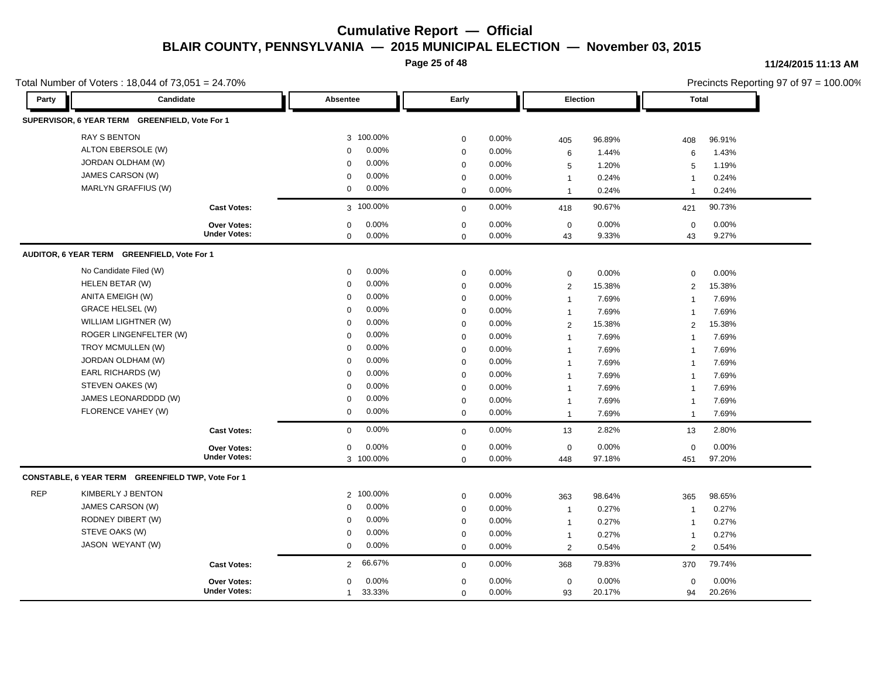**Page 25 of 48**

#### **11/24/2015 11:13 AM**

Precincts Reporting 97 of 97 = 100.00%

| Party      | Candidate                                         |                     | Absentee               | Early            |       | <b>Election</b> |        | Total                   | $r$ ignition reporting $37$ or $37 = 100.00$ <i>K</i> |
|------------|---------------------------------------------------|---------------------|------------------------|------------------|-------|-----------------|--------|-------------------------|-------------------------------------------------------|
|            | SUPERVISOR, 6 YEAR TERM GREENFIELD, Vote For 1    |                     |                        |                  |       |                 |        |                         |                                                       |
|            | <b>RAY S BENTON</b>                               |                     | 3 100.00%              | $\mathbf 0$      | 0.00% |                 | 96.89% |                         | 96.91%                                                |
|            | ALTON EBERSOLE (W)                                |                     | 0.00%<br>$\Omega$      | $\mathbf 0$      | 0.00% | 405<br>6        | 1.44%  | 408<br>6                | 1.43%                                                 |
|            | JORDAN OLDHAM (W)                                 |                     | 0.00%<br>$\Omega$      | $\mathbf 0$      | 0.00% | 5               | 1.20%  | 5                       | 1.19%                                                 |
|            | JAMES CARSON (W)                                  |                     | 0.00%<br>$\Omega$      | $\mathbf 0$      | 0.00% | $\mathbf{1}$    | 0.24%  | $\mathbf 1$             | 0.24%                                                 |
|            | <b>MARLYN GRAFFIUS (W)</b>                        |                     | 0.00%<br>$\mathbf 0$   | $\Omega$         | 0.00% | $\mathbf{1}$    | 0.24%  | $\overline{\mathbf{1}}$ | 0.24%                                                 |
|            |                                                   | <b>Cast Votes:</b>  | 3 100.00%              | $\mathbf 0$      | 0.00% | 418             | 90.67% | 421                     | 90.73%                                                |
|            |                                                   | Over Votes:         | 0.00%<br>$\Omega$      | $\mathbf 0$      | 0.00% | $\mathbf 0$     | 0.00%  | $\mathbf 0$             | 0.00%                                                 |
|            |                                                   | <b>Under Votes:</b> | 0.00%<br>$\mathbf 0$   | $\mathbf 0$      | 0.00% | 43              | 9.33%  | 43                      | 9.27%                                                 |
|            | AUDITOR, 6 YEAR TERM GREENFIELD, Vote For 1       |                     |                        |                  |       |                 |        |                         |                                                       |
|            | No Candidate Filed (W)                            |                     | 0.00%<br>0             | $\boldsymbol{0}$ | 0.00% | $\mathbf 0$     | 0.00%  | $\mathbf 0$             | 0.00%                                                 |
|            | HELEN BETAR (W)                                   |                     | 0.00%<br>$\mathbf 0$   | $\mathbf 0$      | 0.00% | $\overline{2}$  | 15.38% | 2                       | 15.38%                                                |
|            | ANITA EMEIGH (W)                                  |                     | 0.00%<br>$\mathbf 0$   | $\mathbf 0$      | 0.00% | $\mathbf{1}$    | 7.69%  | $\overline{1}$          | 7.69%                                                 |
|            | <b>GRACE HELSEL (W)</b>                           |                     | 0.00%<br>$\Omega$      | $\mathbf 0$      | 0.00% | $\mathbf{1}$    | 7.69%  | $\mathbf 1$             | 7.69%                                                 |
|            | WILLIAM LIGHTNER (W)                              |                     | 0.00%<br>$\Omega$      | $\mathbf 0$      | 0.00% | 2               | 15.38% | $\overline{2}$          | 15.38%                                                |
|            | ROGER LINGENFELTER (W)                            |                     | 0.00%<br>$\Omega$      | $\mathbf 0$      | 0.00% | $\mathbf{1}$    | 7.69%  | $\mathbf{1}$            | 7.69%                                                 |
|            | TROY MCMULLEN (W)                                 |                     | 0.00%<br>$\Omega$      | $\mathbf 0$      | 0.00% | $\mathbf{1}$    | 7.69%  | $\overline{\mathbf{1}}$ | 7.69%                                                 |
|            | JORDAN OLDHAM (W)                                 |                     | 0.00%<br>$\Omega$      | $\mathbf 0$      | 0.00% | $\mathbf{1}$    | 7.69%  | $\overline{1}$          | 7.69%                                                 |
|            | EARL RICHARDS (W)                                 |                     | 0.00%<br>$\Omega$      | $\mathbf 0$      | 0.00% | $\mathbf{1}$    | 7.69%  | $\overline{1}$          | 7.69%                                                 |
|            | STEVEN OAKES (W)                                  |                     | 0.00%<br>$\Omega$      | $\mathbf 0$      | 0.00% | $\mathbf{1}$    | 7.69%  | $\overline{1}$          | 7.69%                                                 |
|            | JAMES LEONARDDDD (W)                              |                     | 0.00%<br>$\Omega$      | $\mathbf 0$      | 0.00% | $\mathbf{1}$    | 7.69%  | -1                      | 7.69%                                                 |
|            | FLORENCE VAHEY (W)                                |                     | 0.00%<br>$\mathbf 0$   | $\mathbf 0$      | 0.00% | $\mathbf{1}$    | 7.69%  | $\mathbf 1$             | 7.69%                                                 |
|            |                                                   | <b>Cast Votes:</b>  | 0.00%<br>$\mathsf 0$   | $\mathbf 0$      | 0.00% | 13              | 2.82%  | 13                      | 2.80%                                                 |
|            |                                                   | Over Votes:         | 0.00%<br>0             | $\mathbf 0$      | 0.00% | $\mathbf 0$     | 0.00%  | $\mathbf 0$             | 0.00%                                                 |
|            |                                                   | <b>Under Votes:</b> | 3 100.00%              | $\mathbf 0$      | 0.00% | 448             | 97.18% | 451                     | 97.20%                                                |
|            | CONSTABLE, 6 YEAR TERM GREENFIELD TWP, Vote For 1 |                     |                        |                  |       |                 |        |                         |                                                       |
| <b>REP</b> | <b>KIMBERLY J BENTON</b>                          |                     | 2 100.00%              | $\mathbf 0$      | 0.00% | 363             | 98.64% | 365                     | 98.65%                                                |
|            | JAMES CARSON (W)                                  |                     | 0.00%<br>$\mathbf 0$   | $\mathbf 0$      | 0.00% | $\mathbf{1}$    | 0.27%  | $\overline{1}$          | 0.27%                                                 |
|            | RODNEY DIBERT (W)                                 |                     | 0.00%<br>$\mathbf 0$   | $\mathbf 0$      | 0.00% | $\mathbf{1}$    | 0.27%  | $\overline{1}$          | 0.27%                                                 |
|            | STEVE OAKS (W)                                    |                     | 0.00%<br>$\mathbf 0$   | $\mathbf 0$      | 0.00% | $\mathbf{1}$    | 0.27%  | $\overline{1}$          | 0.27%                                                 |
|            | JASON WEYANT (W)                                  |                     | 0.00%<br>$\mathbf 0$   | $\mathbf 0$      | 0.00% | 2               | 0.54%  | 2                       | 0.54%                                                 |
|            |                                                   | <b>Cast Votes:</b>  | 66.67%<br>$2^{\circ}$  | $\mathbf 0$      | 0.00% | 368             | 79.83% | 370                     | 79.74%                                                |
|            |                                                   | Over Votes:         | 0.00%<br>$\mathbf 0$   | $\mathbf 0$      | 0.00% | $\mathbf 0$     | 0.00%  | $\mathbf 0$             | 0.00%                                                 |
|            |                                                   | <b>Under Votes:</b> | 33.33%<br>$\mathbf{1}$ | $\mathbf 0$      | 0.00% | 93              | 20.17% | 94                      | 20.26%                                                |

Total Number of Voters : 18,044 of 73,051 = 24.70%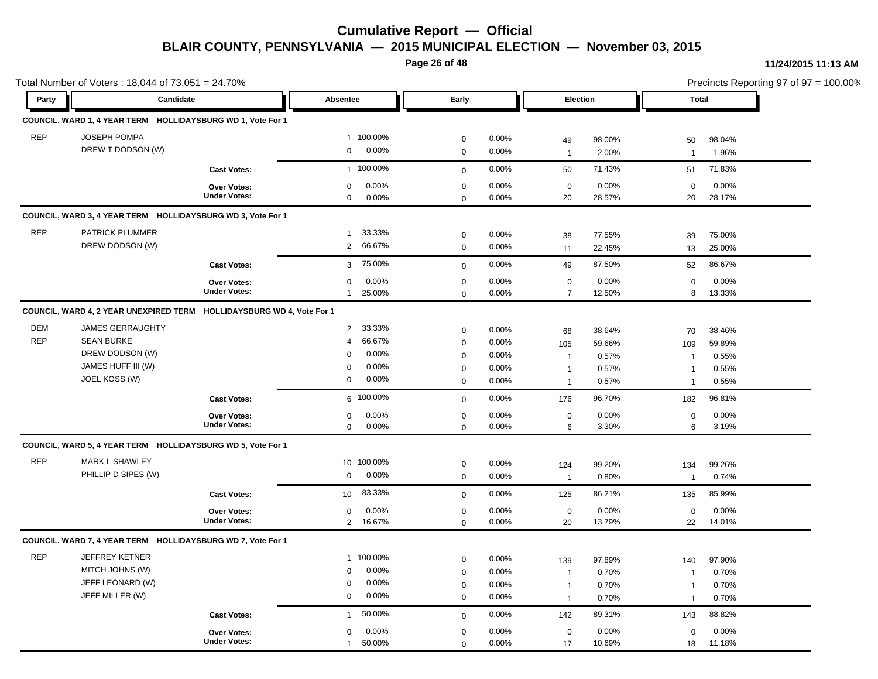**Page 26 of 48**

#### **11/24/2015 11:13 AM**

 $= 100.00\%$ 

|            | Total Number of Voters: 18,044 of 73,051 = 24.70%           |                                           |                           |              |          |                 |        | Precincts Reporting 97 of 97 = 100.00% |        |  |
|------------|-------------------------------------------------------------|-------------------------------------------|---------------------------|--------------|----------|-----------------|--------|----------------------------------------|--------|--|
| Party      | Candidate                                                   |                                           | Absentee                  | Early        |          | <b>Election</b> |        | <b>Total</b>                           |        |  |
|            | COUNCIL, WARD 1, 4 YEAR TERM HOLLIDAYSBURG WD 1, Vote For 1 |                                           |                           |              |          |                 |        |                                        |        |  |
| <b>REP</b> | <b>JOSEPH POMPA</b>                                         |                                           | 1 100.00%                 | 0            | 0.00%    | 49              | 98.00% | 50                                     | 98.04% |  |
|            | DREW T DODSON (W)                                           |                                           | 0.00%<br>$\mathbf 0$      | $\mathbf 0$  | 0.00%    | $\overline{1}$  | 2.00%  | $\overline{1}$                         | 1.96%  |  |
|            |                                                             | <b>Cast Votes:</b>                        | 1 100.00%                 |              | 0.00%    | 50              | 71.43% | 51                                     | 71.83% |  |
|            |                                                             |                                           |                           | $\mathbf 0$  |          |                 |        |                                        |        |  |
|            |                                                             | Over Votes:<br><b>Under Votes:</b>        | 0.00%<br>$\mathbf 0$      | $\mathbf 0$  | 0.00%    | $\mathbf 0$     | 0.00%  | $\mathbf 0$                            | 0.00%  |  |
|            |                                                             |                                           | $\mathbf 0$<br>$0.00\%$   | $\mathbf 0$  | 0.00%    | 20              | 28.57% | 20                                     | 28.17% |  |
|            | COUNCIL, WARD 3, 4 YEAR TERM HOLLIDAYSBURG WD 3, Vote For 1 |                                           |                           |              |          |                 |        |                                        |        |  |
| <b>REP</b> | <b>PATRICK PLUMMER</b>                                      |                                           | 33.33%<br>$\mathbf{1}$    | 0            | 0.00%    | 38              | 77.55% | 39                                     | 75.00% |  |
|            | DREW DODSON (W)                                             |                                           | 66.67%<br>2               | $\mathbf 0$  | 0.00%    | 11              | 22.45% | 13                                     | 25.00% |  |
|            |                                                             | <b>Cast Votes:</b>                        | 75.00%<br>3               | $\mathbf{0}$ | 0.00%    | 49              | 87.50% | 52                                     | 86.67% |  |
|            |                                                             |                                           | 0.00%<br>$\mathbf 0$      | $\mathbf 0$  | 0.00%    | $\mathbf 0$     | 0.00%  | $\mathbf 0$                            | 0.00%  |  |
|            |                                                             | <b>Over Votes:</b><br><b>Under Votes:</b> | 25.00%<br>$\mathbf{1}$    | $\mathbf 0$  | 0.00%    | $\overline{7}$  | 12.50% | 8                                      | 13.33% |  |
|            |                                                             |                                           |                           |              |          |                 |        |                                        |        |  |
|            | <b>COUNCIL, WARD 4, 2 YEAR UNEXPIRED TERM</b>               | HOLLIDAYSBURG WD 4, Vote For 1            |                           |              |          |                 |        |                                        |        |  |
| <b>DEM</b> | <b>JAMES GERRAUGHTY</b>                                     |                                           | 33.33%<br>$\overline{2}$  | 0            | 0.00%    | 68              | 38.64% | 70                                     | 38.46% |  |
| <b>REP</b> | <b>SEAN BURKE</b>                                           |                                           | 66.67%<br>$\overline{4}$  | $\mathbf 0$  | 0.00%    | 105             | 59.66% | 109                                    | 59.89% |  |
|            | DREW DODSON (W)                                             |                                           | 0.00%<br>$\mathbf 0$      | $\mathbf 0$  | 0.00%    | $\overline{1}$  | 0.57%  | $\overline{1}$                         | 0.55%  |  |
|            | JAMES HUFF III (W)                                          |                                           | $0.00\%$<br>$\mathbf 0$   | 0            | 0.00%    | $\mathbf{1}$    | 0.57%  | $\mathbf{1}$                           | 0.55%  |  |
|            | JOEL KOSS (W)                                               |                                           | $0.00\%$<br>$\mathbf 0$   | $\mathbf 0$  | 0.00%    | $\overline{1}$  | 0.57%  | $\overline{1}$                         | 0.55%  |  |
|            |                                                             | <b>Cast Votes:</b>                        | 6 100.00%                 | $\mathbf 0$  | 0.00%    | 176             | 96.70% | 182                                    | 96.81% |  |
|            |                                                             | Over Votes:                               | $\mathbf 0$<br>0.00%      | $\mathbf 0$  | 0.00%    | $\mathbf 0$     | 0.00%  | $\mathbf 0$                            | 0.00%  |  |
|            |                                                             | <b>Under Votes:</b>                       | $\mathbf 0$<br>$0.00\%$   | $\mathbf 0$  | 0.00%    | 6               | 3.30%  | 6                                      | 3.19%  |  |
|            | COUNCIL, WARD 5, 4 YEAR TERM HOLLIDAYSBURG WD 5, Vote For 1 |                                           |                           |              |          |                 |        |                                        |        |  |
| <b>REP</b> | MARK L SHAWLEY                                              |                                           | 10 100.00%                | $\mathbf 0$  | 0.00%    | 124             | 99.20% | 134                                    | 99.26% |  |
|            | PHILLIP D SIPES (W)                                         |                                           | 0.00%<br>$\mathbf 0$      | $\mathbf 0$  | $0.00\%$ | $\overline{1}$  | 0.80%  | $\overline{1}$                         | 0.74%  |  |
|            |                                                             | <b>Cast Votes:</b>                        | 83.33%<br>10 <sup>1</sup> | $\mathbf 0$  | 0.00%    | 125             | 86.21% | 135                                    | 85.99% |  |
|            |                                                             | Over Votes:                               | 0.00%<br>$\mathbf 0$      | $\mathbf 0$  | 0.00%    | $\pmb{0}$       | 0.00%  | $\mathbf 0$                            | 0.00%  |  |
|            |                                                             | <b>Under Votes:</b>                       | $2^{\circ}$<br>16.67%     | $\mathbf 0$  | 0.00%    | 20              | 13.79% | 22                                     | 14.01% |  |
|            | COUNCIL, WARD 7, 4 YEAR TERM HOLLIDAYSBURG WD 7, Vote For 1 |                                           |                           |              |          |                 |        |                                        |        |  |
|            |                                                             |                                           |                           |              |          |                 |        |                                        |        |  |
| <b>REP</b> | JEFFREY KETNER                                              |                                           | 1 100.00%                 | $\mathbf 0$  | 0.00%    | 139             | 97.89% | 140                                    | 97.90% |  |
|            | MITCH JOHNS (W)                                             |                                           | $0.00\%$<br>$\mathbf 0$   | $\mathbf 0$  | 0.00%    | $\overline{1}$  | 0.70%  | $\mathbf{1}$                           | 0.70%  |  |
|            | JEFF LEONARD (W)                                            |                                           | 0.00%<br>$\mathbf 0$      | 0            | 0.00%    | $\overline{1}$  | 0.70%  | $\overline{1}$                         | 0.70%  |  |
|            | JEFF MILLER (W)                                             |                                           | 0.00%<br>$\mathsf 0$      | 0            | 0.00%    | $\overline{1}$  | 0.70%  | $\mathbf{1}$                           | 0.70%  |  |
|            |                                                             | <b>Cast Votes:</b>                        | 50.00%<br>$\overline{1}$  | $\mathbf{0}$ | 0.00%    | 142             | 89.31% | 143                                    | 88.82% |  |
|            |                                                             | <b>Over Votes:</b>                        | 0.00%<br>$\mathbf 0$      | 0            | 0.00%    | $\mathbf 0$     | 0.00%  | $\mathbf 0$                            | 0.00%  |  |
|            |                                                             | <b>Under Votes:</b>                       | 50.00%<br>$\overline{1}$  | $\mathbf 0$  | 0.00%    | 17              | 10.69% | 18                                     | 11.18% |  |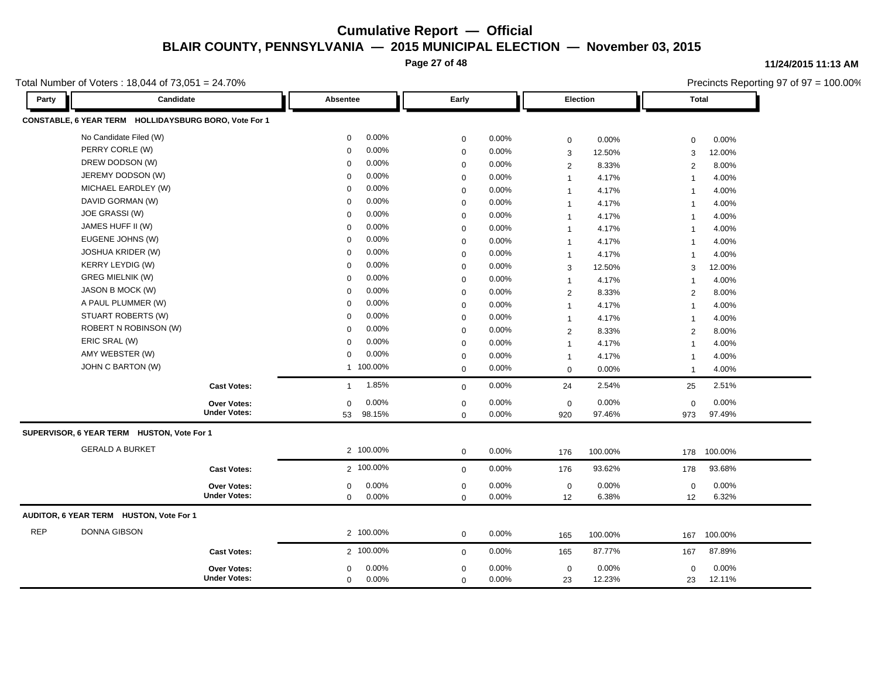**Page 27 of 48**

**11/24/2015 11:13 AM**

Total Number of Voters : 18,044 of 73,051 = 24.70%

Precincts Reporting 97 of 97 = 100.00% **Party Candidate Absentee Early Election Total CONSTABLE, 6 YEAR TERM HOLLIDAYSBURG BORO, Vote For 1** No Candidate Filed (W) 0 0.00% 0 0.00% 0 0.00% 0 0.00% PERRY CORLE (W) 0 0.00% 0 0.00% 3 12.50% 3 12.00% DREW DODSON (W) 0 0.00% 0 0.00% 2 8.33% 2 8.00% JEREMY DODSON (W) 0 0.00% 0 0.00% 1 4.17% 1 4.00% MICHAEL EARDLEY (W) 0 0.00% 0 0.00% 1 4.17% 1 4.00% DAVID GORMAN (W) 0 0.00% 0 0.00% 1 4.17% 1 4.00% JOE GRASSI (W) 0 0.00% 0 0.00% 1 4.17% 1 4.00% JAMES HUFF II (W) 0 0.00% 0 0.00% 1 4.17% 1 4.00% EUGENE JOHNS (W) 0 0.00% 0 0.00% 1 4.17% 1 4.00% JOSHUA KRIDER (W) 0 0.00% 0 0.00% 1 4.17% 1 4.00% KERRY LEYDIG (W) 0 0.00% 0 0.00% 3 12.50% 3 12.00% GREG MIELNIK (W) 0 0.00% 0 0.00% 1 4.17% 1 4.00% JASON B MOCK (W) 0 0.00% 0 0.00% 2 8.33% 2 8.00% A PAUL PLUMMER (W) 0 0.00% 0 0.00% 1 4.17% 1 4.00% STUART ROBERTS (W) 0 0.00% 0 0.00% 1 4.17% 1 4.00% ROBERT N ROBINSON (W) 0 0.00% 0 0.00% 2 8.33% 2 8.00% ERIC SRAL (W) 0 0.00% 0 0.00% 1 4.17% 1 4.00% AMY WEBSTER (W) 0 0.00% 0 0.00% 1 4.17% 1 4.00% JOHN C BARTON (W) 1 100.00% 0 0.00% 0 0.00% 1 4.00% **Cast Votes:** 1 1.85% 0 0.00% 24 2.54% 25 2.51% 973 97.49% 97.46% 0 0.00% 920 0.00% 0 0.00% **Under Votes: Over Votes:** 98.15% 53  $0.00\%$  0.00% 0.00% 0.00% 0.00% 0.00% 0 0.00% 0 0.00%  $0.00\%$ **SUPERVISOR, 6 YEAR TERM HUSTON, Vote For 1** GERALD A BURKET 2 100.00% 0 0.00% 176 100.00% 178 100.00% **Cast Votes:** 2 100.00% 0 0.00% 176 93.62% 178 93.68% 12 6.32% 6.38% 0 0.00% 12 0.00% 0 0.00% **Under Votes: Over Votes:** 0 0.00% 0 0.00%  $0.00\%$  0.00% 0.00% 0.00% 0.00% 0.00% 0 0.00% 0 0.00%  $0.00\%$ **AUDITOR, 6 YEAR TERM HUSTON, Vote For 1** REP DONNA GIBSON 2 100.00% 0 0.00% 165 100.00% 167 100.00% **Cast Votes:** 2 100.00% 0 0.00% 165 87.77% 167 87.89% 23 12.11% 12.23% 0 0.00% 23 0.00% 0 0.00% **Under Votes: Over Votes:** 0.00%  $0.00\%$  0.00% 0.00% 0.00% 0.00% 0.00% 0 0.00% 0 0.00% 0 0.00% 0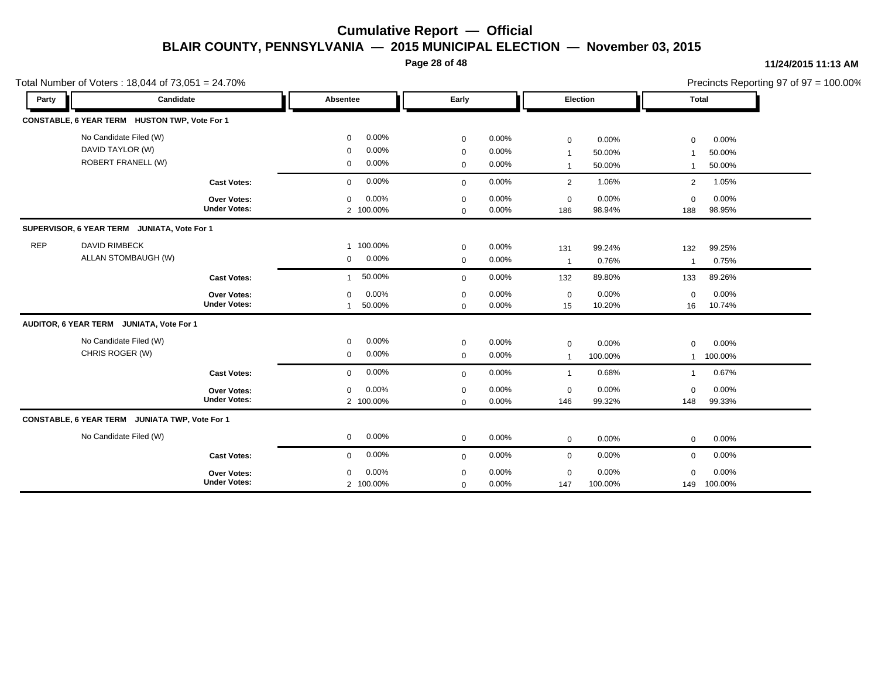**Page 28 of 48**

| Precincts Reporting 97 of $97 = 100.00\%$ |  |
|-------------------------------------------|--|
|-------------------------------------------|--|

|            | Total Number of Voters: 18,044 of 73,051 = 24.70% |                     |                |           |             |          |                  |         | Precincts Reporting 97 of 97 = 100.00% |         |  |
|------------|---------------------------------------------------|---------------------|----------------|-----------|-------------|----------|------------------|---------|----------------------------------------|---------|--|
| Party      | Candidate                                         |                     | Absentee       |           | Early       |          | Election         |         | <b>Total</b>                           |         |  |
|            | CONSTABLE, 6 YEAR TERM HUSTON TWP, Vote For 1     |                     |                |           |             |          |                  |         |                                        |         |  |
|            | No Candidate Filed (W)                            |                     | $\mathbf 0$    | 0.00%     | $\mathbf 0$ | $0.00\%$ | $\mathbf 0$      | 0.00%   | $\mathbf 0$                            | 0.00%   |  |
|            | DAVID TAYLOR (W)                                  |                     | 0              | 0.00%     | $\mathbf 0$ | 0.00%    | $\mathbf{1}$     | 50.00%  | -1                                     | 50.00%  |  |
|            | <b>ROBERT FRANELL (W)</b>                         |                     | 0              | 0.00%     | $\mathbf 0$ | 0.00%    | $\mathbf{1}$     | 50.00%  | $\overline{1}$                         | 50.00%  |  |
|            |                                                   | <b>Cast Votes:</b>  | $\mathbf 0$    | 0.00%     | $\mathbf 0$ | 0.00%    | 2                | 1.06%   | $\overline{2}$                         | 1.05%   |  |
|            |                                                   | Over Votes:         | $\mathbf 0$    | 0.00%     | $\mathbf 0$ | 0.00%    | $\boldsymbol{0}$ | 0.00%   | $\Omega$                               | 0.00%   |  |
|            |                                                   | <b>Under Votes:</b> |                | 2 100.00% | $\mathbf 0$ | 0.00%    | 186              | 98.94%  | 188                                    | 98.95%  |  |
|            | SUPERVISOR, 6 YEAR TERM JUNIATA, Vote For 1       |                     |                |           |             |          |                  |         |                                        |         |  |
| <b>REP</b> | <b>DAVID RIMBECK</b>                              |                     | $\mathbf{1}$   | 100.00%   | $\mathbf 0$ | $0.00\%$ | 131              | 99.24%  | 132                                    | 99.25%  |  |
|            | ALLAN STOMBAUGH (W)                               |                     | 0              | $0.00\%$  | $\mathbf 0$ | $0.00\%$ | $\mathbf{1}$     | 0.76%   | $\overline{1}$                         | 0.75%   |  |
|            |                                                   | <b>Cast Votes:</b>  | $\mathbf{1}$   | 50.00%    | $\mathbf 0$ | 0.00%    | 132              | 89.80%  | 133                                    | 89.26%  |  |
|            |                                                   | Over Votes:         | $\mathbf 0$    | 0.00%     | $\mathbf 0$ | 0.00%    | $\mathbf 0$      | 0.00%   | $\Omega$                               | 0.00%   |  |
|            |                                                   | <b>Under Votes:</b> | $\overline{1}$ | 50.00%    | $\mathbf 0$ | 0.00%    | 15               | 10.20%  | 16                                     | 10.74%  |  |
|            | AUDITOR, 6 YEAR TERM JUNIATA, Vote For 1          |                     |                |           |             |          |                  |         |                                        |         |  |
|            | No Candidate Filed (W)                            |                     | $\mathbf 0$    | 0.00%     | $\mathbf 0$ | 0.00%    | $\mathbf 0$      | 0.00%   | $\Omega$                               | 0.00%   |  |
|            | CHRIS ROGER (W)                                   |                     | 0              | 0.00%     | $\mathbf 0$ | $0.00\%$ | $\mathbf{1}$     | 100.00% | $\mathbf{1}$                           | 100.00% |  |
|            |                                                   | <b>Cast Votes:</b>  | $\mathbf 0$    | 0.00%     | $\mathbf 0$ | 0.00%    | $\mathbf{1}$     | 0.68%   | $\overline{1}$                         | 0.67%   |  |
|            |                                                   | <b>Over Votes:</b>  | $\mathbf 0$    | 0.00%     | $\mathbf 0$ | 0.00%    | 0                | 0.00%   | $\mathbf 0$                            | 0.00%   |  |
|            |                                                   | <b>Under Votes:</b> |                | 2 100.00% | $\mathbf 0$ | 0.00%    | 146              | 99.32%  | 148                                    | 99.33%  |  |
|            | CONSTABLE, 6 YEAR TERM JUNIATA TWP, Vote For 1    |                     |                |           |             |          |                  |         |                                        |         |  |
|            | No Candidate Filed (W)                            |                     | 0              | 0.00%     | $\mathbf 0$ | 0.00%    | $\mathbf 0$      | 0.00%   | $\mathbf 0$                            | 0.00%   |  |
|            |                                                   | <b>Cast Votes:</b>  | $\Omega$       | 0.00%     | $\mathbf 0$ | 0.00%    | $\mathbf 0$      | 0.00%   | $\mathbf 0$                            | 0.00%   |  |
|            |                                                   | Over Votes:         | $\mathbf 0$    | 0.00%     | $\mathbf 0$ | 0.00%    | $\boldsymbol{0}$ | 0.00%   | $\Omega$                               | 0.00%   |  |
|            |                                                   | <b>Under Votes:</b> |                | 2 100.00% | $\mathbf 0$ | 0.00%    | 147              | 100.00% | 149                                    | 100.00% |  |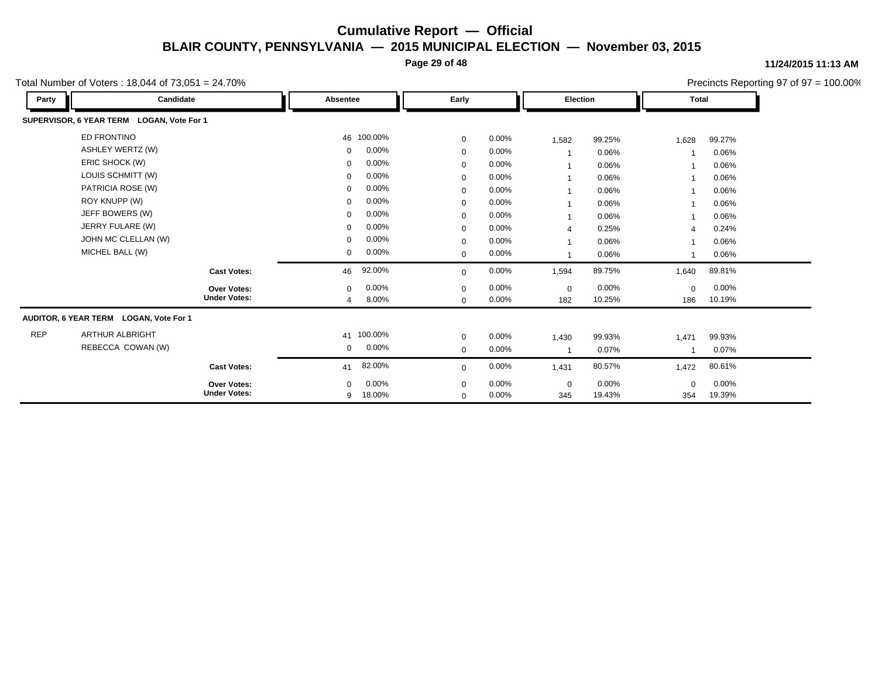**Page 29 of 48**

#### **11/24/2015 11:13 AM**

Total Number of Voters : 18,044 of 73,051 = 24.70%

Precincts Reporting 97 of 97 = 100.00% **Party Candidate Absentee Early Election Total SUPERVISOR, 6 YEAR TERM LOGAN, Vote For 1** ED FRONTINO 46 100.00% 0 0.00% 1,582 99.25% 1,628 99.27% ASHLEY WERTZ (W) 0 0.00% 0 0.00% 1 0.06% 1 0.06% ERIC SHOCK (W) 0 0.00% 0 0.00% 1 0.06% 1 0.06% LOUIS SCHMITT (W) 0 0.00% 0 0.00% 1 0.06% 1 0.06% PATRICIA ROSE (W) 0 0.00% 0 0.00% 1 0.06% 1 0.06% ROY KNUPP (W) 0 0.00% 0 0.00% 1 0.06% 1 0.06% 1 JEFF BOWERS (W) 0 0.00% 0 0.00% 1 0.06% 1 0.06% JERRY FULARE (W) 0 0.00% 0 0.00% 4 0.25% 4 0.24% JOHN MC CLELLAN (W) 0 0.00% 0 0.00% 1 0.06% 1 0.06% MICHEL BALL (W) 0 0.00% 0 0.00% 1 0.06% 1 0.06% **Cast Votes:** 46 92.00% 0 0.00% 1,594 89.75% 1,640 89.81% 186 10.19% 10.25% 0 0.00% 182 0.00% 0 0.00% **Under Votes: Over Votes:** 8.00% 0  $0.00\%$  0.00% 0.00% 0.00% 0.00% 0.00% 0 0.00% 4 8.00% 0 0.00% **AUDITOR, 6 YEAR TERM LOGAN, Vote For 1** REP ARTHUR ALBRIGHT 41 100.00% 0 0.00% 1,430 99.93% 1,471 99.93% REBECCA COWAN (W) 0 0.00% 0 0.00% 1 0.07% 1 0.07% **Cast Votes:** 41 82.00% <sub>0</sub> 0.00% 1,431 80.57% 1,472 80.61% 354 19.39% 19.43% 0 0.00% 345 0.00% 0 0.00% **Under Votes: Over Votes:** 18.00% 9  $0.00\%$  0.00% 0.00% 0.00% 0.00% 0.00% 0 0.00% 0 0.00% 0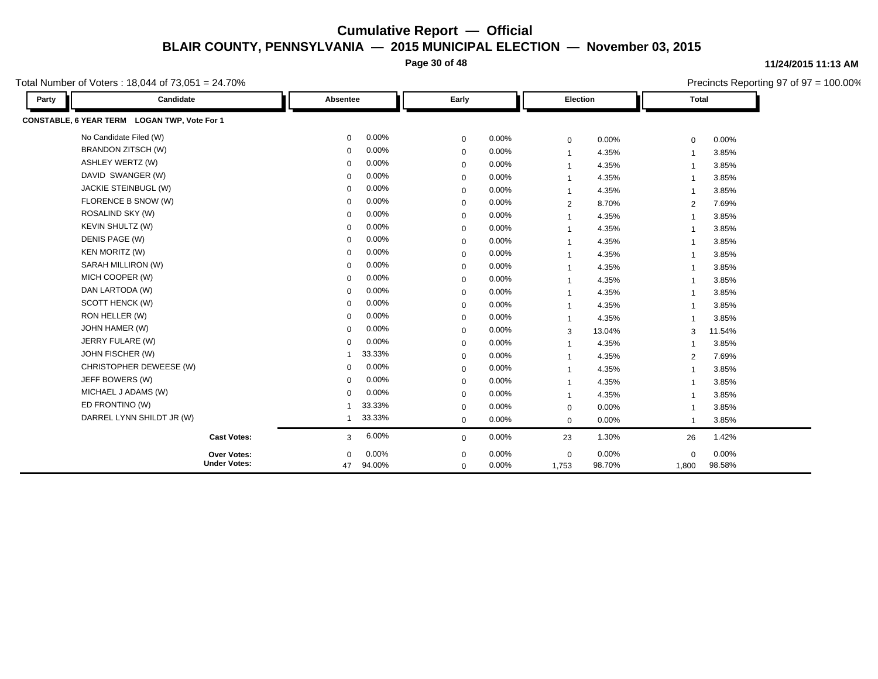**Page 30 of 48**

Total Number of Voters : 18,044 of 73,051 = 24.70%

**Party Candidate Absentee Early Election Total CONSTABLE, 6 YEAR TERM LOGAN TWP, Vote For 1** No Candidate Filed (W) 0 0.00% 0 0.00% 0 0.00% 0 0.00% BRANDON ZITSCH (W) 0 0.00% 0 0.00% 1 4.35% 1 3.85% ASHLEY WERTZ (W) 0 0.00% 0 0.00% 1 4.35% 1 3.85% DAVID SWANGER (W) 0 0.00% 0 0.00% 1 4.35% 1 3.85% JACKIE STEINBUGL (W) 0 0.00% 0 0.00% 1 4.35% 1 3.85% FLORENCE B SNOW (W) 0 0.00% 0 0.00% 2 8.70% 2 7.69% ROSALIND SKY (W) 0 0.00% 0 0.00% 1 4.35% 1 3.85% KEVIN SHULTZ (W) 0 0.00% 0 0.00% 1 4.35% 1 3.85% DENIS PAGE (W) 0 0.00% 0 0.00% 1 4.35% 1 3.85% KEN MORITZ (W) 0 0.00% 0 0.00% 1 4.35% 1 3.85% SARAH MILLIRON (W) 0 0.00% 0 0.00% 1 4.35% 1 3.85% MICH COOPER (W) 0 0.00% 0 0.00% 1 4.35% 1 3.85% 1 DAN LARTODA (W) 0 0.00% 0 0.00% 1 4.35% 1 3.85% SCOTT HENCK (W) 0 0.00% 0 0.00% 1 4.35% 1 3.85% RON HELLER (W) 0 0.00% 0 0.00% 1 4.35% 1 3.85% JOHN HAMER (W) 0 0.00% 0 0.00% 3 13.04% 3 11.54% JERRY FULARE (W) 0 0.00% 0 0.00% 1 4.35% 1 3.85% JOHN FISCHER (W) 1 33.33% 0 0.00% 1 4.35% 2 7.69% CHRISTOPHER DEWEESE (W) 0 0.00% 0 0.00% 1 4.35% 1 3.85% JEFF BOWERS (W) 0 0.00% 0 0.00% 1 4.35% 1 3.85% MICHAEL J ADAMS (W) 0 0.00% 0 0.00% 1 4.35% 1 3.85% ED FRONTINO (W) 1 33.33% 0 0.00% 0 0.00% 1 3.85% DARREL LYNN SHILDT JR (W) 1 33.33% 0 0.00% 0 0.00% 1 3.85% **Cast Votes:** 3 6.00% 0 0.00% 23 1.30% 26 1.42% 1,800 98.58% 98.70% 0 0.00% 1,753 0.00% 0 0.00% **Under Votes: Over Votes:** 94.00% 47  $0.00\%$  0.00% 0.00% 0.00% 0.00% 0.00%  $0\quad 0.00\%$  $0\qquad 0.00\%$  $\Omega$ 

#### **11/24/2015 11:13 AM**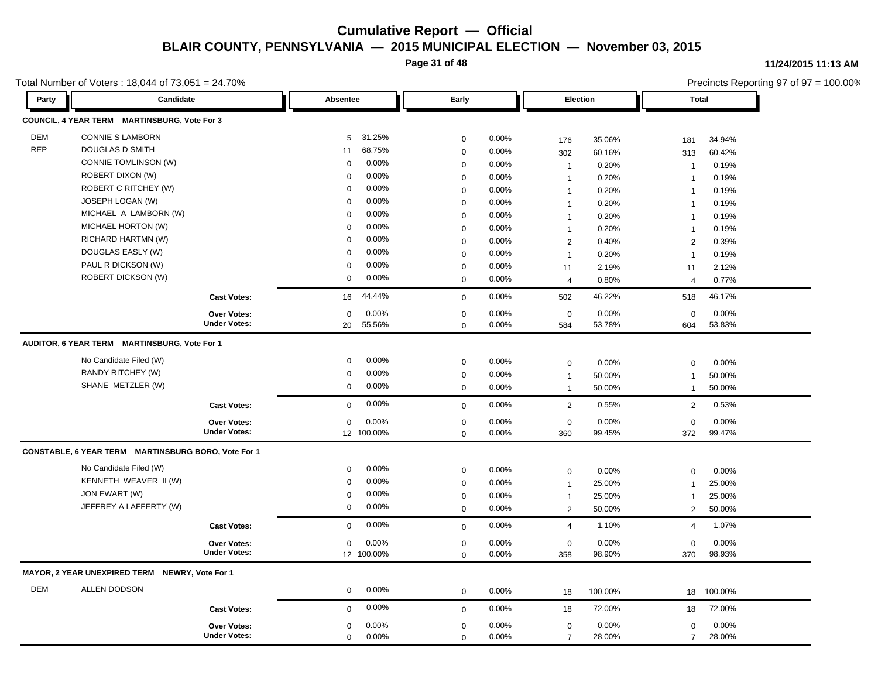**Page 31 of 48**

**11/24/2015 11:13 AM**

|            | Total Number of Voters: 18,044 of 73,051 = 24.70%<br><b>Candidate</b> |                                    |             |            |                         |          |                    |         |                    | Precincts Reporting 97 of 97 = 100.00% |
|------------|-----------------------------------------------------------------------|------------------------------------|-------------|------------|-------------------------|----------|--------------------|---------|--------------------|----------------------------------------|
| Party      |                                                                       |                                    | Absentee    |            | Early                   |          | Election           |         | <b>Total</b>       |                                        |
|            | COUNCIL, 4 YEAR TERM MARTINSBURG, Vote For 3                          |                                    |             |            |                         |          |                    |         |                    |                                        |
| <b>DEM</b> | <b>CONNIE S LAMBORN</b>                                               |                                    | 5           | 31.25%     | $\mathbf 0$             | 0.00%    | 176                | 35.06%  | 181                | 34.94%                                 |
| <b>REP</b> | DOUGLAS D SMITH                                                       |                                    | 11          | 68.75%     | $\mathbf 0$             | 0.00%    | 302                | 60.16%  | 313                | 60.42%                                 |
|            | <b>CONNIE TOMLINSON (W)</b>                                           |                                    | $\mathbf 0$ | 0.00%      | $\mathbf 0$             | 0.00%    | $\mathbf{1}$       | 0.20%   | $\overline{1}$     | 0.19%                                  |
|            | <b>ROBERT DIXON (W)</b>                                               |                                    | $\Omega$    | 0.00%      | $\mathbf 0$             | 0.00%    | $\mathbf{1}$       | 0.20%   | $\overline{1}$     | 0.19%                                  |
|            | ROBERT C RITCHEY (W)                                                  |                                    | $\Omega$    | 0.00%      | $\mathbf 0$             | 0.00%    | $\mathbf{1}$       | 0.20%   | $\mathbf 1$        | 0.19%                                  |
|            | JOSEPH LOGAN (W)                                                      |                                    | $\Omega$    | 0.00%      | $\mathbf 0$             | 0.00%    | $\mathbf{1}$       | 0.20%   | $\overline{1}$     | 0.19%                                  |
|            | MICHAEL A LAMBORN (W)                                                 |                                    | $\Omega$    | 0.00%      | $\mathbf 0$             | 0.00%    | $\mathbf{1}$       | 0.20%   | $\mathbf 1$        | 0.19%                                  |
|            | MICHAEL HORTON (W)                                                    |                                    | $\Omega$    | 0.00%      | $\mathbf 0$             | 0.00%    | $\mathbf{1}$       | 0.20%   | $\overline{1}$     | 0.19%                                  |
|            | RICHARD HARTMN (W)                                                    |                                    | $\Omega$    | 0.00%      | $\mathbf 0$             | 0.00%    | 2                  | 0.40%   | $\overline{2}$     | 0.39%                                  |
|            | DOUGLAS EASLY (W)                                                     |                                    | 0           | 0.00%      | $\mathbf 0$             | 0.00%    | $\mathbf{1}$       | 0.20%   | $\overline{1}$     | 0.19%                                  |
|            | PAUL R DICKSON (W)                                                    |                                    | $\Omega$    | 0.00%      | $\mathbf 0$             | $0.00\%$ | 11                 | 2.19%   | 11                 | 2.12%                                  |
|            | <b>ROBERT DICKSON (W)</b>                                             |                                    | $\mathbf 0$ | 0.00%      | $\mathbf 0$             | $0.00\%$ | $\overline{4}$     | 0.80%   | $\overline{4}$     | 0.77%                                  |
|            |                                                                       | <b>Cast Votes:</b>                 | 16          | 44.44%     | $\mathbf 0$             | 0.00%    | 502                | 46.22%  | 518                | 46.17%                                 |
|            |                                                                       | <b>Over Votes:</b>                 | $\mathbf 0$ | 0.00%      | $\mathbf 0$             | 0.00%    | $\mathsf 0$        | 0.00%   | $\mathbf 0$        | 0.00%                                  |
|            |                                                                       | <b>Under Votes:</b>                | 20          | 55.56%     | $\mathbf 0$             | 0.00%    | 584                | 53.78%  | 604                | 53.83%                                 |
|            | AUDITOR, 6 YEAR TERM MARTINSBURG, Vote For 1                          |                                    |             |            |                         |          |                    |         |                    |                                        |
|            | No Candidate Filed (W)                                                |                                    | 0           | 0.00%      | $\mathbf 0$             | 0.00%    | $\mathbf 0$        | 0.00%   | $\mathbf 0$        | 0.00%                                  |
|            | RANDY RITCHEY (W)                                                     |                                    | 0           | 0.00%      | $\mathbf 0$             | 0.00%    | $\mathbf{1}$       | 50.00%  | $\mathbf 1$        | 50.00%                                 |
|            | SHANE METZLER (W)                                                     |                                    | 0           | 0.00%      | $\mathbf 0$             | 0.00%    | $\mathbf{1}$       | 50.00%  | $\mathbf{1}$       | 50.00%                                 |
|            |                                                                       | <b>Cast Votes:</b>                 | $\mathbf 0$ | 0.00%      | $\mathbf 0$             | 0.00%    | $\overline{2}$     | 0.55%   | 2                  | 0.53%                                  |
|            |                                                                       | Over Votes:                        | $\mathbf 0$ | 0.00%      | $\mathbf 0$             | 0.00%    | $\mathbf 0$        | 0.00%   | $\mathbf 0$        | 0.00%                                  |
|            |                                                                       | <b>Under Votes:</b>                |             | 12 100.00% | $\Omega$                | 0.00%    | 360                | 99.45%  | 372                | 99.47%                                 |
|            | CONSTABLE, 6 YEAR TERM MARTINSBURG BORO, Vote For 1                   |                                    |             |            |                         |          |                    |         |                    |                                        |
|            | No Candidate Filed (W)                                                |                                    | 0           | 0.00%      | $\mathbf 0$             | 0.00%    | $\mathbf 0$        | 0.00%   | $\mathbf 0$        | 0.00%                                  |
|            | KENNETH WEAVER II (W)                                                 |                                    | $\Omega$    | 0.00%      | $\mathbf 0$             | 0.00%    | $\mathbf{1}$       | 25.00%  | -1                 | 25.00%                                 |
|            | JON EWART (W)                                                         |                                    | $\mathbf 0$ | 0.00%      | $\mathbf 0$             | 0.00%    | $\mathbf{1}$       | 25.00%  | $\overline{1}$     | 25.00%                                 |
|            | JEFFREY A LAFFERTY (W)                                                |                                    | 0           | 0.00%      | $\mathbf 0$             | 0.00%    | $\overline{2}$     | 50.00%  | 2                  | 50.00%                                 |
|            |                                                                       | <b>Cast Votes:</b>                 | $\mathbf 0$ | 0.00%      | $\mathbf 0$             | 0.00%    | $\overline{4}$     | 1.10%   | $\overline{4}$     | 1.07%                                  |
|            |                                                                       |                                    |             | 0.00%      |                         | 0.00%    |                    | 0.00%   |                    | 0.00%                                  |
|            |                                                                       | Over Votes:<br><b>Under Votes:</b> | $\mathbf 0$ | 12 100.00% | $\mathbf 0$<br>$\Omega$ | 0.00%    | $\mathbf 0$<br>358 | 98.90%  | $\mathbf 0$<br>370 | 98.93%                                 |
|            | MAYOR, 2 YEAR UNEXPIRED TERM NEWRY, Vote For 1                        |                                    |             |            |                         |          |                    |         |                    |                                        |
| <b>DEM</b> | ALLEN DODSON                                                          |                                    | 0           | 0.00%      | $\mathbf 0$             | 0.00%    |                    | 100.00% | 18                 | 100.00%                                |
|            |                                                                       |                                    | $\mathbf 0$ | 0.00%      |                         | 0.00%    | 18                 | 72.00%  |                    | 72.00%                                 |
|            |                                                                       | <b>Cast Votes:</b>                 |             |            | $\mathbf 0$             |          | 18                 |         | 18                 |                                        |
|            |                                                                       | Over Votes:                        | $\mathbf 0$ | 0.00%      | $\mathbf 0$             | 0.00%    | $\mathbf 0$        | 0.00%   | $\mathbf 0$        | 0.00%                                  |
|            |                                                                       | <b>Under Votes:</b>                | $\mathbf 0$ | 0.00%      | $\mathbf 0$             | 0.00%    | $\overline{7}$     | 28.00%  | $\overline{7}$     | 28.00%                                 |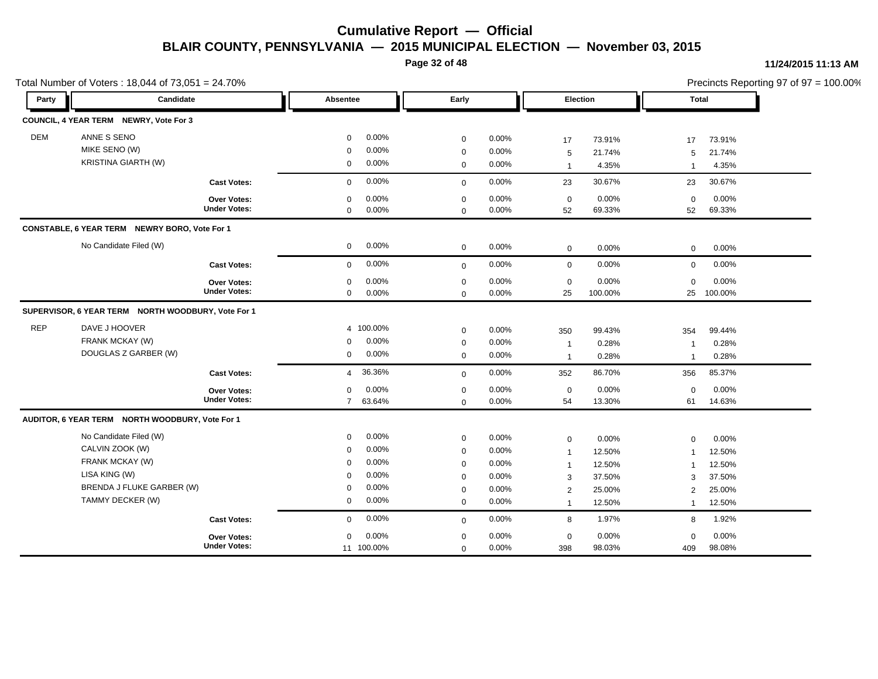**Page 32 of 48**

#### **11/24/2015 11:13 AM**

|            | Total Number of Voters: 18,044 of 73,051 = 24.70%                                                                              |                                           |                                                                                        |                                                    |                                                                                        |                                                       |                                                                                    |                                                         |                                                                              |                                                         | Precincts Reporting 97 of 97 = 100.00% |
|------------|--------------------------------------------------------------------------------------------------------------------------------|-------------------------------------------|----------------------------------------------------------------------------------------|----------------------------------------------------|----------------------------------------------------------------------------------------|-------------------------------------------------------|------------------------------------------------------------------------------------|---------------------------------------------------------|------------------------------------------------------------------------------|---------------------------------------------------------|----------------------------------------|
| Party      | Candidate                                                                                                                      |                                           | Absentee                                                                               |                                                    | Early                                                                                  |                                                       | Election                                                                           |                                                         | Total                                                                        |                                                         |                                        |
|            | COUNCIL, 4 YEAR TERM NEWRY, Vote For 3                                                                                         |                                           |                                                                                        |                                                    |                                                                                        |                                                       |                                                                                    |                                                         |                                                                              |                                                         |                                        |
| <b>DEM</b> | ANNE S SENO<br>MIKE SENO (W)<br><b>KRISTINA GIARTH (W)</b>                                                                     |                                           | $\mathbf 0$<br>$\mathbf 0$<br>$\mathbf 0$                                              | 0.00%<br>0.00%<br>0.00%                            | $\mathbf 0$<br>$\mathbf 0$<br>$\mathbf 0$                                              | 0.00%<br>0.00%<br>0.00%                               | 17<br>5<br>$\mathbf{1}$                                                            | 73.91%<br>21.74%<br>4.35%                               | 17<br>5<br>$\overline{1}$                                                    | 73.91%<br>21.74%<br>4.35%                               |                                        |
|            |                                                                                                                                | <b>Cast Votes:</b>                        | $\mathbf 0$                                                                            | 0.00%                                              | $\mathbf 0$                                                                            | 0.00%                                                 | 23                                                                                 | 30.67%                                                  | 23                                                                           | 30.67%                                                  |                                        |
|            |                                                                                                                                | Over Votes:<br><b>Under Votes:</b>        | $\mathbf 0$<br>0                                                                       | 0.00%<br>0.00%                                     | $\mathbf 0$<br>$\mathbf 0$                                                             | 0.00%<br>0.00%                                        | $\mathbf 0$<br>52                                                                  | 0.00%<br>69.33%                                         | $\mathbf 0$<br>52                                                            | 0.00%<br>69.33%                                         |                                        |
|            | CONSTABLE, 6 YEAR TERM NEWRY BORO, Vote For 1                                                                                  |                                           |                                                                                        |                                                    |                                                                                        |                                                       |                                                                                    |                                                         |                                                                              |                                                         |                                        |
|            | No Candidate Filed (W)                                                                                                         |                                           | $\mathbf 0$                                                                            | $0.00\%$                                           | $\mathbf 0$                                                                            | 0.00%                                                 | $\mathbf 0$                                                                        | 0.00%                                                   | $\mathbf 0$                                                                  | 0.00%                                                   |                                        |
|            |                                                                                                                                | <b>Cast Votes:</b>                        | $\mathbf 0$                                                                            | 0.00%                                              | $\mathbf 0$                                                                            | 0.00%                                                 | $\mathbf 0$                                                                        | 0.00%                                                   | $\mathbf 0$                                                                  | 0.00%                                                   |                                        |
|            |                                                                                                                                | Over Votes:<br><b>Under Votes:</b>        | 0<br>0                                                                                 | 0.00%<br>0.00%                                     | $\mathbf 0$<br>$\mathbf 0$                                                             | 0.00%<br>0.00%                                        | $\mathbf 0$<br>25                                                                  | 0.00%<br>100.00%                                        | $\mathbf 0$<br>25                                                            | 0.00%<br>100.00%                                        |                                        |
|            | SUPERVISOR, 6 YEAR TERM NORTH WOODBURY, Vote For 1                                                                             |                                           |                                                                                        |                                                    |                                                                                        |                                                       |                                                                                    |                                                         |                                                                              |                                                         |                                        |
| <b>REP</b> | DAVE J HOOVER<br>FRANK MCKAY (W)<br>DOUGLAS Z GARBER (W)                                                                       |                                           | $\mathbf 0$<br>$\mathbf{0}$                                                            | 4 100.00%<br>0.00%<br>0.00%                        | $\mathbf 0$<br>$\mathbf 0$<br>$\mathbf 0$                                              | 0.00%<br>0.00%<br>$0.00\%$                            | 350<br>$\mathbf{1}$<br>$\mathbf{1}$                                                | 99.43%<br>0.28%<br>0.28%                                | 354<br>-1<br>$\overline{1}$                                                  | 99.44%<br>0.28%<br>0.28%                                |                                        |
|            |                                                                                                                                | <b>Cast Votes:</b>                        | $\overline{4}$                                                                         | 36.36%                                             | $\mathbf 0$                                                                            | 0.00%                                                 | 352                                                                                | 86.70%                                                  | 356                                                                          | 85.37%                                                  |                                        |
|            |                                                                                                                                | Over Votes:<br><b>Under Votes:</b>        | $\mathbf 0$<br>$\overline{7}$                                                          | 0.00%<br>63.64%                                    | $\mathbf 0$<br>$\mathbf 0$                                                             | 0.00%<br>0.00%                                        | $\mathbf 0$<br>54                                                                  | 0.00%<br>13.30%                                         | $\mathbf 0$<br>61                                                            | 0.00%<br>14.63%                                         |                                        |
|            | AUDITOR, 6 YEAR TERM NORTH WOODBURY, Vote For 1                                                                                |                                           |                                                                                        |                                                    |                                                                                        |                                                       |                                                                                    |                                                         |                                                                              |                                                         |                                        |
|            | No Candidate Filed (W)<br>CALVIN ZOOK (W)<br>FRANK MCKAY (W)<br>LISA KING (W)<br>BRENDA J FLUKE GARBER (W)<br>TAMMY DECKER (W) |                                           | $\mathbf 0$<br>$\mathbf 0$<br>$\mathbf 0$<br>$\mathbf 0$<br>$\mathbf 0$<br>$\mathbf 0$ | 0.00%<br>0.00%<br>0.00%<br>0.00%<br>0.00%<br>0.00% | $\mathbf 0$<br>$\mathbf 0$<br>$\mathbf 0$<br>$\mathbf 0$<br>$\mathbf 0$<br>$\mathbf 0$ | 0.00%<br>0.00%<br>0.00%<br>0.00%<br>$0.00\%$<br>0.00% | $\mathbf 0$<br>$\mathbf{1}$<br>$\mathbf{1}$<br>3<br>$\overline{2}$<br>$\mathbf{1}$ | 0.00%<br>12.50%<br>12.50%<br>37.50%<br>25.00%<br>12.50% | $\Omega$<br>$\mathbf 1$<br>$\mathbf 1$<br>3<br>$\overline{2}$<br>$\mathbf 1$ | 0.00%<br>12.50%<br>12.50%<br>37.50%<br>25.00%<br>12.50% |                                        |
|            |                                                                                                                                | <b>Cast Votes:</b>                        | 0                                                                                      | 0.00%                                              | $\mathbf 0$                                                                            | 0.00%                                                 | 8                                                                                  | 1.97%                                                   | 8                                                                            | 1.92%                                                   |                                        |
|            |                                                                                                                                | <b>Over Votes:</b><br><b>Under Votes:</b> | 0                                                                                      | 0.00%<br>11 100.00%                                | $\mathbf 0$<br>$\mathbf 0$                                                             | 0.00%<br>0.00%                                        | 0<br>398                                                                           | 0.00%<br>98.03%                                         | $\mathbf 0$<br>409                                                           | 0.00%<br>98.08%                                         |                                        |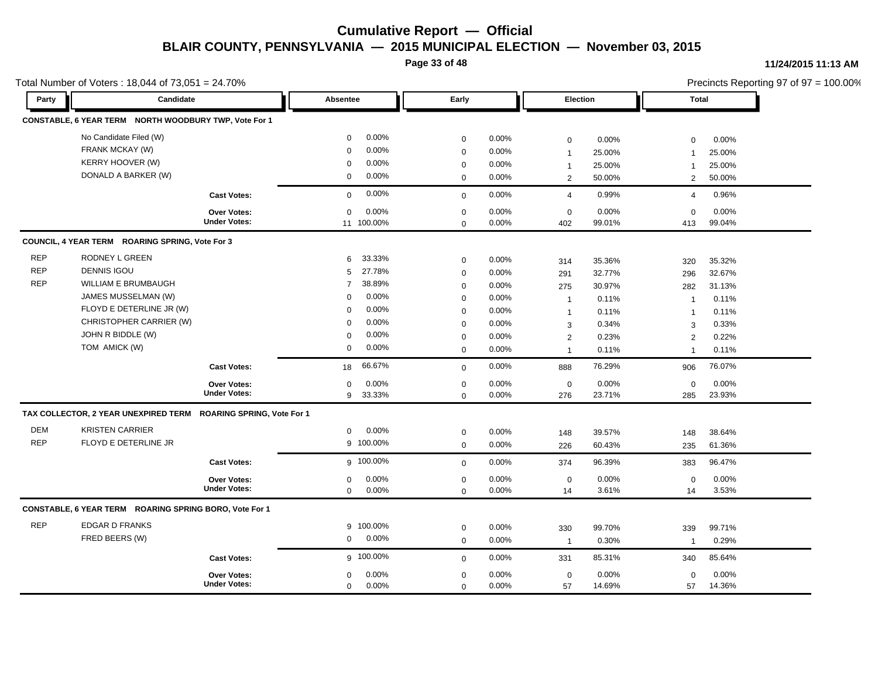**Page 33 of 48**

#### **11/24/2015 11:13 AM**

|            | Total Number of Voters: 18,044 of 73,051 = 24.70%               |                     |                          |             |          |                |        |                | Precincts Reporting 97 of 97 = 100.00% |
|------------|-----------------------------------------------------------------|---------------------|--------------------------|-------------|----------|----------------|--------|----------------|----------------------------------------|
| Party      | Candidate                                                       |                     | Absentee                 | Early       |          | Election       |        | <b>Total</b>   |                                        |
|            | CONSTABLE, 6 YEAR TERM NORTH WOODBURY TWP, Vote For 1           |                     |                          |             |          |                |        |                |                                        |
|            | No Candidate Filed (W)                                          |                     | 0.00%<br>$\mathbf 0$     | 0           | 0.00%    | 0              | 0.00%  | $\mathbf 0$    | 0.00%                                  |
|            | FRANK MCKAY (W)                                                 |                     | 0.00%<br>$\Omega$        | 0           | 0.00%    | $\overline{1}$ | 25.00% | -1             | 25.00%                                 |
|            | KERRY HOOVER (W)                                                |                     | 0.00%<br>$\Omega$        | $\mathbf 0$ | 0.00%    | $\overline{1}$ | 25.00% | $\mathbf 1$    | 25.00%                                 |
|            | DONALD A BARKER (W)                                             |                     | $0.00\%$<br>$\mathbf 0$  | $\mathbf 0$ | 0.00%    | $\overline{2}$ | 50.00% | 2              | 50.00%                                 |
|            |                                                                 | <b>Cast Votes:</b>  | 0.00%<br>$\mathbf 0$     | $\mathbf 0$ | 0.00%    | $\overline{4}$ | 0.99%  | 4              | 0.96%                                  |
|            |                                                                 | <b>Over Votes:</b>  | 0.00%<br>$\mathbf 0$     | $\mathbf 0$ | 0.00%    | $\mathbf 0$    | 0.00%  | $\Omega$       | 0.00%                                  |
|            |                                                                 | <b>Under Votes:</b> | 11 100.00%               | $\mathbf 0$ | $0.00\%$ | 402            | 99.01% | 413            | 99.04%                                 |
|            | COUNCIL, 4 YEAR TERM ROARING SPRING, Vote For 3                 |                     |                          |             |          |                |        |                |                                        |
| <b>REP</b> | RODNEY L GREEN                                                  |                     | 33.33%<br>6              | $\mathbf 0$ | 0.00%    | 314            | 35.36% | 320            | 35.32%                                 |
| <b>REP</b> | <b>DENNIS IGOU</b>                                              |                     | 27.78%<br>5              | $\mathbf 0$ | 0.00%    | 291            | 32.77% | 296            | 32.67%                                 |
| <b>REP</b> | WILLIAM E BRUMBAUGH                                             |                     | 38.89%<br>$\overline{7}$ | 0           | 0.00%    | 275            | 30.97% | 282            | 31.13%                                 |
|            | JAMES MUSSELMAN (W)                                             |                     | $0.00\%$<br>$\mathbf 0$  | $\mathbf 0$ | 0.00%    | $\overline{1}$ | 0.11%  | $\overline{1}$ | 0.11%                                  |
|            | FLOYD E DETERLINE JR (W)                                        |                     | 0.00%<br>$\mathbf 0$     | 0           | 0.00%    | $\overline{1}$ | 0.11%  | $\mathbf{1}$   | 0.11%                                  |
|            | CHRISTOPHER CARRIER (W)                                         |                     | 0.00%<br>$\Omega$        | $\mathbf 0$ | 0.00%    | 3              | 0.34%  | 3              | 0.33%                                  |
|            | JOHN R BIDDLE (W)                                               |                     | 0.00%<br>$\mathbf 0$     | $\mathbf 0$ | 0.00%    | $\overline{2}$ | 0.23%  | 2              | 0.22%                                  |
|            | TOM AMICK (W)                                                   |                     | 0.00%<br>$\mathbf 0$     | $\mathbf 0$ | 0.00%    | $\overline{1}$ | 0.11%  | $\overline{1}$ | 0.11%                                  |
|            |                                                                 | <b>Cast Votes:</b>  | 66.67%<br>18             | $\mathbf 0$ | 0.00%    | 888            | 76.29% | 906            | 76.07%                                 |
|            |                                                                 | <b>Over Votes:</b>  | 0.00%<br>$\Omega$        | 0           | 0.00%    | $\mathsf 0$    | 0.00%  | $\mathbf 0$    | 0.00%                                  |
|            |                                                                 | <b>Under Votes:</b> | 33.33%<br>9              | 0           | 0.00%    | 276            | 23.71% | 285            | 23.93%                                 |
|            | TAX COLLECTOR, 2 YEAR UNEXPIRED TERM ROARING SPRING, Vote For 1 |                     |                          |             |          |                |        |                |                                        |
| <b>DEM</b> | <b>KRISTEN CARRIER</b>                                          |                     | 0.00%<br>$\mathbf{0}$    | $\mathbf 0$ | $0.00\%$ | 148            | 39.57% | 148            | 38.64%                                 |
| <b>REP</b> | FLOYD E DETERLINE JR                                            |                     | 9 100.00%                | $\mathbf 0$ | 0.00%    | 226            | 60.43% | 235            | 61.36%                                 |
|            |                                                                 | <b>Cast Votes:</b>  | g 100.00%                | $\mathbf 0$ | 0.00%    | 374            | 96.39% | 383            | 96.47%                                 |
|            |                                                                 | <b>Over Votes:</b>  | 0.00%<br>$\mathbf{0}$    | $\mathbf 0$ | 0.00%    | $\mathbf 0$    | 0.00%  | $\mathbf 0$    | 0.00%                                  |
|            |                                                                 | <b>Under Votes:</b> | 0.00%<br>$\mathbf 0$     | $\mathbf 0$ | 0.00%    | 14             | 3.61%  | 14             | 3.53%                                  |
|            | CONSTABLE, 6 YEAR TERM ROARING SPRING BORO, Vote For 1          |                     |                          |             |          |                |        |                |                                        |
| <b>REP</b> | <b>EDGAR D FRANKS</b>                                           |                     | 9 100.00%                | 0           | $0.00\%$ | 330            | 99.70% | 339            | 99.71%                                 |
|            | FRED BEERS (W)                                                  |                     | 0.00%<br>0               | $\mathbf 0$ | 0.00%    | $\overline{1}$ | 0.30%  | $\overline{1}$ | 0.29%                                  |
|            |                                                                 | <b>Cast Votes:</b>  | g 100.00%                | $\mathbf 0$ | 0.00%    | 331            | 85.31% | 340            | 85.64%                                 |
|            |                                                                 | Over Votes:         | 0.00%<br>0               | $\mathbf 0$ | 0.00%    | $\mathbf 0$    | 0.00%  | $\mathbf 0$    | 0.00%                                  |
|            |                                                                 | <b>Under Votes:</b> | $0.00\%$<br>0            | $\mathbf 0$ | 0.00%    | 57             | 14.69% | 57             | 14.36%                                 |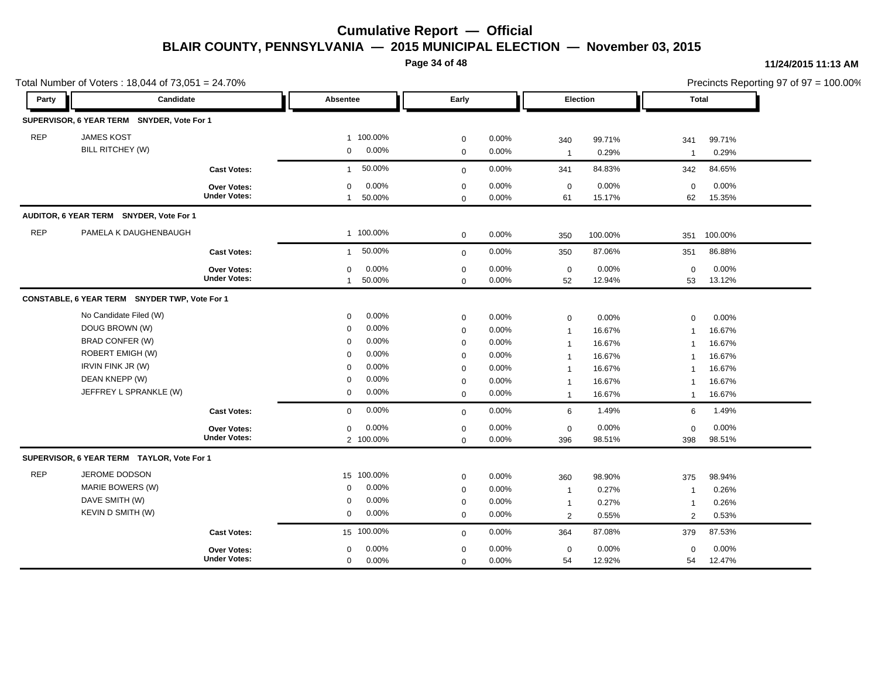**Page 34 of 48**

#### **11/24/2015 11:13 AM**

|            | Total Number of Voters: 18,044 of 73,051 = 24.70% |                                           |                                                |                            |                |                    |                 |                    | Precincts Reporting 97 of 97 = 100.00% |
|------------|---------------------------------------------------|-------------------------------------------|------------------------------------------------|----------------------------|----------------|--------------------|-----------------|--------------------|----------------------------------------|
| Party      | Candidate                                         |                                           | Absentee                                       | Early                      |                | Election           |                 | Total              |                                        |
|            | SUPERVISOR, 6 YEAR TERM SNYDER, Vote For 1        |                                           |                                                |                            |                |                    |                 |                    |                                        |
| <b>REP</b> | <b>JAMES KOST</b>                                 |                                           | 1 100.00%                                      | $\mathbf 0$                | 0.00%          | 340                | 99.71%          | 341                | 99.71%                                 |
|            | BILL RITCHEY (W)                                  |                                           | 0.00%<br>$\mathbf{0}$                          | $\mathbf 0$                | 0.00%          | $\mathbf{1}$       | 0.29%           | $\overline{1}$     | 0.29%                                  |
|            |                                                   | <b>Cast Votes:</b>                        | 50.00%<br>$\mathbf{1}$                         | $\mathbf 0$                | 0.00%          | 341                | 84.83%          | 342                | 84.65%                                 |
|            |                                                   | <b>Over Votes:</b><br><b>Under Votes:</b> | 0.00%<br>$\mathbf 0$<br>50.00%<br>$\mathbf{1}$ | $\mathbf 0$<br>$\mathbf 0$ | 0.00%<br>0.00% | $\mathbf 0$<br>61  | 0.00%<br>15.17% | $\Omega$<br>62     | 0.00%<br>15.35%                        |
|            | AUDITOR, 6 YEAR TERM SNYDER, Vote For 1           |                                           |                                                |                            |                |                    |                 |                    |                                        |
| <b>REP</b> | PAMELA K DAUGHENBAUGH                             |                                           | 1 100.00%                                      | $\mathbf 0$                | 0.00%          | 350                | 100.00%         | 351                | 100.00%                                |
|            |                                                   | <b>Cast Votes:</b>                        | 50.00%<br>$\mathbf{1}$                         | $\mathbf 0$                | 0.00%          | 350                | 87.06%          | 351                | 86.88%                                 |
|            |                                                   | Over Votes:<br><b>Under Votes:</b>        | 0.00%<br>$\mathbf 0$<br>50.00%<br>$\mathbf{1}$ | $\mathbf 0$<br>$\Omega$    | 0.00%<br>0.00% | $\mathbf 0$<br>52  | 0.00%<br>12.94% | $\mathbf 0$<br>53  | 0.00%<br>13.12%                        |
|            | CONSTABLE, 6 YEAR TERM SNYDER TWP, Vote For 1     |                                           |                                                |                            |                |                    |                 |                    |                                        |
|            | No Candidate Filed (W)                            |                                           | 0.00%<br>$\mathbf 0$                           | $\mathbf 0$                | 0.00%          | $\boldsymbol{0}$   | 0.00%           | $\mathbf 0$        | 0.00%                                  |
|            | DOUG BROWN (W)                                    |                                           | 0.00%<br>$\mathbf 0$                           | $\mathbf 0$                | 0.00%          | $\mathbf{1}$       | 16.67%          | $\overline{1}$     | 16.67%                                 |
|            | BRAD CONFER (W)                                   |                                           | 0.00%<br>$\mathbf 0$                           | $\mathbf 0$                | 0.00%          | $\mathbf{1}$       | 16.67%          | $\overline{1}$     | 16.67%                                 |
|            | ROBERT EMIGH (W)                                  |                                           | 0.00%<br>$\mathbf 0$                           | $\mathbf 0$                | 0.00%          | $\mathbf{1}$       | 16.67%          | $\overline{1}$     | 16.67%                                 |
|            | <b>IRVIN FINK JR (W)</b>                          |                                           | 0.00%<br>$\mathbf 0$                           | $\mathbf 0$                | 0.00%          | $\mathbf{1}$       | 16.67%          | $\mathbf 1$        | 16.67%                                 |
|            | DEAN KNEPP (W)                                    |                                           | 0.00%<br>$\mathbf 0$                           | $\mathbf 0$                | 0.00%          | $\mathbf{1}$       | 16.67%          | $\mathbf 1$        | 16.67%                                 |
|            | JEFFREY L SPRANKLE (W)                            |                                           | 0.00%<br>0                                     | $\mathbf 0$                | 0.00%          | $\mathbf{1}$       | 16.67%          | $\overline{1}$     | 16.67%                                 |
|            |                                                   | <b>Cast Votes:</b>                        | $0.00\%$<br>$\mathbf 0$                        | $\mathbf 0$                | 0.00%          | 6                  | 1.49%           | 6                  | 1.49%                                  |
|            |                                                   | Over Votes:<br><b>Under Votes:</b>        | 0.00%<br>$\mathbf 0$<br>2 100.00%              | $\mathbf 0$<br>$\mathbf 0$ | 0.00%<br>0.00% | $\mathbf 0$<br>396 | 0.00%<br>98.51% | $\mathbf 0$<br>398 | 0.00%<br>98.51%                        |
|            | SUPERVISOR, 6 YEAR TERM TAYLOR, Vote For 1        |                                           |                                                |                            |                |                    |                 |                    |                                        |
| <b>REP</b> | JEROME DODSON                                     |                                           | 15 100.00%                                     | $\mathbf 0$                | 0.00%          | 360                | 98.90%          | 375                | 98.94%                                 |
|            | MARIE BOWERS (W)                                  |                                           | 0.00%<br>0                                     | $\mathbf 0$                | 0.00%          | $\overline{1}$     | 0.27%           | -1                 | 0.26%                                  |
|            | DAVE SMITH (W)                                    |                                           | 0.00%<br>$\mathbf 0$                           | $\mathbf 0$                | 0.00%          | $\mathbf{1}$       | 0.27%           | $\mathbf 1$        | 0.26%                                  |
|            | KEVIN D SMITH (W)                                 |                                           | 0.00%<br>0                                     | $\mathbf 0$                | 0.00%          | $\overline{2}$     | 0.55%           | $\overline{2}$     | 0.53%                                  |
|            |                                                   | <b>Cast Votes:</b>                        | 15 100.00%                                     | $\mathbf 0$                | 0.00%          | 364                | 87.08%          | 379                | 87.53%                                 |
|            |                                                   | Over Votes:                               | 0.00%<br>$\mathbf 0$                           | $\mathbf 0$                | 0.00%          | $\mathbf 0$        | 0.00%           | $\mathbf 0$        | 0.00%                                  |
|            |                                                   | <b>Under Votes:</b>                       | 0.00%<br>0                                     | $\mathbf 0$                | 0.00%          | 54                 | 12.92%          | 54                 | 12.47%                                 |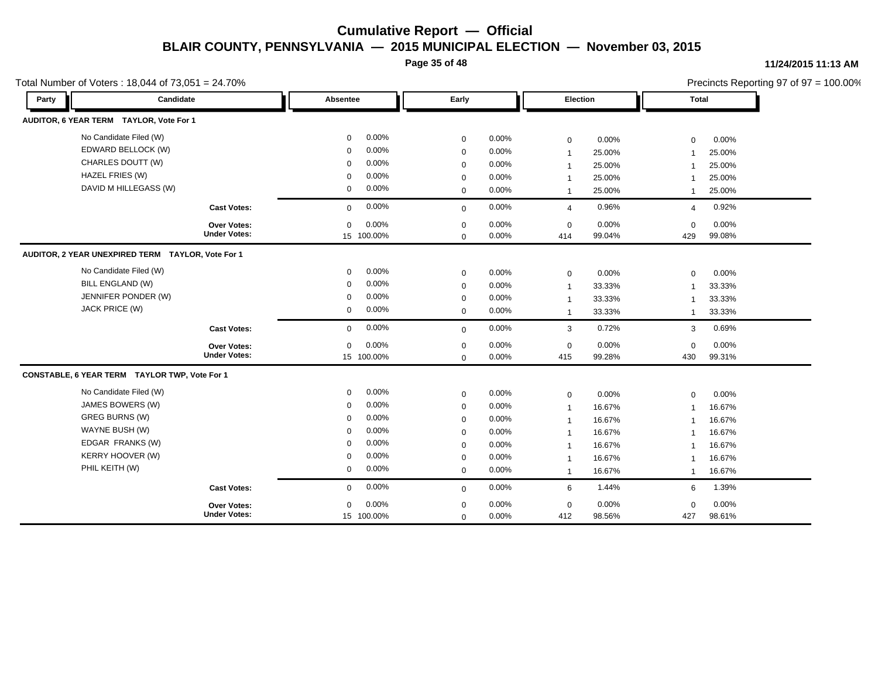**Page 35 of 48**

#### **11/24/2015 11:13 AM**

| Total Number of Voters: 18,044 of 73,051 = 24.70% |                     |                      |             |       |                |        |                | Precincts Reporting 97 of 97 = 100.00% |
|---------------------------------------------------|---------------------|----------------------|-------------|-------|----------------|--------|----------------|----------------------------------------|
| Party                                             | Candidate           | Absentee             | Early       |       | Election       |        | <b>Total</b>   |                                        |
| AUDITOR, 6 YEAR TERM TAYLOR, Vote For 1           |                     |                      |             |       |                |        |                |                                        |
| No Candidate Filed (W)                            |                     | 0.00%<br>0           | $\mathbf 0$ | 0.00% | $\mathbf 0$    | 0.00%  | $\mathbf 0$    | 0.00%                                  |
| EDWARD BELLOCK (W)                                |                     | 0.00%<br>$\mathbf 0$ | $\mathbf 0$ | 0.00% | $\mathbf{1}$   | 25.00% | $\overline{1}$ | 25.00%                                 |
| CHARLES DOUTT (W)                                 |                     | 0.00%<br>$\mathbf 0$ | $\mathbf 0$ | 0.00% | $\overline{1}$ | 25.00% |                | 25.00%                                 |
| HAZEL FRIES (W)                                   |                     | 0.00%<br>$\Omega$    | $\mathbf 0$ | 0.00% | $\mathbf 1$    | 25.00% |                | 25.00%                                 |
| DAVID M HILLEGASS (W)                             |                     | 0.00%<br>$\mathbf 0$ | $\mathbf 0$ | 0.00% | $\mathbf{1}$   | 25.00% | $\mathbf{1}$   | 25.00%                                 |
|                                                   | <b>Cast Votes:</b>  | 0.00%<br>$\mathbf 0$ | $\mathbf 0$ | 0.00% | $\overline{4}$ | 0.96%  | $\overline{4}$ | 0.92%                                  |
|                                                   | Over Votes:         | 0.00%<br>$\mathbf 0$ | $\mathbf 0$ | 0.00% | $\mathbf 0$    | 0.00%  | $\mathbf 0$    | 0.00%                                  |
|                                                   | <b>Under Votes:</b> | 15 100.00%           | $\Omega$    | 0.00% | 414            | 99.04% | 429            | 99.08%                                 |
| AUDITOR, 2 YEAR UNEXPIRED TERM TAYLOR, Vote For 1 |                     |                      |             |       |                |        |                |                                        |
| No Candidate Filed (W)                            |                     | 0.00%<br>$\mathbf 0$ | $\mathbf 0$ | 0.00% | $\mathsf 0$    | 0.00%  | $\mathbf 0$    | 0.00%                                  |
| <b>BILL ENGLAND (W)</b>                           |                     | 0.00%<br>$\mathbf 0$ | $\mathbf 0$ | 0.00% | $\overline{1}$ | 33.33% |                | 33.33%                                 |
| JENNIFER PONDER (W)                               |                     | 0.00%<br>$\mathbf 0$ | $\mathbf 0$ | 0.00% | $\overline{1}$ | 33.33% |                | 33.33%                                 |
| JACK PRICE (W)                                    |                     | 0.00%<br>0           | $\mathbf 0$ | 0.00% | $\overline{1}$ | 33.33% | $\mathbf{1}$   | 33.33%                                 |
|                                                   | <b>Cast Votes:</b>  | 0.00%<br>0           | $\mathbf 0$ | 0.00% | 3              | 0.72%  | 3              | 0.69%                                  |
|                                                   | Over Votes:         | 0.00%<br>$\mathbf 0$ | $\mathbf 0$ | 0.00% | $\mathbf 0$    | 0.00%  | $\mathbf 0$    | 0.00%                                  |
|                                                   | <b>Under Votes:</b> | 15 100.00%           | $\mathbf 0$ | 0.00% | 415            | 99.28% | 430            | 99.31%                                 |
| CONSTABLE, 6 YEAR TERM TAYLOR TWP, Vote For 1     |                     |                      |             |       |                |        |                |                                        |
| No Candidate Filed (W)                            |                     | 0.00%<br>0           | $\mathbf 0$ | 0.00% | $\mathbf 0$    | 0.00%  | $\mathbf 0$    | 0.00%                                  |
| JAMES BOWERS (W)                                  |                     | 0.00%<br>$\mathbf 0$ | $\mathbf 0$ | 0.00% | $\overline{1}$ | 16.67% |                | 16.67%                                 |
| <b>GREG BURNS (W)</b>                             |                     | 0.00%<br>$\Omega$    | $\mathbf 0$ | 0.00% | $\overline{1}$ | 16.67% | -1             | 16.67%                                 |
| WAYNE BUSH (W)                                    |                     | 0.00%<br>$\mathbf 0$ | $\mathbf 0$ | 0.00% | $\overline{1}$ | 16.67% |                | 16.67%                                 |
| EDGAR FRANKS (W)                                  |                     | 0.00%<br>$\Omega$    | $\mathbf 0$ | 0.00% | $\overline{1}$ | 16.67% |                | 16.67%                                 |
| KERRY HOOVER (W)                                  |                     | 0.00%<br>$\Omega$    | 0           | 0.00% | $\mathbf{1}$   | 16.67% |                | 16.67%                                 |
| PHIL KEITH (W)                                    |                     | 0.00%<br>0           | $\mathbf 0$ | 0.00% | $\mathbf{1}$   | 16.67% | $\mathbf{1}$   | 16.67%                                 |
|                                                   | <b>Cast Votes:</b>  | 0.00%<br>$\mathbf 0$ | $\mathbf 0$ | 0.00% | 6              | 1.44%  | 6              | 1.39%                                  |
|                                                   | <b>Over Votes:</b>  | 0.00%<br>$\mathbf 0$ | $\mathbf 0$ | 0.00% | $\mathbf 0$    | 0.00%  | $\mathbf 0$    | 0.00%                                  |
|                                                   | <b>Under Votes:</b> | 15 100.00%           | $\mathbf 0$ | 0.00% | 412            | 98.56% | 427            | 98.61%                                 |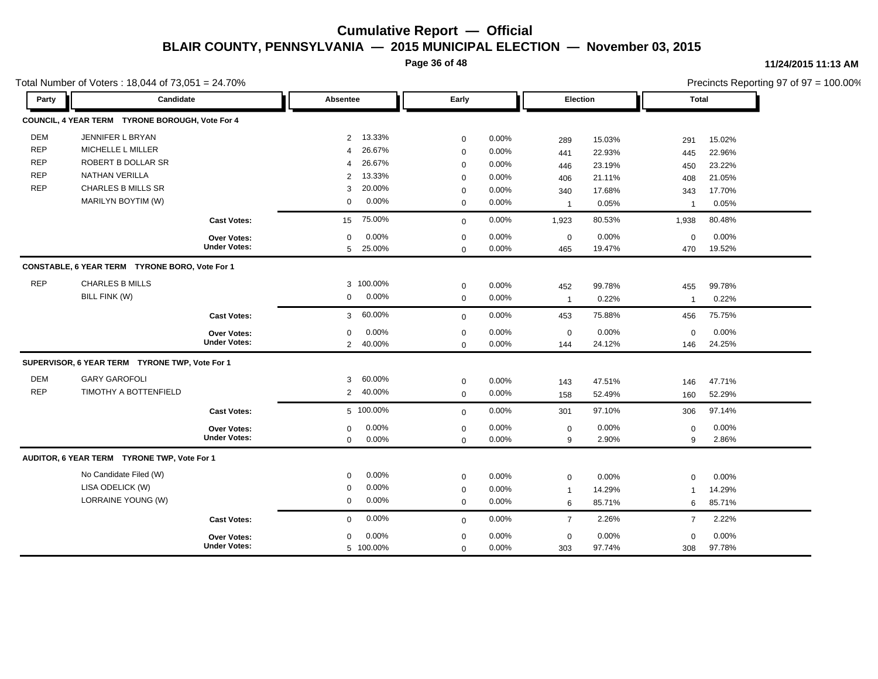**Page 36 of 48**

#### **11/24/2015 11:13 AM**

|            | Total Number of Voters: 18,044 of 73,051 = 24.70% |                     |                |           |             |       |                |        |                | Precincts Reporting 97 of 97 = 100.00% |  |
|------------|---------------------------------------------------|---------------------|----------------|-----------|-------------|-------|----------------|--------|----------------|----------------------------------------|--|
| Party      | Candidate                                         |                     | Absentee       |           | Early       |       | Election       |        | Total          |                                        |  |
|            | COUNCIL, 4 YEAR TERM TYRONE BOROUGH, Vote For 4   |                     |                |           |             |       |                |        |                |                                        |  |
| <b>DEM</b> | JENNIFER L BRYAN                                  |                     | $\overline{2}$ | 13.33%    | $\mathbf 0$ | 0.00% | 289            | 15.03% | 291            | 15.02%                                 |  |
| <b>REP</b> | MICHELLE L MILLER                                 |                     | $\overline{4}$ | 26.67%    | $\mathbf 0$ | 0.00% | 441            | 22.93% | 445            | 22.96%                                 |  |
| <b>REP</b> | ROBERT B DOLLAR SR                                |                     | 4              | 26.67%    | $\mathbf 0$ | 0.00% | 446            | 23.19% | 450            | 23.22%                                 |  |
| <b>REP</b> | <b>NATHAN VERILLA</b>                             |                     | 2              | 13.33%    | $\mathbf 0$ | 0.00% | 406            | 21.11% | 408            | 21.05%                                 |  |
| <b>REP</b> | <b>CHARLES B MILLS SR</b>                         |                     | 3              | 20.00%    | $\mathbf 0$ | 0.00% | 340            | 17.68% | 343            | 17.70%                                 |  |
|            | MARILYN BOYTIM (W)                                |                     | 0              | 0.00%     | $\mathbf 0$ | 0.00% | $\overline{1}$ | 0.05%  | $\overline{1}$ | 0.05%                                  |  |
|            |                                                   | <b>Cast Votes:</b>  | 15             | 75.00%    | $\mathbf 0$ | 0.00% | 1,923          | 80.53% | 1,938          | 80.48%                                 |  |
|            |                                                   | <b>Over Votes:</b>  | $\Omega$       | 0.00%     | $\mathbf 0$ | 0.00% | $\mathsf 0$    | 0.00%  | $\mathbf 0$    | 0.00%                                  |  |
|            |                                                   | <b>Under Votes:</b> | 5              | 25.00%    | $\mathbf 0$ | 0.00% | 465            | 19.47% | 470            | 19.52%                                 |  |
|            | CONSTABLE, 6 YEAR TERM TYRONE BORO, Vote For 1    |                     |                |           |             |       |                |        |                |                                        |  |
| <b>REP</b> | <b>CHARLES B MILLS</b>                            |                     |                | 3 100.00% | $\mathbf 0$ | 0.00% | 452            | 99.78% | 455            | 99.78%                                 |  |
|            | BILL FINK (W)                                     |                     | $\mathbf{0}$   | 0.00%     | $\mathbf 0$ | 0.00% | $\mathbf{1}$   | 0.22%  | $\overline{1}$ | 0.22%                                  |  |
|            |                                                   | <b>Cast Votes:</b>  | 3              | 60.00%    | $\mathbf 0$ | 0.00% | 453            | 75.88% | 456            | 75.75%                                 |  |
|            |                                                   | Over Votes:         | $\mathbf 0$    | 0.00%     | $\mathbf 0$ | 0.00% | $\mathbf 0$    | 0.00%  | $\mathbf 0$    | 0.00%                                  |  |
|            |                                                   | <b>Under Votes:</b> | $\overline{2}$ | 40.00%    | $\mathbf 0$ | 0.00% | 144            | 24.12% | 146            | 24.25%                                 |  |
|            | SUPERVISOR, 6 YEAR TERM TYRONE TWP, Vote For 1    |                     |                |           |             |       |                |        |                |                                        |  |
| <b>DEM</b> | <b>GARY GAROFOLI</b>                              |                     | 3              | 60.00%    | $\mathbf 0$ | 0.00% | 143            | 47.51% | 146            | 47.71%                                 |  |
| <b>REP</b> | TIMOTHY A BOTTENFIELD                             |                     | $2^{\circ}$    | 40.00%    | $\mathbf 0$ | 0.00% | 158            | 52.49% | 160            | 52.29%                                 |  |
|            |                                                   | <b>Cast Votes:</b>  |                | 5 100.00% | $\mathbf 0$ | 0.00% | 301            | 97.10% | 306            | 97.14%                                 |  |
|            |                                                   | <b>Over Votes:</b>  | $\mathbf 0$    | 0.00%     | $\mathbf 0$ | 0.00% | 0              | 0.00%  | 0              | 0.00%                                  |  |
|            |                                                   | <b>Under Votes:</b> | $\mathbf 0$    | 0.00%     | $\mathbf 0$ | 0.00% | 9              | 2.90%  | 9              | 2.86%                                  |  |
|            | AUDITOR, 6 YEAR TERM TYRONE TWP, Vote For 1       |                     |                |           |             |       |                |        |                |                                        |  |
|            | No Candidate Filed (W)                            |                     | 0              | 0.00%     | $\mathbf 0$ | 0.00% | $\mathbf 0$    | 0.00%  | $\mathbf 0$    | 0.00%                                  |  |
|            | LISA ODELICK (W)                                  |                     | 0              | 0.00%     | $\mathbf 0$ | 0.00% | $\mathbf{1}$   | 14.29% | $\overline{1}$ | 14.29%                                 |  |
|            | LORRAINE YOUNG (W)                                |                     | $\mathbf 0$    | 0.00%     | $\mathbf 0$ | 0.00% | 6              | 85.71% | 6              | 85.71%                                 |  |
|            |                                                   | <b>Cast Votes:</b>  | 0              | 0.00%     | $\mathbf 0$ | 0.00% | $\overline{7}$ | 2.26%  | $\overline{7}$ | 2.22%                                  |  |
|            |                                                   | <b>Over Votes:</b>  | $\mathbf 0$    | 0.00%     | $\mathbf 0$ | 0.00% | $\mathbf 0$    | 0.00%  | $\mathbf 0$    | 0.00%                                  |  |
|            |                                                   | <b>Under Votes:</b> |                | 5 100.00% | $\mathbf 0$ | 0.00% | 303            | 97.74% | 308            | 97.78%                                 |  |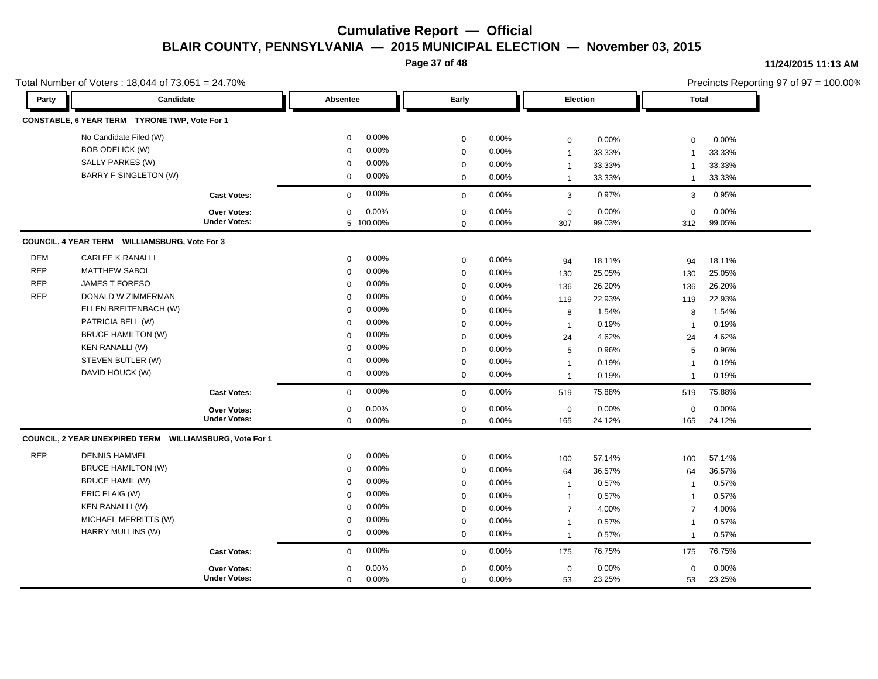**Page 37 of 48**

#### **11/24/2015 11:13 AM**

|            | Total Number of Voters: 18,044 of 73,051 = 24.70%       |                     |                         |             |          |                |        |                         | Precincts Reporting 97 of 97 = 100.00% |  |
|------------|---------------------------------------------------------|---------------------|-------------------------|-------------|----------|----------------|--------|-------------------------|----------------------------------------|--|
| Party      | Candidate                                               |                     | Absentee                | Early       |          | Election       |        | Total                   |                                        |  |
|            | CONSTABLE, 6 YEAR TERM TYRONE TWP, Vote For 1           |                     |                         |             |          |                |        |                         |                                        |  |
|            | No Candidate Filed (W)                                  |                     | 0.00%<br>0              | $\mathbf 0$ | 0.00%    | $\pmb{0}$      | 0.00%  | $\mathbf 0$             | 0.00%                                  |  |
|            | <b>BOB ODELICK (W)</b>                                  |                     | 0.00%<br>0              | $\mathbf 0$ | 0.00%    | $\mathbf{1}$   | 33.33% | $\overline{1}$          | 33.33%                                 |  |
|            | SALLY PARKES (W)                                        |                     | $0.00\%$<br>0           | $\mathbf 0$ | 0.00%    | $\mathbf{1}$   | 33.33% | $\overline{1}$          | 33.33%                                 |  |
|            | <b>BARRY F SINGLETON (W)</b>                            |                     | $0.00\%$<br>0           | $\mathbf 0$ | 0.00%    | $\mathbf{1}$   | 33.33% | $\mathbf{1}$            | 33.33%                                 |  |
|            |                                                         | <b>Cast Votes:</b>  | $0.00\%$<br>$\mathbf 0$ | $\mathbf 0$ | 0.00%    | 3              | 0.97%  | 3                       | 0.95%                                  |  |
|            |                                                         | <b>Over Votes:</b>  | 0.00%<br>$\mathbf 0$    | $\mathbf 0$ | 0.00%    | $\mathbf 0$    | 0.00%  | $\mathbf 0$             | 0.00%                                  |  |
|            |                                                         | <b>Under Votes:</b> | 5 100.00%               | $\Omega$    | 0.00%    | 307            | 99.03% | 312                     | 99.05%                                 |  |
|            | COUNCIL, 4 YEAR TERM WILLIAMSBURG, Vote For 3           |                     |                         |             |          |                |        |                         |                                        |  |
| <b>DEM</b> | <b>CARLEE K RANALLI</b>                                 |                     | 0.00%<br>0              | $\mathbf 0$ | 0.00%    | 94             | 18.11% | 94                      | 18.11%                                 |  |
| <b>REP</b> | <b>MATTHEW SABOL</b>                                    |                     | 0.00%<br>$\mathbf 0$    | $\mathbf 0$ | $0.00\%$ | 130            | 25.05% | 130                     | 25.05%                                 |  |
| <b>REP</b> | <b>JAMES T FORESO</b>                                   |                     | 0.00%<br>$\mathbf 0$    | $\mathbf 0$ | 0.00%    | 136            | 26.20% | 136                     | 26.20%                                 |  |
| <b>REP</b> | DONALD W ZIMMERMAN                                      |                     | 0.00%<br>$\mathbf 0$    | $\mathbf 0$ | 0.00%    | 119            | 22.93% | 119                     | 22.93%                                 |  |
|            | ELLEN BREITENBACH (W)                                   |                     | 0.00%<br>$\mathbf 0$    | $\mathbf 0$ | 0.00%    | 8              | 1.54%  | 8                       | 1.54%                                  |  |
|            | PATRICIA BELL (W)                                       |                     | 0.00%<br>0              | $\mathbf 0$ | 0.00%    | $\mathbf{1}$   | 0.19%  | $\overline{1}$          | 0.19%                                  |  |
|            | <b>BRUCE HAMILTON (W)</b>                               |                     | 0.00%<br>$\mathbf 0$    | $\mathbf 0$ | 0.00%    | 24             | 4.62%  | 24                      | 4.62%                                  |  |
|            | KEN RANALLI (W)                                         |                     | 0.00%<br>$\mathbf 0$    | $\mathbf 0$ | 0.00%    | 5              | 0.96%  | 5                       | 0.96%                                  |  |
|            | STEVEN BUTLER (W)                                       |                     | 0.00%<br>$\mathbf 0$    | $\mathbf 0$ | $0.00\%$ | $\mathbf{1}$   | 0.19%  | -1                      | 0.19%                                  |  |
|            | DAVID HOUCK (W)                                         |                     | $0.00\%$<br>0           | $\mathbf 0$ | 0.00%    | $\mathbf{1}$   | 0.19%  | $\overline{1}$          | 0.19%                                  |  |
|            |                                                         | <b>Cast Votes:</b>  | 0.00%<br>$\mathbf 0$    | $\mathbf 0$ | 0.00%    | 519            | 75.88% | 519                     | 75.88%                                 |  |
|            |                                                         | Over Votes:         | 0.00%<br>0              | $\mathbf 0$ | 0.00%    | $\mathbf 0$    | 0.00%  | $\mathbf 0$             | 0.00%                                  |  |
|            |                                                         | <b>Under Votes:</b> | $0.00\%$<br>0           | $\mathbf 0$ | 0.00%    | 165            | 24.12% | 165                     | 24.12%                                 |  |
|            | COUNCIL, 2 YEAR UNEXPIRED TERM WILLIAMSBURG, Vote For 1 |                     |                         |             |          |                |        |                         |                                        |  |
| <b>REP</b> | <b>DENNIS HAMMEL</b>                                    |                     | $0.00\%$<br>$\mathbf 0$ | $\mathbf 0$ | 0.00%    | 100            | 57.14% | 100                     | 57.14%                                 |  |
|            | <b>BRUCE HAMILTON (W)</b>                               |                     | $0.00\%$<br>$\mathbf 0$ | $\mathbf 0$ | 0.00%    | 64             | 36.57% | 64                      | 36.57%                                 |  |
|            | <b>BRUCE HAMIL (W)</b>                                  |                     | 0.00%<br>$\mathbf 0$    | $\mathbf 0$ | 0.00%    | $\mathbf{1}$   | 0.57%  | $\overline{1}$          | 0.57%                                  |  |
|            | ERIC FLAIG (W)                                          |                     | 0.00%<br>$\mathbf 0$    | $\mathbf 0$ | 0.00%    | $\mathbf{1}$   | 0.57%  | $\overline{1}$          | 0.57%                                  |  |
|            | KEN RANALLI (W)                                         |                     | 0.00%<br>$\mathbf 0$    | $\mathbf 0$ | 0.00%    | $\overline{7}$ | 4.00%  | $\overline{7}$          | 4.00%                                  |  |
|            | MICHAEL MERRITTS (W)                                    |                     | 0.00%<br>$\mathbf 0$    | $\mathbf 0$ | 0.00%    | $\mathbf{1}$   | 0.57%  | $\mathbf 1$             | 0.57%                                  |  |
|            | HARRY MULLINS (W)                                       |                     | 0.00%<br>$\mathbf 0$    | $\mathbf 0$ | 0.00%    | $\mathbf{1}$   | 0.57%  | $\overline{\mathbf{1}}$ | 0.57%                                  |  |
|            |                                                         | <b>Cast Votes:</b>  | 0.00%<br>$\mathbf 0$    | $\mathbf 0$ | 0.00%    | 175            | 76.75% | 175                     | 76.75%                                 |  |
|            |                                                         | <b>Over Votes:</b>  | $0.00\%$<br>$\mathbf 0$ | $\mathbf 0$ | 0.00%    | $\mathbf 0$    | 0.00%  | $\mathbf 0$             | 0.00%                                  |  |
|            |                                                         | <b>Under Votes:</b> | 0.00%<br>$\mathbf 0$    | $\mathbf 0$ | 0.00%    | 53             | 23.25% | 53                      | 23.25%                                 |  |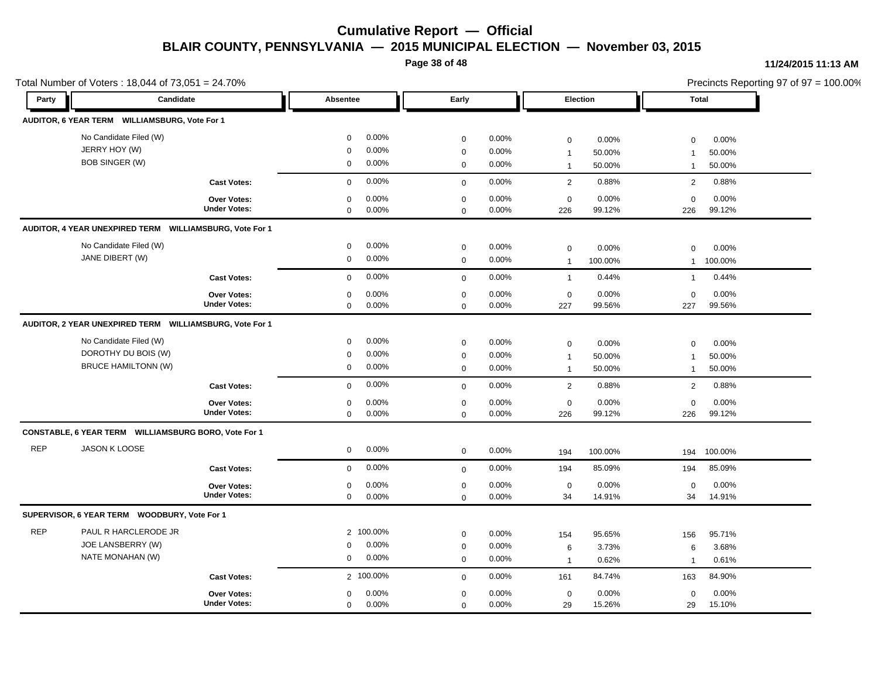**Page 38 of 48**

#### **11/24/2015 11:13 AM**

|            | Total Number of Voters: 18,044 of 73,051 = 24.70%                           |                                           |                                           |                             |                                           |                         |                                             |                           |                                   |                           | Precincts Reporting 97 of 97 = 100.00% |
|------------|-----------------------------------------------------------------------------|-------------------------------------------|-------------------------------------------|-----------------------------|-------------------------------------------|-------------------------|---------------------------------------------|---------------------------|-----------------------------------|---------------------------|----------------------------------------|
| Party      | Candidate                                                                   |                                           | Absentee                                  |                             | Early                                     |                         | Election                                    |                           | <b>Total</b>                      |                           |                                        |
|            | AUDITOR, 6 YEAR TERM WILLIAMSBURG, Vote For 1                               |                                           |                                           |                             |                                           |                         |                                             |                           |                                   |                           |                                        |
|            | No Candidate Filed (W)<br>JERRY HOY (W)                                     |                                           | $\mathbf 0$<br>$\mathbf 0$                | 0.00%<br>0.00%              | $\mathbf 0$<br>$\mathbf 0$                | 0.00%<br>0.00%          | $\mathbf 0$<br>$\mathbf{1}$                 | 0.00%<br>50.00%           | $\mathbf 0$<br>1                  | 0.00%<br>50.00%           |                                        |
|            | <b>BOB SINGER (W)</b>                                                       |                                           | $\mathbf 0$                               | 0.00%                       | $\mathbf 0$                               | 0.00%                   | $\mathbf{1}$                                | 50.00%                    | $\mathbf{1}$                      | 50.00%                    |                                        |
|            |                                                                             | <b>Cast Votes:</b>                        | $\mathbf 0$                               | 0.00%                       | $\mathbf{0}$                              | 0.00%                   | 2                                           | 0.88%                     | 2                                 | 0.88%                     |                                        |
|            |                                                                             | Over Votes:<br><b>Under Votes:</b>        | $\mathbf 0$<br>$\mathbf 0$                | 0.00%<br>0.00%              | $\mathbf 0$<br>$\mathbf 0$                | 0.00%<br>0.00%          | $\mathbf 0$<br>226                          | 0.00%<br>99.12%           | $\mathbf 0$<br>226                | 0.00%<br>99.12%           |                                        |
|            | AUDITOR, 4 YEAR UNEXPIRED TERM WILLIAMSBURG, Vote For 1                     |                                           |                                           |                             |                                           |                         |                                             |                           |                                   |                           |                                        |
|            | No Candidate Filed (W)<br>JANE DIBERT (W)                                   |                                           | $\mathbf 0$<br>$\mathbf 0$                | 0.00%<br>0.00%              | $\mathbf 0$<br>$\mathbf 0$                | 0.00%<br>0.00%          | $\mathbf 0$<br>$\mathbf{1}$                 | 0.00%<br>100.00%          | $\Omega$<br>1                     | 0.00%<br>100.00%          |                                        |
|            |                                                                             | <b>Cast Votes:</b>                        | $\mathbf 0$                               | 0.00%                       | $\mathbf 0$                               | 0.00%                   | $\mathbf{1}$                                | 0.44%                     | $\mathbf{1}$                      | 0.44%                     |                                        |
|            |                                                                             | Over Votes:<br><b>Under Votes:</b>        | $\mathbf 0$<br>$\mathbf 0$                | 0.00%<br>0.00%              | $\mathbf 0$<br>$\mathbf 0$                | 0.00%<br>0.00%          | $\mathbf 0$<br>227                          | 0.00%<br>99.56%           | $\mathbf 0$<br>227                | 0.00%<br>99.56%           |                                        |
|            | AUDITOR, 2 YEAR UNEXPIRED TERM WILLIAMSBURG, Vote For 1                     |                                           |                                           |                             |                                           |                         |                                             |                           |                                   |                           |                                        |
|            | No Candidate Filed (W)<br>DOROTHY DU BOIS (W)<br><b>BRUCE HAMILTONN (W)</b> |                                           | $\mathbf 0$<br>$\mathbf 0$<br>$\mathbf 0$ | 0.00%<br>0.00%<br>0.00%     | $\mathbf 0$<br>$\mathbf 0$<br>$\mathbf 0$ | 0.00%<br>0.00%<br>0.00% | $\mathbf 0$<br>$\mathbf{1}$<br>$\mathbf{1}$ | 0.00%<br>50.00%<br>50.00% | 0<br>$\mathbf{1}$<br>$\mathbf{1}$ | 0.00%<br>50.00%<br>50.00% |                                        |
|            |                                                                             | <b>Cast Votes:</b>                        | $\mathbf 0$                               | 0.00%                       | $\mathbf 0$                               | 0.00%                   | $\overline{2}$                              | 0.88%                     | $\overline{2}$                    | 0.88%                     |                                        |
|            |                                                                             | Over Votes:<br><b>Under Votes:</b>        | $\mathbf 0$<br>$\mathbf 0$                | 0.00%<br>0.00%              | $\mathbf 0$<br>$\mathbf 0$                | 0.00%<br>0.00%          | $\mathbf 0$<br>226                          | 0.00%<br>99.12%           | $\mathbf 0$<br>226                | 0.00%<br>99.12%           |                                        |
|            | CONSTABLE, 6 YEAR TERM WILLIAMSBURG BORO, Vote For 1                        |                                           |                                           |                             |                                           |                         |                                             |                           |                                   |                           |                                        |
| <b>REP</b> | JASON K LOOSE                                                               |                                           | $\mathbf 0$                               | 0.00%                       | $\mathbf 0$                               | 0.00%                   | 194                                         | 100.00%                   | 194                               | 100.00%                   |                                        |
|            |                                                                             | <b>Cast Votes:</b>                        | $\mathbf{0}$                              | 0.00%                       | $\mathbf 0$                               | 0.00%                   | 194                                         | 85.09%                    | 194                               | 85.09%                    |                                        |
|            |                                                                             | Over Votes:<br><b>Under Votes:</b>        | $\mathbf 0$<br>$\mathbf 0$                | 0.00%<br>0.00%              | $\mathbf 0$<br>$\mathbf 0$                | 0.00%<br>0.00%          | $\mathbf 0$<br>34                           | 0.00%<br>14.91%           | 0<br>34                           | 0.00%<br>14.91%           |                                        |
|            | SUPERVISOR, 6 YEAR TERM WOODBURY, Vote For 1                                |                                           |                                           |                             |                                           |                         |                                             |                           |                                   |                           |                                        |
| <b>REP</b> | PAUL R HARCLERODE JR<br>JOE LANSBERRY (W)<br>NATE MONAHAN (W)               |                                           | $\mathbf 0$<br>$\mathbf 0$                | 2 100.00%<br>0.00%<br>0.00% | $\mathbf 0$<br>$\mathbf 0$<br>$\mathbf 0$ | 0.00%<br>0.00%<br>0.00% | 154<br>6<br>$\overline{1}$                  | 95.65%<br>3.73%<br>0.62%  | 156<br>6<br>1                     | 95.71%<br>3.68%<br>0.61%  |                                        |
|            |                                                                             | <b>Cast Votes:</b>                        |                                           | 2 100.00%                   | $\mathbf 0$                               | 0.00%                   | 161                                         | 84.74%                    | 163                               | 84.90%                    |                                        |
|            |                                                                             | <b>Over Votes:</b><br><b>Under Votes:</b> | $\mathbf 0$<br>$\mathbf 0$                | 0.00%<br>0.00%              | $\mathbf 0$<br>$\mathbf 0$                | 0.00%<br>0.00%          | $\mathbf 0$<br>29                           | 0.00%<br>15.26%           | $\mathbf 0$<br>29                 | 0.00%<br>15.10%           |                                        |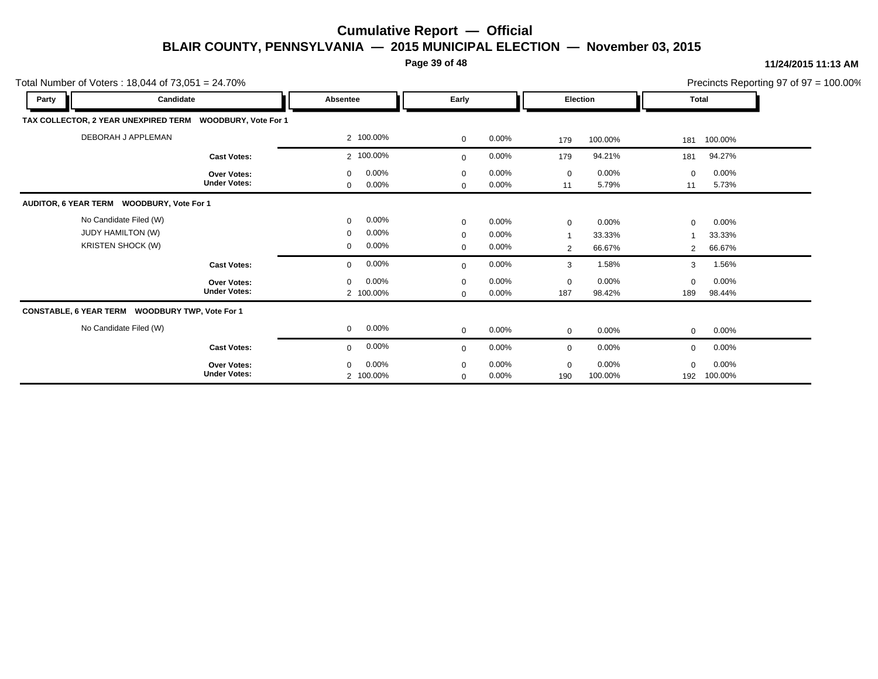**Page 39 of 48**

| Total Number of Voters: $18,044$ of $73,051 = 24.70\%$                         |                                           |                                                                        |                                           |                            |                                                 |                           |                    |                           | Precincts Reporting 97 of 97 = 100.00% |
|--------------------------------------------------------------------------------|-------------------------------------------|------------------------------------------------------------------------|-------------------------------------------|----------------------------|-------------------------------------------------|---------------------------|--------------------|---------------------------|----------------------------------------|
| Party                                                                          | Candidate                                 | Absentee                                                               | Early                                     |                            | <b>Election</b>                                 |                           | <b>Total</b>       |                           |                                        |
| TAX COLLECTOR, 2 YEAR UNEXPIRED TERM                                           | <b>WOODBURY, Vote For 1</b>               |                                                                        |                                           |                            |                                                 |                           |                    |                           |                                        |
| DEBORAH J APPLEMAN                                                             |                                           | 2 100.00%                                                              | $\mathbf 0$                               | 0.00%                      | 179                                             | 100.00%                   | 181                | 100.00%                   |                                        |
|                                                                                | <b>Cast Votes:</b>                        | 2 100.00%                                                              | $\mathbf 0$                               | 0.00%                      | 179                                             | 94.21%                    | 181                | 94.27%                    |                                        |
|                                                                                | Over Votes:<br><b>Under Votes:</b>        | $0.00\%$<br>$\mathbf{0}$<br>0.00%<br>0                                 | $\mathbf 0$<br>$\mathbf 0$                | 0.00%<br>0.00%             | $\mathbf 0$<br>11                               | $0.00\%$<br>5.79%         | $\mathbf 0$<br>11  | 0.00%<br>5.73%            |                                        |
| AUDITOR, 6 YEAR TERM WOODBURY, Vote For 1                                      |                                           |                                                                        |                                           |                            |                                                 |                           |                    |                           |                                        |
| No Candidate Filed (W)<br><b>JUDY HAMILTON (W)</b><br><b>KRISTEN SHOCK (W)</b> |                                           | 0.00%<br>$\mathbf 0$<br>0.00%<br>$\mathbf{0}$<br>0.00%<br>$\mathbf{0}$ | $\mathbf 0$<br>$\mathbf 0$<br>$\mathbf 0$ | 0.00%<br>0.00%<br>$0.00\%$ | $\mathbf 0$<br>$\overline{1}$<br>$\overline{2}$ | 0.00%<br>33.33%<br>66.67% | $\mathbf 0$<br>2   | 0.00%<br>33.33%<br>66.67% |                                        |
|                                                                                | <b>Cast Votes:</b>                        | $0.00\%$<br>$\mathbf 0$                                                | $\mathbf 0$                               | 0.00%                      | 3                                               | 1.58%                     | 3                  | 1.56%                     |                                        |
|                                                                                | <b>Over Votes:</b><br><b>Under Votes:</b> | $0.00\%$<br>$\mathbf 0$<br>2 100.00%                                   | $\mathbf 0$<br>$\mathbf 0$                | 0.00%<br>0.00%             | $\mathbf 0$<br>187                              | $0.00\%$<br>98.42%        | $\mathbf 0$<br>189 | 0.00%<br>98.44%           |                                        |
| CONSTABLE, 6 YEAR TERM WOODBURY TWP, Vote For 1                                |                                           |                                                                        |                                           |                            |                                                 |                           |                    |                           |                                        |
| No Candidate Filed (W)                                                         |                                           | $0.00\%$<br>$\mathbf{0}$                                               | $\mathbf 0$                               | $0.00\%$                   | $\mathbf 0$                                     | 0.00%                     | $\mathbf 0$        | $0.00\%$                  |                                        |
|                                                                                | <b>Cast Votes:</b>                        | $0.00\%$<br>0                                                          | $\mathbf 0$                               | 0.00%                      | $\mathbf 0$                                     | 0.00%                     | $\mathbf 0$        | 0.00%                     |                                        |
|                                                                                | <b>Over Votes:</b><br><b>Under Votes:</b> | $0.00\%$<br>0<br>2 100.00%                                             | $\mathbf 0$<br>$\mathbf 0$                | 0.00%<br>0.00%             | $\mathbf 0$<br>190                              | $0.00\%$<br>100.00%       | $\mathbf 0$<br>192 | 0.00%<br>100.00%          |                                        |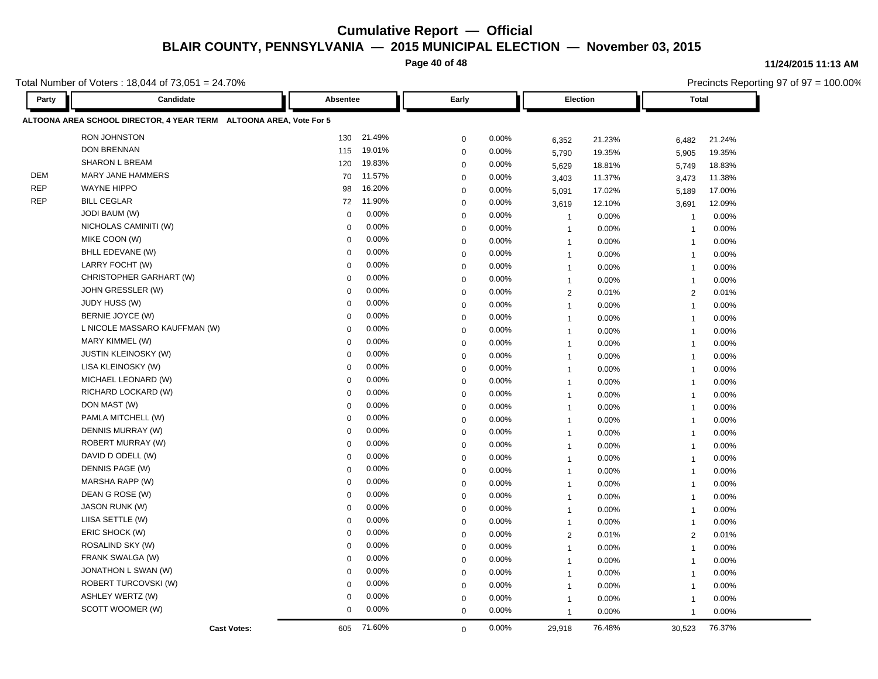**Page 40 of 48**

#### **11/24/2015 11:13 AM**

Total Number of Voters : 18,044 of 73,051 = 24.70%

| Party      | Candidate                                                          | Absentee    |          | Early       |       |                | Election | <b>Total</b>            |        | $1.5011010110$ pointing of $0.01 - 100100$ |
|------------|--------------------------------------------------------------------|-------------|----------|-------------|-------|----------------|----------|-------------------------|--------|--------------------------------------------|
|            | ALTOONA AREA SCHOOL DIRECTOR, 4 YEAR TERM ALTOONA AREA, Vote For 5 |             |          |             |       |                |          |                         |        |                                            |
|            | <b>RON JOHNSTON</b>                                                | 130         | 21.49%   | $\mathbf 0$ | 0.00% | 6,352          | 21.23%   | 6,482                   | 21.24% |                                            |
|            | <b>DON BRENNAN</b>                                                 | 115         | 19.01%   | $\mathbf 0$ | 0.00% | 5,790          | 19.35%   | 5,905                   | 19.35% |                                            |
|            | <b>SHARON L BREAM</b>                                              | 120         | 19.83%   | $\mathbf 0$ | 0.00% | 5,629          | 18.81%   | 5,749                   | 18.83% |                                            |
| <b>DEM</b> | <b>MARY JANE HAMMERS</b>                                           | 70          | 11.57%   | $\mathbf 0$ | 0.00% | 3,403          | 11.37%   | 3,473                   | 11.38% |                                            |
| <b>REP</b> | <b>WAYNE HIPPO</b>                                                 | 98          | 16.20%   | $\mathbf 0$ | 0.00% | 5,091          | 17.02%   | 5,189                   | 17.00% |                                            |
| <b>REP</b> | <b>BILL CEGLAR</b>                                                 | 72          | 11.90%   | $\mathbf 0$ | 0.00% | 3.619          | 12.10%   | 3,691                   | 12.09% |                                            |
|            | <b>JODI BAUM (W)</b>                                               | $\mathbf 0$ | 0.00%    | $\mathbf 0$ | 0.00% | $\overline{1}$ | 0.00%    | $\overline{\mathbf{1}}$ | 0.00%  |                                            |
|            | NICHOLAS CAMINITI (W)                                              | $\mathbf 0$ | 0.00%    | $\mathbf 0$ | 0.00% | $\overline{1}$ | 0.00%    | $\overline{\mathbf{1}}$ | 0.00%  |                                            |
|            | MIKE COON (W)                                                      | 0           | 0.00%    | $\mathbf 0$ | 0.00% | $\mathbf{1}$   | 0.00%    | $\overline{1}$          | 0.00%  |                                            |
|            | BHLL EDEVANE (W)                                                   | $\Omega$    | 0.00%    | $\mathbf 0$ | 0.00% | $\mathbf{1}$   | 0.00%    | $\overline{1}$          | 0.00%  |                                            |
|            | LARRY FOCHT (W)                                                    | $\Omega$    | 0.00%    | $\mathbf 0$ | 0.00% | $\overline{1}$ | 0.00%    | $\overline{1}$          | 0.00%  |                                            |
|            | CHRISTOPHER GARHART (W)                                            | 0           | 0.00%    | $\mathbf 0$ | 0.00% | $\overline{1}$ | 0.00%    | $\overline{1}$          | 0.00%  |                                            |
|            | JOHN GRESSLER (W)                                                  | $\Omega$    | 0.00%    | $\mathbf 0$ | 0.00% | $\overline{2}$ | 0.01%    | $\overline{2}$          | 0.01%  |                                            |
|            | JUDY HUSS (W)                                                      | $\Omega$    | 0.00%    | $\mathbf 0$ | 0.00% | $\mathbf{1}$   | 0.00%    | $\overline{1}$          | 0.00%  |                                            |
|            | BERNIE JOYCE (W)                                                   | $\Omega$    | 0.00%    | $\mathbf 0$ | 0.00% | $\overline{1}$ | 0.00%    | $\overline{1}$          | 0.00%  |                                            |
|            | L NICOLE MASSARO KAUFFMAN (W)                                      | $\Omega$    | 0.00%    | $\mathbf 0$ | 0.00% | $\overline{1}$ | 0.00%    | $\overline{1}$          | 0.00%  |                                            |
|            | MARY KIMMEL (W)                                                    | $\Omega$    | 0.00%    | $\mathbf 0$ | 0.00% | $\overline{1}$ | 0.00%    | $\overline{1}$          | 0.00%  |                                            |
|            | <b>JUSTIN KLEINOSKY (W)</b>                                        | $\Omega$    | 0.00%    | $\mathbf 0$ | 0.00% | $\overline{1}$ | 0.00%    | $\overline{1}$          | 0.00%  |                                            |
|            | LISA KLEINOSKY (W)                                                 | $\mathbf 0$ | 0.00%    | $\mathbf 0$ | 0.00% | $\overline{1}$ | 0.00%    | $\overline{1}$          | 0.00%  |                                            |
|            | MICHAEL LEONARD (W)                                                | $\mathbf 0$ | 0.00%    | $\mathbf 0$ | 0.00% | $\mathbf{1}$   | 0.00%    | $\overline{1}$          | 0.00%  |                                            |
|            | RICHARD LOCKARD (W)                                                | $\Omega$    | 0.00%    | $\mathbf 0$ | 0.00% | $\mathbf{1}$   | 0.00%    | $\overline{1}$          | 0.00%  |                                            |
|            | DON MAST (W)                                                       | $\mathbf 0$ | 0.00%    | $\mathbf 0$ | 0.00% | $\overline{1}$ | 0.00%    | $\overline{\mathbf{1}}$ | 0.00%  |                                            |
|            | PAMLA MITCHELL (W)                                                 | $\mathbf 0$ | 0.00%    | $\mathbf 0$ | 0.00% | $\overline{1}$ | 0.00%    | $\overline{1}$          | 0.00%  |                                            |
|            | DENNIS MURRAY (W)                                                  | 0           | 0.00%    | $\mathbf 0$ | 0.00% | $\mathbf{1}$   | 0.00%    | $\overline{1}$          | 0.00%  |                                            |
|            | ROBERT MURRAY (W)                                                  | $\Omega$    | 0.00%    | $\mathbf 0$ | 0.00% | $\mathbf{1}$   | 0.00%    | $\overline{1}$          | 0.00%  |                                            |
|            | DAVID D ODELL (W)                                                  | $\mathbf 0$ | 0.00%    | $\mathbf 0$ | 0.00% | $\overline{1}$ | 0.00%    | $\overline{1}$          | 0.00%  |                                            |
|            | DENNIS PAGE (W)                                                    | 0           | 0.00%    | $\mathbf 0$ | 0.00% | $\overline{1}$ | 0.00%    | $\overline{1}$          | 0.00%  |                                            |
|            | MARSHA RAPP (W)                                                    | $\mathbf 0$ | 0.00%    | $\mathbf 0$ | 0.00% | $\mathbf{1}$   | 0.00%    | $\overline{1}$          | 0.00%  |                                            |
|            | DEAN G ROSE (W)                                                    | $\mathbf 0$ | 0.00%    | $\mathbf 0$ | 0.00% | $\mathbf{1}$   | 0.00%    | $\overline{1}$          | 0.00%  |                                            |
|            | <b>JASON RUNK (W)</b>                                              | 0           | 0.00%    | $\mathbf 0$ | 0.00% | $\mathbf{1}$   | 0.00%    | $\overline{1}$          | 0.00%  |                                            |
|            | LIISA SETTLE (W)                                                   | 0           | 0.00%    | $\mathbf 0$ | 0.00% | $\mathbf{1}$   | 0.00%    | $\overline{1}$          | 0.00%  |                                            |
|            | ERIC SHOCK (W)                                                     | $\mathbf 0$ | 0.00%    | $\mathbf 0$ | 0.00% | $\overline{2}$ | 0.01%    | 2                       | 0.01%  |                                            |
|            | ROSALIND SKY (W)                                                   | $\Omega$    | 0.00%    | $\mathbf 0$ | 0.00% | $\mathbf{1}$   | 0.00%    | $\overline{\mathbf{1}}$ | 0.00%  |                                            |
|            | FRANK SWALGA (W)                                                   | $\Omega$    | 0.00%    | $\mathbf 0$ | 0.00% | $\overline{1}$ | 0.00%    | $\overline{1}$          | 0.00%  |                                            |
|            | JONATHON L SWAN (W)                                                | $\Omega$    | 0.00%    | $\mathbf 0$ | 0.00% | $\mathbf{1}$   | 0.00%    | $\overline{1}$          | 0.00%  |                                            |
|            | ROBERT TURCOVSKI (W)                                               | $\Omega$    | 0.00%    | $\mathbf 0$ | 0.00% | $\overline{1}$ | 0.00%    | $\overline{1}$          | 0.00%  |                                            |
|            | ASHLEY WERTZ (W)                                                   | $\mathbf 0$ | $0.00\%$ | $\mathbf 0$ | 0.00% | $\overline{1}$ | 0.00%    | $\overline{1}$          | 0.00%  |                                            |
|            | SCOTT WOOMER (W)                                                   | $\mathbf 0$ | 0.00%    | $\Omega$    | 0.00% | $\overline{1}$ | 0.00%    | $\overline{1}$          | 0.00%  |                                            |
|            | <b>Cast Votes:</b>                                                 | 605         | 71.60%   | $\mathbf 0$ | 0.00% | 29,918         | 76.48%   | 30.523                  | 76.37% |                                            |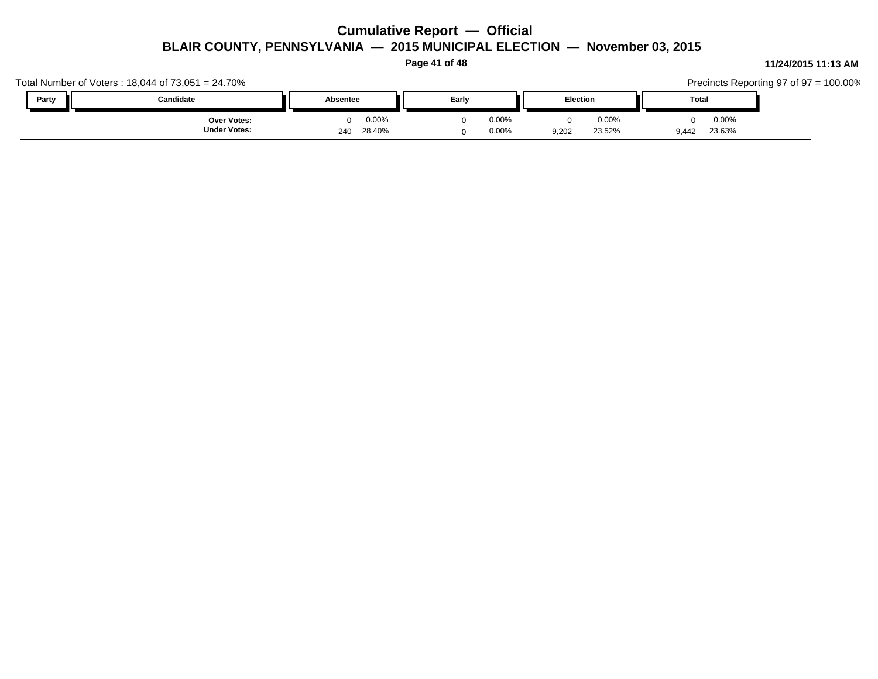**Page 41 of 48**

#### Total Number of Voters : 18,044 of 73,051 = 24.70% Precincts Reporting 97 of 97 = 100.00% **Party Candidate Absentee Early Election Total** 9,442 23.63% 23.52% 0 0.00% 9,202 0.00% 0 0.00% **Under Votes: Over Votes:** 28.40% 240  $0.00\%$  0.00% 0.00% 0.00% 0.00% 0.00% 0 0.00% 0 0.00% 0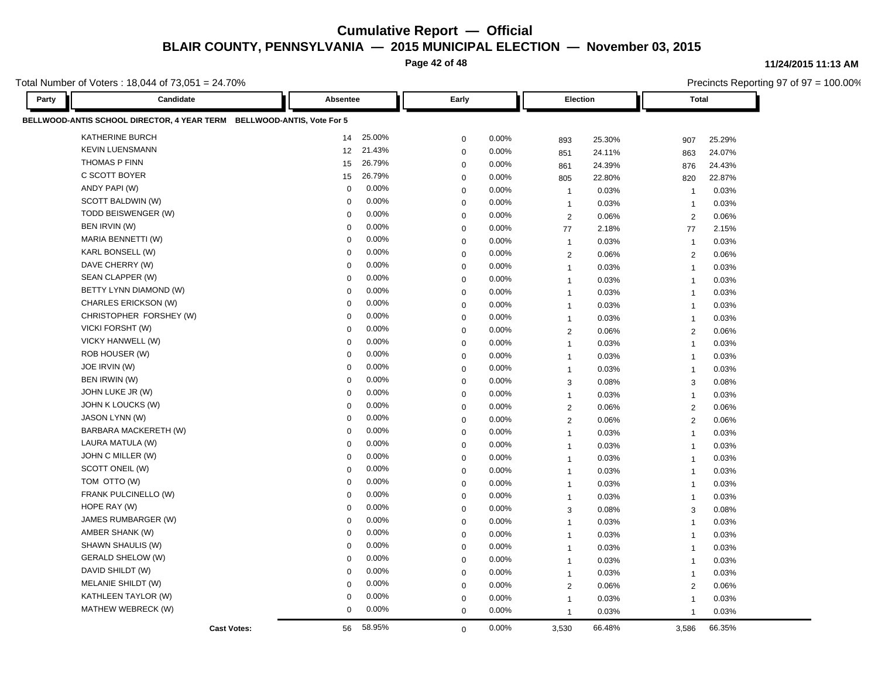**Page 42 of 48**

Total Number of Voters : 18,044 of 73,051 = 24.70%

**Party Candidate Absentee Early Election Total BELLWOOD-ANTIS SCHOOL DIRECTOR, 4 YEAR TERM BELLWOOD-ANTIS, Vote For 5** KATHERINE BURCH 14 25.00% 0 0.00% 893 25.30% 907 25.29% KEVIN LUENSMANN 12 21.43% 0 0.00% 851 24.11% 863 24.07% THOMAS P FINN 15 26.79% 0 0.00% 861 24.39% 876 24.43% C SCOTT BOYER 15 26.79% 0 0.00% 805 22.80% 820 22.87% ANDY PAPI (W) 0 0.00% 0 0.00% 1 0.03% 1 0.03% SCOTT BALDWIN (W) 0 0.00% 0 0.00% 1 0.03% 1 0.03% TODD BEISWENGER (W) 0 0.00% 0 0.00% 2 0.06% 2 0.06% BEN IRVIN (W) 0 0.00% 0 0.00% 77 2.18% 77 2.15% MARIA BENNETTI (W) 0 0.00% 0 0.00% 1 0.03% 1 0.03% KARL BONSELL (W) 0 0.00% 0 0.00% 2 0.06% 2 0.06% DAVE CHERRY (W) 0 0.00% 0 0.00% 1 0.03% 1 0.03% SEAN CLAPPER (W) 0 0.00% 0 0.00% 1 0.03% 1 0.03% BETTY LYNN DIAMOND (W) 0 0.00% 0 0.00% 1 0.03% 1 0.03% CHARLES ERICKSON (W) 0 0.00% 0 0.00% 1 0.03% 1 0.03% CHRISTOPHER FORSHEY (W) 0 0.00% 0 0.00% 1 0.03% 1 0.03% VICKI FORSHT (W) 0 0.00% 0 0.00% 2 0.06% 2 0.06% VICKY HANWELL (W) 0 0.00% 0 0.00% 1 0.03% 1 0.03% ROB HOUSER (W) 0 0.00% 0 0.00% 1 0.03% 1 0.03% JOE IRVIN (W) 0 0.00% 0 0.00% 1 0.03% 1 0.03% BEN IRWIN (W) 0 0.00% 0 0.00% 3 0.08% 3 0.08% JOHN LUKE JR (W) 0 0.00% 0 0.00% 1 0.03% 1 0.03% JOHN K LOUCKS (W) 0 0.00% 0 0.00% 2 0.06% 2 0.06% JASON LYNN (W) 0 0.00% 0 0.00% 2 0.06% 2 0.06% BARBARA MACKERETH (W) 0 0.00% 0 0.00% 1 0.03% 1 0.03% LAURA MATULA (W) 0 0.00% 0 0.00% 1 0.03% 1 0.03% JOHN C MILLER (W) 0 0.00% 0 0.00% 1 0.03% 1 0.03% SCOTT ONEIL (W) 0 0.00% 0 0.00% 1 0.03% 1 0.03% TOM OTTO (W) 0 0.00% 0 0.00% 1 0.03% 1 0.03% FRANK PULCINELLO (W) 0 0.00% 0 0.00% 1 0.03% 1 0.03% HOPE RAY (W) 0 0.00% 0 0.00% 3 0.08% 3 0.08% JAMES RUMBARGER (W) 0 0.00% 0 0.00% 1 0.03% 1 0.03% AMBER SHANK (W) 0 0.00% 0 0.00% 1 0.03% 1 0.03% SHAWN SHAULIS (W) 0 0.00% 0 0.00% 1 0.03% 1 0.03% GERALD SHELOW (W) 0 0.00% 0 0.00% 1 0.03% 1 0.03% DAVID SHILDT (W) 0 0.00% 0 0.00% 1 0.03% 1 0.03% MELANIE SHILDT (W) 0 0.00% 0 0.00% 2 0.06% 2 0.06% KATHLEEN TAYLOR (W) 0 0.00% 0 0.00% 1 0.03% 1 0.03% MATHEW WEBRECK (W) 0 0.00% 0 0.00% 1 0.03% 1 0.03% **Cast Votes:** 56 58.95% 0 0.00% 3,530 66.48% 3,586 66.35%

#### **11/24/2015 11:13 AM**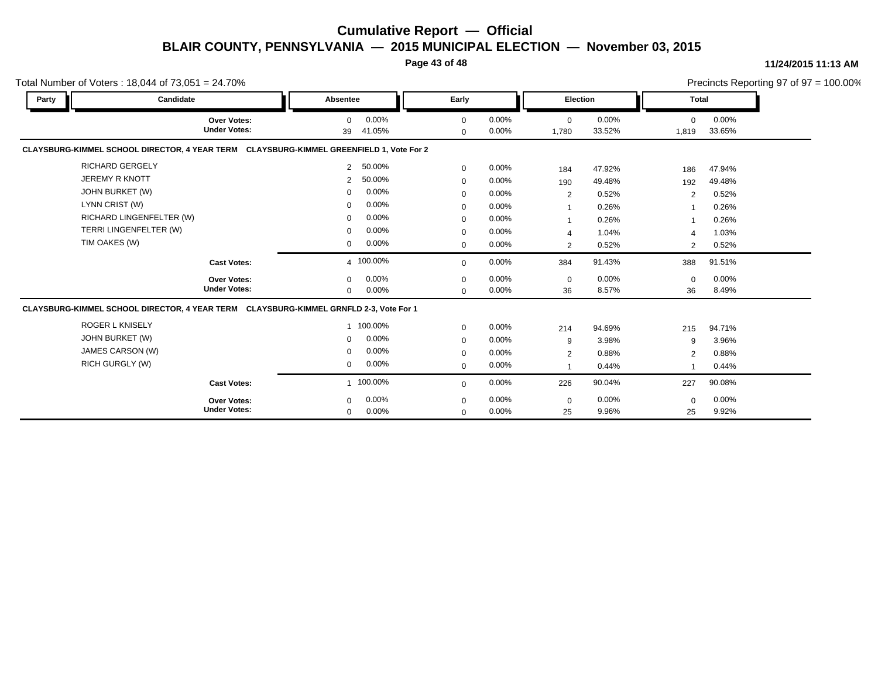**Page 43 of 48**

#### **11/24/2015 11:13 AM**

|                | Total Number of Voters: $18,044$ of $73,051 = 24.70\%$                                  |                |                 |                            |                   |                      |                 |                   |                 | Precincts Reporting 97 of $97 = 100.00\%$ |
|----------------|-----------------------------------------------------------------------------------------|----------------|-----------------|----------------------------|-------------------|----------------------|-----------------|-------------------|-----------------|-------------------------------------------|
| Party          | Candidate                                                                               | Absentee       |                 | Early                      |                   | <b>Election</b>      |                 | <b>Total</b>      |                 |                                           |
|                | Over Votes:<br><b>Under Votes:</b>                                                      | $\Omega$<br>39 | 0.00%<br>41.05% | $\mathbf 0$<br>$\mathbf 0$ | 0.00%<br>0.00%    | $\mathbf 0$<br>1,780 | 0.00%<br>33.52% | $\Omega$<br>1,819 | 0.00%<br>33.65% |                                           |
|                | CLAYSBURG-KIMMEL SCHOOL DIRECTOR, 4 YEAR TERM CLAYSBURG-KIMMEL GREENFIELD 1, Vote For 2 |                |                 |                            |                   |                      |                 |                   |                 |                                           |
|                | <b>RICHARD GERGELY</b>                                                                  | $\overline{2}$ | 50.00%          | $\mathbf 0$                | 0.00%             | 184                  | 47.92%          | 186               | 47.94%          |                                           |
|                | <b>JEREMY R KNOTT</b>                                                                   | 2              | 50.00%          | $\mathbf 0$                | 0.00%             | 190                  | 49.48%          | 192               | 49.48%          |                                           |
|                | JOHN BURKET (W)                                                                         | $\mathbf 0$    | 0.00%           | $\mathbf 0$                | 0.00%             | 2                    | 0.52%           | 2                 | 0.52%           |                                           |
| LYNN CRIST (W) |                                                                                         | $\mathbf 0$    | 0.00%           | $\mathbf 0$                | 0.00%             | -1                   | 0.26%           |                   | 0.26%           |                                           |
|                | RICHARD LINGENFELTER (W)                                                                | $\mathbf 0$    | 0.00%           | $\mathbf 0$                | 0.00%             | 1                    | 0.26%           |                   | 0.26%           |                                           |
|                | TERRI LINGENFELTER (W)                                                                  | $\mathbf 0$    | 0.00%           | $\mathbf 0$                | 0.00%             | $\overline{4}$       | 1.04%           | $\overline{4}$    | 1.03%           |                                           |
| TIM OAKES (W)  |                                                                                         | $\mathbf{0}$   | 0.00%           | $\mathbf 0$                | 0.00%             | 2                    | 0.52%           | 2                 | 0.52%           |                                           |
|                | <b>Cast Votes:</b>                                                                      |                | 4 100.00%       | $\mathbf 0$                | 0.00%             | 384                  | 91.43%          | 388               | 91.51%          |                                           |
|                | Over Votes:<br><b>Under Votes:</b>                                                      | $\mathbf 0$    | 0.00%<br>0.00%  | $\mathbf 0$                | 0.00%<br>$0.00\%$ | $\mathbf 0$          | 0.00%<br>8.57%  | $\mathbf 0$<br>36 | 0.00%<br>8.49%  |                                           |
|                | CLAYSBURG-KIMMEL SCHOOL DIRECTOR, 4 YEAR TERM CLAYSBURG-KIMMEL GRNFLD 2-3, Vote For 1   | $\mathbf 0$    |                 | $\Omega$                   |                   | 36                   |                 |                   |                 |                                           |
|                | <b>ROGER L KNISELY</b>                                                                  |                | 1 100.00%       | $\mathbf 0$                | 0.00%             | 214                  | 94.69%          | 215               | 94.71%          |                                           |
|                | JOHN BURKET (W)                                                                         | $\mathbf 0$    | 0.00%           | $\mathbf 0$                | 0.00%             | 9                    | 3.98%           | 9                 | 3.96%           |                                           |
|                | JAMES CARSON (W)                                                                        | $\mathbf 0$    | 0.00%           | $\mathbf 0$                | 0.00%             | $\overline{2}$       | 0.88%           | $\overline{2}$    | 0.88%           |                                           |
|                | <b>RICH GURGLY (W)</b>                                                                  | 0              | 0.00%           | $\mathbf 0$                | 0.00%             | -1                   | 0.44%           |                   | 0.44%           |                                           |
|                | <b>Cast Votes:</b>                                                                      |                | 1 100.00%       | $\Omega$                   | 0.00%             | 226                  | 90.04%          | 227               | 90.08%          |                                           |
|                | Over Votes:                                                                             | $\mathbf 0$    | 0.00%           | $\mathbf 0$                | 0.00%             | 0                    | 0.00%           | $\mathbf 0$       | 0.00%           |                                           |
|                | <b>Under Votes:</b>                                                                     | $\mathbf{0}$   | 0.00%           | $\mathbf 0$                | 0.00%             | 25                   | 9.96%           | 25                | 9.92%           |                                           |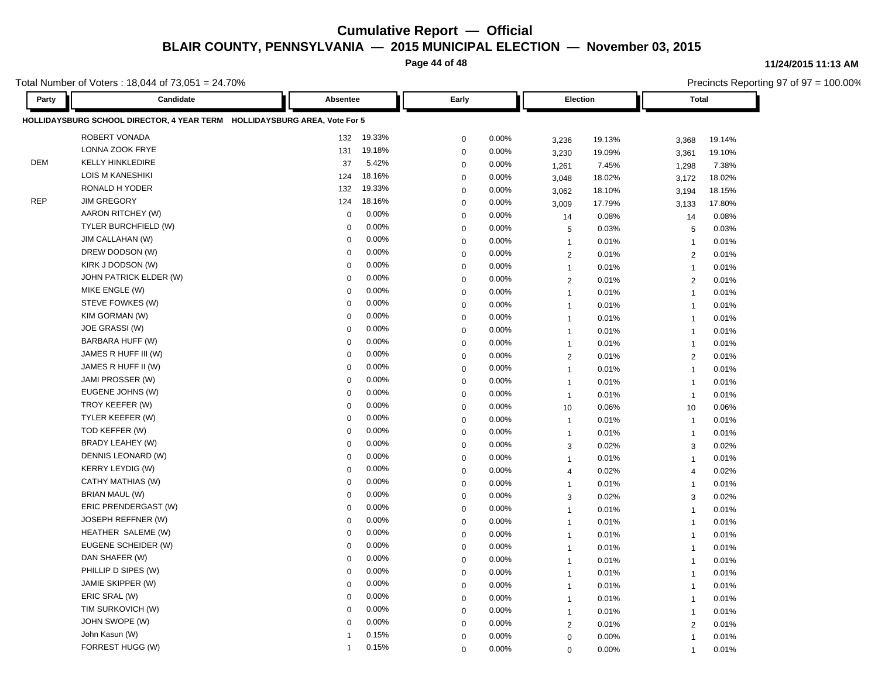**Page 44 of 48**

Total Number of Voters : 18,044 of 73,051 = 24.70%

**Party Candidate Absentee Early Election Total HOLLIDAYSBURG SCHOOL DIRECTOR, 4 YEAR TERM HOLLIDAYSBURG AREA, Vote For 5** ROBERT VONADA 132 19.33% 0 0.00% 3,236 19.13% 3,368 19.14% LONNA ZOOK FRYE 131 19.18% 0 0.00% 3,230 19.09% 3,361 19.10% DEM KELLY HINKLEDIRE 37 5.42% 0 0.00% 1,261 7.45% 1,298 7.38% LOIS M KANESHIKI 124 18.16% 0 0.00% 3,048 18.02% 3,172 18.02% RONALD H YODER 132 19.33% 0 0.00% 3,062 18.10% 3,194 18.15% REP JIM GREGORY 124 18.16% 0 0.00% <sub>3,009</sub> 17.79% 3,133 17.80% AARON RITCHEY (W) 0 0.00% 0 0.00% 14 0.08% 14 0.08% TYLER BURCHFIELD (W) 0 0.00% 0 0.00% 5 0.03% 5 0.03% JIM CALLAHAN (W) 0 0.00% 0 0.00% 1 0.01% 1 0.01% DREW DODSON (W) 0 0.00% 0 0.00% 2 0.01% 2 0.01% KIRK J DODSON (W) 0 0.00% 0 0.00% 1 0.01% 1 0.01% JOHN PATRICK ELDER (W) 0 0.00% 0 0.00% 2 0.01% 2 0.01% MIKE ENGLE (W) 0 0.00% 0 0.00% 1 0.01% 1 0.01% STEVE FOWKES (W) 0 0.00% 0 0.00% 1 0.01% 1 0.01% KIM GORMAN (W) 0 0.00% 0 0.00% 1 0.01% 1 0.01% JOE GRASSI (W) 0 0.00% 0 0.00% 1 0.01% 1 0.01% BARBARA HUFF (W) 0 0.00% 0 0.00% 1 0.01% 1 0.01% JAMES R HUFF III (W) 0 0.00% 0 0.00% 2 0.01% 2 0.01% JAMES R HUFF II (W) 0 0.00% 0 0.00% 1 0.01% 1 0.01% JAMI PROSSER (W) 0 0.00% 0 0.00% 1 0.01% 1 0.01% EUGENE JOHNS (W) 0 0.00% 0 0.00% 1 0.01% 1 0.01% TROY KEEFER (W) 0 0.00% 0 0.00% 10 0.06% 10 0.06% TYLER KEEFER (W) 0 0.00% 0 0.00% 1 0.01% 1 0.01% TOD KEFFER (W) 0 0.00% 0 0.00% 1 0.01% 1 0.01% BRADY LEAHEY (W) 0 0.00% 0 0.00% 3 0.02% 3 0.02% DENNIS LEONARD (W) 0 0.00% 0 0.00% 1 0.01% 1 0.01% KERRY LEYDIG (W) 0 0.00% 0 0.00% 4 0.02% 4 0.02% CATHY MATHIAS (W) 0 0.00% 0 0.00% 1 0.01% 1 0.01% BRIAN MAUL (W) 0 0.00% 0 0.00% 3 0.02% 3 0.02% ERIC PRENDERGAST (W) 0 0.00% 0 0.00% 1 0.01% 1 0.01% JOSEPH REFFNER (W) 0 0.00% 0 0.00% 1 0.01% 1 0.01% HEATHER SALEME (W) 0 0.00% 0 0.00% 1 0.01% 1 0.01% EUGENE SCHEIDER (W) 0 0.00% 0 0.00% 1 0.01% 1 0.01% DAN SHAFER (W) 0 0.00% 0 0.00% 1 0.01% 1 0.01% PHILLIP D SIPES (W) 0 0.00% 0 0.00% 1 0.01% 1 0.01% JAMIE SKIPPER (W) 0 0.00% 0 0.00% 1 0.01% 1 0.01% ERIC SRAL (W) 0 0.00% 0 0.00% 1 0.01% 1 0.01% TIM SURKOVICH (W) 0 0.00% 0 0.00% 1 0.01% 1 0.01% JOHN SWOPE (W) 0 0.00% 0 0.00% 2 0.01% 2 0.01% John Kasun (W) 1 0.15% 0 0.00% 0 0.00% 1 0.01% FORREST HUGG (W) 1 0.15% 0 0.00% 0 0.00% 1 0.01%

#### **11/24/2015 11:13 AM**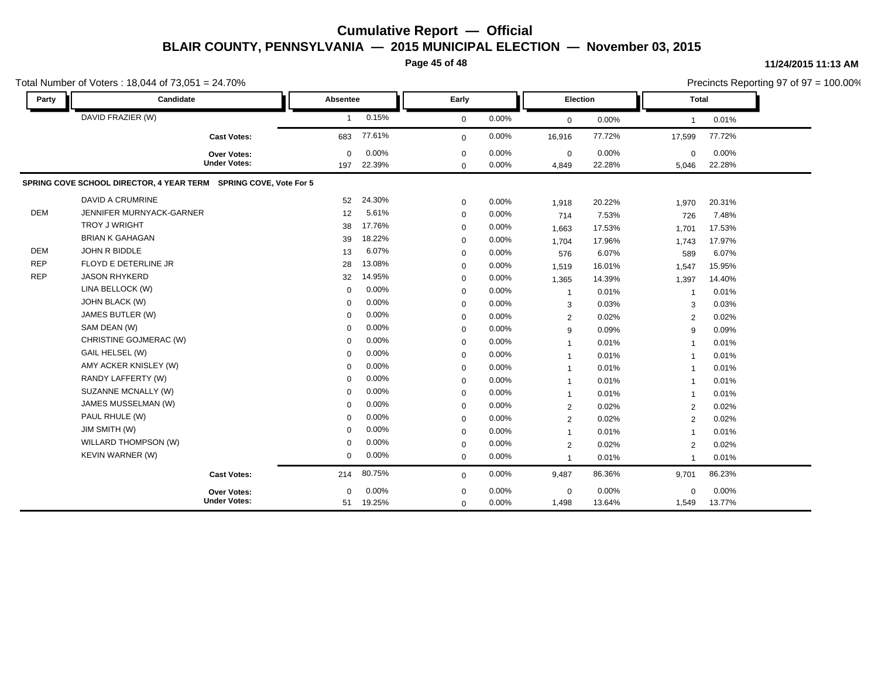**Page 45 of 48**

|            | Total Number of Voters: 18,044 of 73,051 = 24.70%                |                 |                 |                            |                |                      |                 |                          |                 | Precincts Reporting 97 of 97 = 100.00% |
|------------|------------------------------------------------------------------|-----------------|-----------------|----------------------------|----------------|----------------------|-----------------|--------------------------|-----------------|----------------------------------------|
| Party      | Candidate                                                        | <b>Absentee</b> |                 | Early                      |                | <b>Election</b>      |                 | Total                    |                 |                                        |
|            | DAVID FRAZIER (W)                                                | $\mathbf{1}$    | 0.15%           | $\mathbf 0$                | 0.00%          | $\mathbf 0$          | 0.00%           | -1                       | 0.01%           |                                        |
|            | <b>Cast Votes:</b>                                               | 683             | 77.61%          | $\mathbf{0}$               | 0.00%          | 16,916               | 77.72%          | 17,599                   | 77.72%          |                                        |
|            | Over Votes:<br><b>Under Votes:</b>                               | $\Omega$<br>197 | 0.00%<br>22.39% | $\mathbf 0$<br>$\mathbf 0$ | 0.00%<br>0.00% | $\mathbf 0$<br>4,849 | 0.00%<br>22.28% | 0<br>5,046               | 0.00%<br>22.28% |                                        |
|            | SPRING COVE SCHOOL DIRECTOR, 4 YEAR TERM SPRING COVE, Vote For 5 |                 |                 |                            |                |                      |                 |                          |                 |                                        |
|            | <b>DAVID A CRUMRINE</b>                                          | 52              | 24.30%          | $\mathbf 0$                | 0.00%          | 1,918                | 20.22%          | 1,970                    | 20.31%          |                                        |
| <b>DEM</b> | JENNIFER MURNYACK-GARNER                                         | 12              | 5.61%           | $\mathbf 0$                | 0.00%          | 714                  | 7.53%           | 726                      | 7.48%           |                                        |
|            | <b>TROY J WRIGHT</b>                                             | 38              | 17.76%          | $\mathbf 0$                | 0.00%          | 1,663                | 17.53%          | 1,701                    | 17.53%          |                                        |
|            | <b>BRIAN K GAHAGAN</b>                                           | 39              | 18.22%          | $\mathbf 0$                | 0.00%          | 1,704                | 17.96%          | 1,743                    | 17.97%          |                                        |
| DEM        | JOHN R BIDDLE                                                    | 13              | 6.07%           | $\mathbf 0$                | 0.00%          | 576                  | 6.07%           | 589                      | 6.07%           |                                        |
| <b>REP</b> | FLOYD E DETERLINE JR                                             | 28              | 13.08%          | $\mathbf 0$                | 0.00%          | 1,519                | 16.01%          | 1,547                    | 15.95%          |                                        |
| <b>REP</b> | <b>JASON RHYKERD</b>                                             | 32              | 14.95%          | $\mathbf 0$                | 0.00%          | 1,365                | 14.39%          | 1,397                    | 14.40%          |                                        |
|            | LINA BELLOCK (W)                                                 | $\Omega$        | 0.00%           | $\mathbf 0$                | 0.00%          | $\overline{1}$       | 0.01%           | 1                        | 0.01%           |                                        |
|            | JOHN BLACK (W)                                                   | $\mathbf 0$     | 0.00%           | $\mathbf 0$                | 0.00%          | 3                    | 0.03%           | 3                        | 0.03%           |                                        |
|            | JAMES BUTLER (W)                                                 | $\Omega$        | 0.00%           | $\mathbf 0$                | 0.00%          | 2                    | 0.02%           | 2                        | 0.02%           |                                        |
|            | SAM DEAN (W)                                                     | $\Omega$        | 0.00%           | $\mathbf 0$                | 0.00%          | 9                    | 0.09%           | 9                        | 0.09%           |                                        |
|            | CHRISTINE GOJMERAC (W)                                           | $\mathbf 0$     | 0.00%           | $\mathbf 0$                | 0.00%          | $\mathbf 1$          | 0.01%           | -1                       | 0.01%           |                                        |
|            | GAIL HELSEL (W)                                                  | $\Omega$        | 0.00%           | $\mathbf 0$                | 0.00%          | $\overline{1}$       | 0.01%           | 1                        | 0.01%           |                                        |
|            | AMY ACKER KNISLEY (W)                                            | $\Omega$        | 0.00%           | $\mathbf 0$                | 0.00%          |                      | 0.01%           | -1                       | 0.01%           |                                        |
|            | RANDY LAFFERTY (W)                                               | $\Omega$        | 0.00%           | $\mathbf 0$                | 0.00%          | 1                    | 0.01%           | $\mathbf{1}$             | 0.01%           |                                        |
|            | SUZANNE MCNALLY (W)                                              | $\Omega$        | 0.00%           | $\mathbf 0$                | 0.00%          | $\mathbf{1}$         | 0.01%           | $\overline{1}$           | 0.01%           |                                        |
|            | JAMES MUSSELMAN (W)                                              | $\mathbf 0$     | 0.00%           | $\mathbf 0$                | 0.00%          | 2                    | 0.02%           | 2                        | 0.02%           |                                        |
|            | PAUL RHULE (W)                                                   | $\Omega$        | 0.00%           | 0                          | 0.00%          | $\overline{2}$       | 0.02%           | 2                        | 0.02%           |                                        |
|            | JIM SMITH (W)                                                    | $\Omega$        | 0.00%           | $\mathbf 0$                | 0.00%          | $\mathbf 1$          | 0.01%           | -1                       | 0.01%           |                                        |
|            | WILLARD THOMPSON (W)                                             | $\Omega$        | 0.00%           | $\mathbf 0$                | 0.00%          | 2                    | 0.02%           | 2                        | 0.02%           |                                        |
|            | KEVIN WARNER (W)                                                 | $\mathbf 0$     | 0.00%           | $\mathbf 0$                | 0.00%          |                      | 0.01%           | $\overline{\phantom{a}}$ | 0.01%           |                                        |
|            | <b>Cast Votes:</b>                                               | 214             | 80.75%          | $\mathbf 0$                | 0.00%          | 9,487                | 86.36%          | 9,701                    | 86.23%          |                                        |
|            | Over Votes:                                                      | $\Omega$        | 0.00%           | $\mathbf 0$                | 0.00%          | $\mathbf 0$          | 0.00%           | $\Omega$                 | 0.00%           |                                        |
|            | <b>Under Votes:</b>                                              | 51              | 19.25%          | $\mathbf 0$                | 0.00%          | 1,498                | 13.64%          | 1,549                    | 13.77%          |                                        |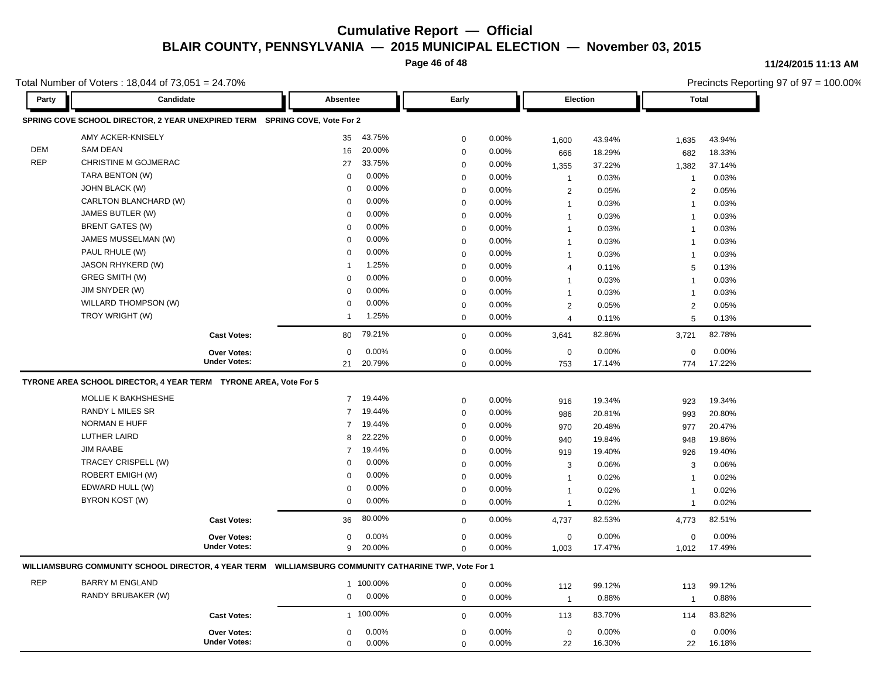**Page 46 of 48**

**11/24/2015 11:13 AM**

Precincts Reporting 97 of 97 = 100.00%

Total Number of Voters : 18,044 of 73,051 = 24.70%

**Party Candidate Absentee Early Election Total SPRING COVE SCHOOL DIRECTOR, 2 YEAR UNEXPIRED TERM SPRING COVE, Vote For 2** AMY ACKER-KNISELY 35 43.75% 0 0.00% 1,600 43.94% 1,635 43.94% DEM SAM DEAN 16 20.00% 0 0.00% 666 18.29% 682 18.33% REP CHRISTINE M GOJMERAC 27 33.75% 0 0.00% 1,355 37.22% 1,382 37.14% TARA BENTON (W) 0 0.00% 0 0.00% 1 0.03% 1 0.03% JOHN BLACK (W) 0 0.00% 0 0.00% 2 0.05% 2 0.05% CARLTON BLANCHARD (W) 0 0.00% 0 0.00% 1 0.03% 1 0.03% JAMES BUTLER (W) 0 0.00% 0 0.00% 1 0.03% 1 0.03% BRENT GATES (W) 0 0.00% 0 0.00% 1 0.03% 1 0.03% JAMES MUSSELMAN (W) 0 0.00% 0 0.00% 1 0.03% 1 0.03% PAUL RHULE (W) 0 0.00% 0 0.00% 1 0.03% 1 0.03% JASON RHYKERD (W) 1 1.25% 0 0.00% 4 0.11% 5 0.13% GREG SMITH (W) 0 0.00% 0 0.00% 1 0.03% 1 0.03% JIM SNYDER (W) 0 0.00% 0 0.00% 1 0.03% 1 0.03% WILLARD THOMPSON (W) 0 0.00% 0 0.00% 2 0.05% 2 0.05% TROY WRIGHT (W) 1 1.25% 0 0.00% 4 0.11% 5 0.13% **Cast Votes:** 80 79.21% 0 0.00% 3,641 82.86% 3,721 82.78% 774 17.22% 17.14% 0 0.00% 753 0.00% 0 0.00% **Under Votes: Over Votes:** 20.79% 21  $0.00\%$  0.00% 0.00% 0.00% 0.00% 0.00%  $0.00\%$  $0.00\%$ 0.00% **TYRONE AREA SCHOOL DIRECTOR, 4 YEAR TERM TYRONE AREA, Vote For 5** MOLLIE K BAKHSHESHE 7 19.44% 0 0.00% 916 19.34% 923 19.34% RANDY L MILES SR 7 19.44% 0 0.00% 986 20.81% 993 20.80% NORMAN E HUFF 7 19.44% 0 0.00% 970 20.48% 977 20.47% LUTHER LAIRD 8 22.22% 0 0.00% 940 19.84% 948 19.86% JIM RAABE 7 19.44% 0 0.00% 919 19.40% 926 19.40% TRACEY CRISPELL (W) 0 0.00% 0 0.00% 3 0.06% 3 0.06% ROBERT EMIGH (W) 0 0.00% 0 0.00% 1 0.02% 1 0.02% EDWARD HULL (W) 0 0.00% 0 0.00% 1 0.02% 1 0.02% BYRON KOST (W) 0 0.00% 0 0.00% 1 0.02% 1 0.02% **Cast Votes:** 36 80.00% 0 0.00% 4,737 82.53% 4,773 82.51% 1,012 17.49% 17.47% 0 0.00% 1,003 0.00% 0 0.00% **Under Votes: Over Votes:** 20.00% 9  $0.00\%$  0.00% 0.00% 0.00% 0.00% 0.00%  $0$  0.00%  $0.00\%$ 0 0.00% 1,003 **WILLIAMSBURG COMMUNITY SCHOOL DIRECTOR, 4 YEAR TERM WILLIAMSBURG COMMUNITY CATHARINE TWP, Vote For 1** REP BARRY M ENGLAND 1 100.00% 0 0.00% 112 99.12% 113 99.12% RANDY BRUBAKER (W) 0 0.00% 0 0.00% 1 0.88% 1 0.88% **Cast Votes:** 1 100.00% 0 0.00% 113 83.70% 114 83.82% 22 16.18% 16.30% 0 0.00% 22 0.00% 0 0.00% **Under Votes: Over Votes:** 0.00%  $0.00\%$  0.00% 0.00% 0.00% 0.00% 0.00% 0 0.00% 0 0.00% 0 0.00% 0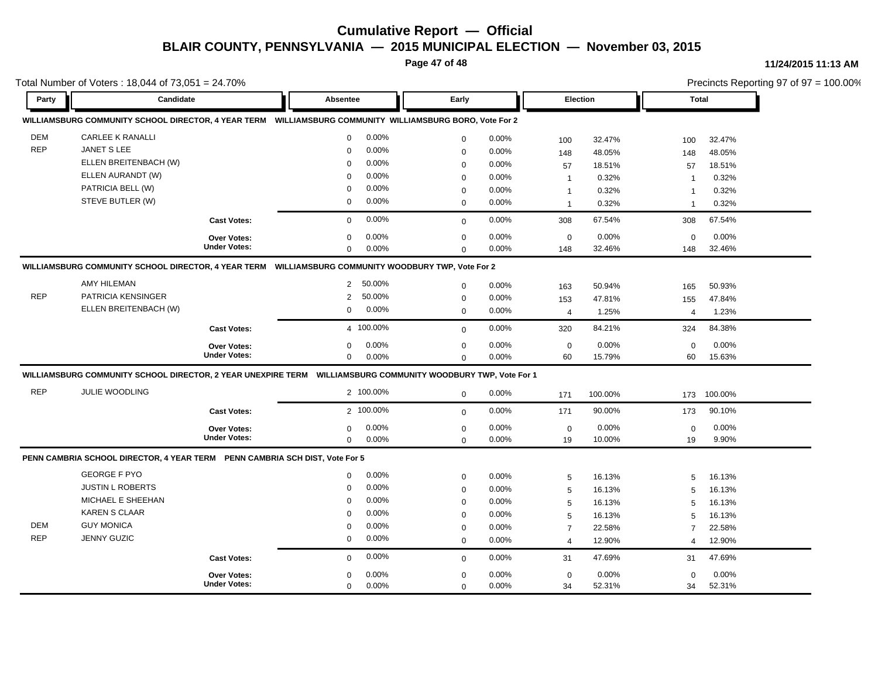**Page 47 of 48**

#### **11/24/2015 11:13 AM**

| Total Number of Voters: 18,044 of 73,051 = 24.70% |                                                                             |                     |                                                                                                              |             |          |                |         |                | Precincts Reporting 97 of 97 = 100.00% |  |  |
|---------------------------------------------------|-----------------------------------------------------------------------------|---------------------|--------------------------------------------------------------------------------------------------------------|-------------|----------|----------------|---------|----------------|----------------------------------------|--|--|
| Party                                             | Candidate                                                                   |                     | <b>Absentee</b>                                                                                              | Early       |          | Election       |         | <b>Total</b>   |                                        |  |  |
|                                                   |                                                                             |                     | WILLIAMSBURG COMMUNITY SCHOOL DIRECTOR, 4 YEAR TERM WILLIAMSBURG COMMUNITY WILLIAMSBURG BORO, Vote For 2     |             |          |                |         |                |                                        |  |  |
| <b>DEM</b>                                        | <b>CARLEE K RANALLI</b>                                                     |                     | 0.00%<br>$\mathbf 0$                                                                                         | $\mathbf 0$ | 0.00%    | 100            | 32.47%  | 100            | 32.47%                                 |  |  |
| <b>REP</b>                                        | <b>JANET S LEE</b>                                                          |                     | 0.00%<br>$\Omega$                                                                                            | $\mathbf 0$ | 0.00%    | 148            | 48.05%  | 148            | 48.05%                                 |  |  |
|                                                   | ELLEN BREITENBACH (W)                                                       |                     | 0.00%<br>$\Omega$                                                                                            | $\mathbf 0$ | 0.00%    | 57             | 18.51%  | 57             | 18.51%                                 |  |  |
|                                                   | ELLEN AURANDT (W)                                                           |                     | 0.00%<br>$\Omega$                                                                                            | $\Omega$    | 0.00%    | $\mathbf{1}$   | 0.32%   | -1             | 0.32%                                  |  |  |
|                                                   | PATRICIA BELL (W)                                                           |                     | 0.00%<br>$\Omega$                                                                                            | $\mathbf 0$ | 0.00%    | $\mathbf{1}$   | 0.32%   | $\overline{1}$ | 0.32%                                  |  |  |
|                                                   | STEVE BUTLER (W)                                                            |                     | 0.00%<br>0                                                                                                   | $\mathbf 0$ | 0.00%    | $\overline{1}$ | 0.32%   | $\overline{1}$ | 0.32%                                  |  |  |
|                                                   |                                                                             | <b>Cast Votes:</b>  | 0.00%<br>$\mathbf 0$                                                                                         | $\mathbf 0$ | 0.00%    | 308            | 67.54%  | 308            | 67.54%                                 |  |  |
|                                                   |                                                                             | Over Votes:         | 0.00%<br>$\mathbf 0$                                                                                         | $\mathbf 0$ | 0.00%    | $\mathsf 0$    | 0.00%   | $\mathbf 0$    | 0.00%                                  |  |  |
|                                                   |                                                                             | <b>Under Votes:</b> | 0.00%<br>$\Omega$                                                                                            | $\Omega$    | 0.00%    | 148            | 32.46%  | 148            | 32.46%                                 |  |  |
|                                                   |                                                                             |                     | WILLIAMSBURG COMMUNITY SCHOOL DIRECTOR, 4 YEAR TERM WILLIAMSBURG COMMUNITY WOODBURY TWP, Vote For 2          |             |          |                |         |                |                                        |  |  |
|                                                   | <b>AMY HILEMAN</b>                                                          |                     | 50.00%<br>$\overline{2}$                                                                                     | $\mathbf 0$ | 0.00%    | 163            | 50.94%  | 165            | 50.93%                                 |  |  |
| <b>REP</b>                                        | PATRICIA KENSINGER                                                          |                     | 50.00%<br>2                                                                                                  | 0           | 0.00%    | 153            | 47.81%  | 155            | 47.84%                                 |  |  |
|                                                   | ELLEN BREITENBACH (W)                                                       |                     | 0.00%<br>0                                                                                                   | $\mathbf 0$ | 0.00%    | 4              | 1.25%   | $\overline{4}$ | 1.23%                                  |  |  |
|                                                   |                                                                             | <b>Cast Votes:</b>  | 4 100.00%                                                                                                    | $\mathbf 0$ | 0.00%    | 320            | 84.21%  | 324            | 84.38%                                 |  |  |
|                                                   |                                                                             | <b>Over Votes:</b>  | $0.00\%$<br>$\mathbf 0$                                                                                      | $\mathbf 0$ | $0.00\%$ | $\mathbf 0$    | 0.00%   | $\mathbf 0$    | 0.00%                                  |  |  |
|                                                   |                                                                             | <b>Under Votes:</b> | 0.00%<br>$\mathbf 0$                                                                                         | $\mathbf 0$ | 0.00%    | 60             | 15.79%  | 60             | 15.63%                                 |  |  |
|                                                   |                                                                             |                     | WILLIAMSBURG COMMUNITY SCHOOL DIRECTOR, 2 YEAR UNEXPIRE TERM WILLIAMSBURG COMMUNITY WOODBURY TWP, Vote For 1 |             |          |                |         |                |                                        |  |  |
| <b>REP</b>                                        | <b>JULIE WOODLING</b>                                                       |                     | 2 100.00%                                                                                                    | $\mathbf 0$ | 0.00%    | 171            | 100.00% | 173            | 100.00%                                |  |  |
|                                                   |                                                                             | <b>Cast Votes:</b>  | 2 100.00%                                                                                                    | $\mathbf 0$ | 0.00%    | 171            | 90.00%  | 173            | 90.10%                                 |  |  |
|                                                   |                                                                             | <b>Over Votes:</b>  | 0.00%<br>$\mathbf 0$                                                                                         | $\mathbf 0$ | 0.00%    | $\mathbf 0$    | 0.00%   | $\mathbf 0$    | 0.00%                                  |  |  |
|                                                   |                                                                             | <b>Under Votes:</b> | 0.00%<br>0                                                                                                   | $\mathbf 0$ | 0.00%    | 19             | 10.00%  | 19             | 9.90%                                  |  |  |
|                                                   | PENN CAMBRIA SCHOOL DIRECTOR, 4 YEAR TERM PENN CAMBRIA SCH DIST, Vote For 5 |                     |                                                                                                              |             |          |                |         |                |                                        |  |  |
|                                                   | <b>GEORGE F PYO</b>                                                         |                     | 0.00%<br>0                                                                                                   | $\mathbf 0$ | 0.00%    | 5              | 16.13%  | 5              | 16.13%                                 |  |  |
|                                                   | <b>JUSTIN L ROBERTS</b>                                                     |                     | 0.00%<br>$\mathbf 0$                                                                                         | $\mathbf 0$ | 0.00%    | 5              | 16.13%  | 5              | 16.13%                                 |  |  |
|                                                   | MICHAEL E SHEEHAN                                                           |                     | 0.00%<br>$\Omega$                                                                                            | $\mathbf 0$ | 0.00%    | $\sqrt{5}$     | 16.13%  | 5              | 16.13%                                 |  |  |
|                                                   | <b>KAREN S CLAAR</b>                                                        |                     | 0.00%<br>$\Omega$                                                                                            | $\mathbf 0$ | 0.00%    | 5              | 16.13%  | 5              | 16.13%                                 |  |  |
| <b>DEM</b>                                        | <b>GUY MONICA</b>                                                           |                     | 0.00%<br>$\Omega$                                                                                            | $\mathbf 0$ | 0.00%    | $\overline{7}$ | 22.58%  | $\overline{7}$ | 22.58%                                 |  |  |
| <b>REP</b>                                        | <b>JENNY GUZIC</b>                                                          |                     | 0.00%<br>0                                                                                                   | $\mathbf 0$ | 0.00%    | $\overline{4}$ | 12.90%  | $\overline{4}$ | 12.90%                                 |  |  |
|                                                   |                                                                             | <b>Cast Votes:</b>  | 0.00%<br>0                                                                                                   | $\mathbf 0$ | 0.00%    | 31             | 47.69%  | 31             | 47.69%                                 |  |  |
|                                                   |                                                                             | Over Votes:         | 0.00%<br>$\Omega$                                                                                            | $\mathbf 0$ | 0.00%    | $\mathbf 0$    | 0.00%   | $\mathbf 0$    | 0.00%                                  |  |  |
|                                                   |                                                                             | <b>Under Votes:</b> | 0.00%<br>0                                                                                                   | $\mathbf 0$ | 0.00%    | 34             | 52.31%  | 34             | 52.31%                                 |  |  |